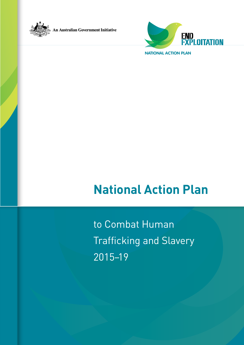



**NATIONAL ACTION PLAN**

# **National Action Plan**

to Combat Human Trafficking and Slavery 2015–19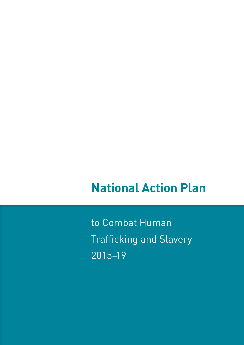# **National Action Plan**

to Combat Human Trafficking and Slavery 2015–19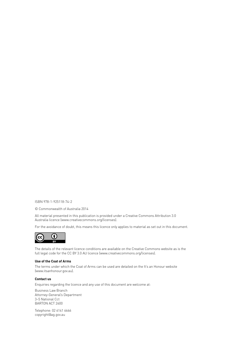ISBN 978-1-925118-74-2

© Commonwealth of Australia 2014

All material presented in this publication is provided under a Creative Commons Attribution 3.0 Australia licence [\(www.creativecommons.org/licenses](http://www.creativecommons.org/licenses)).

For the avoidance of doubt, this means this licence only applies to material as set out in this document.



The details of the relevant licence conditions are available on the Creative Commons website as is the full legal code for the CC BY 3.0 AU licence [\(www.creativecommons.org/licenses\)](http://www.creativecommons.org/licenses).

#### **Use of the Coat of Arms**

The terms under which the Coat of Arms can be used are detailed on the It's an Honour website [\(www.itsanhonour.gov.au\)](http://www.itsanhonour.gov.au).

#### **Contact us**

Enquiries regarding the licence and any use of this document are welcome at:

Business Law Branch Attorney-General's Department 3–5 National Cct BARTON ACT 2600

Telephone: 02 6141 6666 [copyright@ag.gov.au](mailto:copyright%40ag.gov.au?subject=)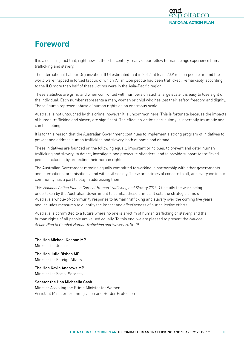# <span id="page-4-0"></span>**Foreword**

It is a sobering fact that, right now, in the 21st century, many of our fellow human beings experience human trafficking and slavery.

The International Labour Organization (ILO) estimated that in 2012, at least 20.9 million people around the world were trapped in forced labour, of which 9.1 million people had been trafficked. Remarkably, according to the ILO more than half of these victims were in the Asia-Pacific region.

These statistics are grim, and when confronted with numbers on such a large scale it is easy to lose sight of the individual. Each number represents a man, woman or child who has lost their safety, freedom and dignity. These figures represent abuse of human rights on an enormous scale.

Australia is not untouched by this crime, however it is uncommon here. This is fortunate because the impacts of human trafficking and slavery are significant. The effect on victims particularly is inherently traumatic and can be lifelong.

It is for this reason that the Australian Government continues to implement a strong program of initiatives to prevent and address human trafficking and slavery, both at home and abroad.

These initiatives are founded on the following equally important principles: to prevent and deter human trafficking and slavery; to detect, investigate and prosecute offenders; and to provide support to trafficked people, including by protecting their human rights.

The Australian Government remains equally committed to working in partnership with other governments and international organisations, and with civil society. These are crimes of concern to all, and everyone in our community has a part to play in addressing them.

This *National Action Plan to Combat Human Trafficking and Slavery 2015–19* details the work being undertaken by the Australian Government to combat these crimes. It sets the strategic aims of Australia's whole-of-community response to human trafficking and slavery over the coming five years, and includes measures to quantify the impact and effectiveness of our collective efforts.

Australia is committed to a future where no one is a victim of human trafficking or slavery, and the human rights of all people are valued equally. To this end, we are pleased to present the *National Action Plan to Combat Human Trafficking and Slavery 2015–19*.

The Hon Michael Keenan MP Minister for Justice

The Hon Julie Bishop MP Minister for Foreign Affairs

The Hon Kevin Andrews MP Minister for Social Services

# Senator the Hon Michaelia Cash

Minister Assisting the Prime Minister for Women Assistant Minister for Immigration and Border Protection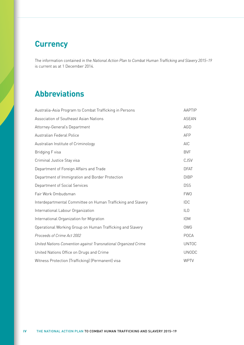# <span id="page-5-0"></span>**Currency**

The information contained in the *National Action Plan to Combat Human Trafficking and Slavery 2015–19* is current as at 1 December 2014.

# **Abbreviations**

| Australia-Asia Program to Combat Trafficking in Persons         | <b>AAPTIP</b>   |
|-----------------------------------------------------------------|-----------------|
| Association of Southeast Asian Nations                          | <b>ASEAN</b>    |
| Attorney-General's Department                                   | AGD             |
| Australian Federal Police                                       | <b>AFP</b>      |
| Australian Institute of Criminology                             | AIC             |
| Bridging F visa                                                 | <b>BVF</b>      |
| Criminal Justice Stay visa                                      | <b>CJSV</b>     |
| Department of Foreign Affairs and Trade                         | <b>DFAT</b>     |
| Department of Immigration and Border Protection                 | <b>DIBP</b>     |
| Department of Social Services                                   | <b>DSS</b>      |
| Fair Work Ombudsman                                             | <b>FWO</b>      |
| Interdepartmental Committee on Human Trafficking and Slavery    | IDC             |
| International Labour Organization                               | IL <sub>0</sub> |
| International Organization for Migration                        | <b>IOM</b>      |
| Operational Working Group on Human Trafficking and Slavery      | <b>OWG</b>      |
| Proceeds of Crime Act 2002                                      | <b>POCA</b>     |
| United Nations Convention against Transnational Organized Crime | <b>UNTOC</b>    |
| United Nations Office on Drugs and Crime                        | <b>UNODC</b>    |
| Witness Protection (Trafficking) (Permanent) visa               | <b>WPTV</b>     |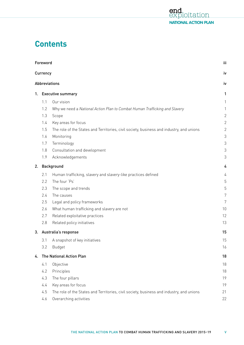

# **Contents**

|    | Foreword |                                                                                          | iii            |
|----|----------|------------------------------------------------------------------------------------------|----------------|
|    | Currency |                                                                                          | i٧             |
|    |          | <b>Abbreviations</b>                                                                     | i٧             |
|    |          | 1. Executive summary                                                                     | 1              |
|    | 1.1      | Our vision                                                                               | 1              |
|    | 1.2      | Why we need a National Action Plan to Combat Human Trafficking and Slavery               | 1              |
|    | 1.3      | Scope                                                                                    | $\overline{2}$ |
|    | 1.4      | Key areas for focus                                                                      | $\overline{2}$ |
|    | 1.5      | The role of the States and Territories, civil society, business and industry, and unions | $\overline{2}$ |
|    | 1.6      | Monitoring                                                                               | 3              |
|    | 1.7      | Terminology                                                                              | 3              |
|    | 1.8      | Consultation and development                                                             | 3              |
|    | 1.9      | Acknowledgements                                                                         | 3              |
| 2. |          | Background                                                                               | 4              |
|    | 2.1      | Human trafficking, slavery and slavery-like practices defined                            | 4              |
|    | 2.2      | The four 'Ps'                                                                            | 5              |
|    | 2.3      | The scope and trends                                                                     | 5              |
|    | 2.4      | The causes                                                                               | 7              |
|    | 2.5      | Legal and policy frameworks                                                              | 7              |
|    | 2.6      | What human trafficking and slavery are not                                               | 10             |
|    | 2.7      | Related exploitative practices                                                           | 12             |
|    | 2.8      | Related policy initiatives                                                               | 13             |
| 3. |          | Australia's response                                                                     | 15             |
|    | 3.1      | A snapshot of key initiatives                                                            | 15             |
|    | 3.2      | <b>Budget</b>                                                                            | 16             |
| 4. |          | The National Action Plan                                                                 | 18             |
|    | 4.1      | Objective                                                                                | 18             |
|    | 4.2      | Principles                                                                               | 18             |
|    | 4.3      | The four pillars                                                                         | 19             |
|    | 4.4      | Key areas for focus                                                                      | 19             |
|    | 4.5      | The role of the States and Territories, civil society, business and industry, and unions | 21             |
|    | 4.6      | Overarching activities                                                                   | 22             |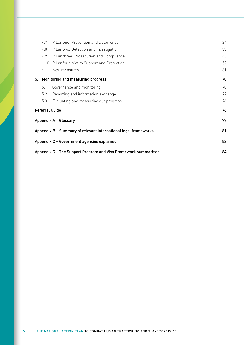|    | 4.7  | Pillar one: Prevention and Deterrence                           | 24 |
|----|------|-----------------------------------------------------------------|----|
|    | 4.8  | Pillar two: Detection and Investigation                         | 33 |
|    | 4.9  | Pillar three: Prosecution and Compliance                        | 43 |
|    | 4.10 | Pillar four: Victim Support and Protection                      | 52 |
|    | 4.11 | New measures                                                    | 61 |
| 5. |      | Monitoring and measuring progress                               | 70 |
|    | 5.1  | Governance and monitoring                                       | 70 |
|    | 5.2  | Reporting and information exchange                              | 72 |
|    | 5.3  | Evaluating and measuring our progress                           | 74 |
|    |      | Referral Guide                                                  | 76 |
|    |      | <b>Appendix A - Glossary</b>                                    | 77 |
|    |      | Appendix B – Summary of relevant international legal frameworks | 81 |
|    |      | Appendix C – Government agencies explained                      | 82 |
|    |      | Appendix D – The Support Program and Visa Framework summarised  | 84 |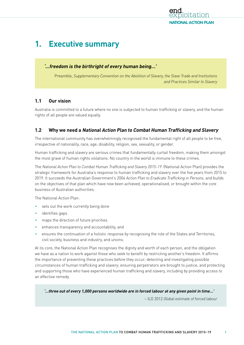

# <span id="page-8-0"></span>**1. Executive summary**

# **'…freedom is the birthright of every human being…'**

Preamble, *Supplementary Convention on the Abolition of Slavery, the Slave Trade and Institutions and Practices Similar to Slavery*

# **1.1 Our vision**

Australia is committed to a future where no one is subjected to human trafficking or slavery, and the human rights of all people are valued equally.

# **1.2 Why we need a National Action Plan to Combat Human Trafficking and Slavery**

The international community has overwhelmingly recognised the fundamental right of all people to be free, irrespective of nationality, race, age, disability, religion, sex, sexuality, or gender.

Human trafficking and slavery are serious crimes that fundamentally curtail freedom, making them amongst the most grave of human rights violations. No country in the world is immune to these crimes.

The *National Action Plan to Combat Human Trafficking and Slavery 2015–19* (National Action Plan) provides the strategic framework for Australia's response to human trafficking and slavery over the five years from 2015 to 2019. It succeeds the Australian Government's 2004 *Action Plan to Eradicate Trafficking in Persons*, and builds on the objectives of that plan which have now been achieved, operationalised, or brought within the core business of Australian authorities.

The National Action Plan:

- sets out the work currently being done
- identifies gaps
- maps the direction of future priorities
- enhances transparency and accountability, and
- ensures the continuation of a holistic response by recognising the role of the States and Territories, civil society, business and industry, and unions.

At its core, the National Action Plan recognises the dignity and worth of each person, and the obligation we have as a nation to work against those who seek to benefit by restricting another's freedom. It affirms the importance of preventing these practices before they occur; detecting and investigating possible circumstances of human trafficking and slavery; ensuring perpetrators are brought to justice; and protecting and supporting those who have experienced human trafficking and slavery, including by providing access to an effective remedy.

**'…three out of every 1,000 persons worldwide are in forced labour at any given point in time…'**

– ILO 2012 *Global estimate of forced labour*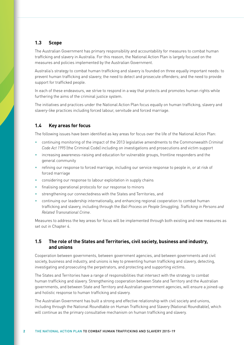# <span id="page-9-0"></span>**1.3 Scope**

The Australian Government has primary responsibility and accountability for measures to combat human trafficking and slavery in Australia. For this reason, the National Action Plan is largely focused on the measures and policies implemented by the Australian Government.

Australia's strategy to combat human trafficking and slavery is founded on three equally important needs: to prevent human trafficking and slavery; the need to detect and prosecute offenders; and the need to provide support for trafficked people.

In each of these endeavours, we strive to respond in a way that protects and promotes human rights while furthering the aims of the criminal justice system.

The initiatives and practices under the National Action Plan focus equally on human trafficking, slavery and slavery-like practices including forced labour, servitude and forced marriage.

# **1.4 Key areas for focus**

The following issues have been identified as key areas for focus over the life of the National Action Plan:

- continuing monitoring of the impact of the 2013 legislative amendments to the Commonwealth *Criminal Code Act 1995* (the Criminal Code) including on investigations and prosecutions and victim support
- increasing awareness-raising and education for vulnerable groups, frontline responders and the general community
- refining our response to forced marriage, including our service response to people in, or at risk of forced marriage
- considering our response to labour exploitation in supply chains
- finalising operational protocols for our response to minors
- strengthening our connectedness with the States and Territories, and
- continuing our leadership internationally, and enhancing regional cooperation to combat human trafficking and slavery, including through the *Bali Process on People Smuggling, Trafficking in Persons and Related Transnational Crime*.

Measures to address the key areas for focus will be implemented through both existing and new measures as set out in Chapter 4.

# **1.5 The role of the States and Territories, civil society, business and industry, and unions**

Cooperation between governments, between government agencies, and between governments and civil society, business and industry, and unions is key to preventing human trafficking and slavery, detecting, investigating and prosecuting the perpetrators, and protecting and supporting victims.

The States and Territories have a range of responsibilities that intersect with the strategy to combat human trafficking and slavery. Strengthening cooperation between State and Territory and the Australian governments, and between State and Territory and Australian government agencies, will ensure a joined-up and holistic response to human trafficking and slavery.

The Australian Government has built a strong and effective relationship with civil society and unions, including through the National Roundtable on Human Trafficking and Slavery (National Roundtable), which will continue as the primary consultative mechanism on human trafficking and slavery.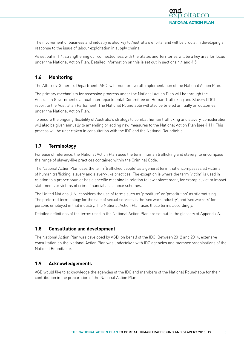<span id="page-10-0"></span>The involvement of business and industry is also key to Australia's efforts, and will be crucial in developing a response to the issue of labour exploitation in supply chains.

As set out in 1.4, strengthening our connectedness with the States and Territories will be a key area for focus under the National Action Plan. Detailed information on this is set out in sections 4.4 and 4.5.

# **1.6 Monitoring**

The Attorney-General's Department (AGD) will monitor overall implementation of the National Action Plan.

The primary mechanism for assessing progress under the National Action Plan will be through the Australian Government's annual Interdepartmental Committee on Human Trafficking and Slavery (IDC) report to the Australian Parliament. The National Roundtable will also be briefed annually on outcomes under the National Action Plan.

To ensure the ongoing flexibility of Australia's strategy to combat human trafficking and slavery, consideration will also be given annually to amending or adding new measures to the National Action Plan (see 4.11). This process will be undertaken in consultation with the IDC and the National Roundtable.

# **1.7 Terminology**

For ease of reference, the National Action Plan uses the term 'human trafficking and slavery' to encompass the range of slavery-like practices contained within the Criminal Code.

The National Action Plan uses the term 'trafficked people' as a general term that encompasses all victims of human trafficking, slavery and slavery-like practices. The exception is where the term 'victim' is used in relation to a proper noun or has a specific meaning in relation to law enforcement, for example, victim impact statements or victims of crime financial assistance schemes.

The United Nations (UN) considers the use of terms such as 'prostitute' or 'prostitution' as stigmatising. The preferred terminology for the sale of sexual services is the 'sex work industry', and 'sex workers' for persons employed in that industry. The National Action Plan uses these terms accordingly.

Detailed definitions of the terms used in the National Action Plan are set out in the glossary at Appendix A.

# **1.8 Consultation and development**

The National Action Plan was developed by AGD, on behalf of the IDC. Between 2012 and 2014, extensive consultation on the National Action Plan was undertaken with IDC agencies and member organisations of the National Roundtable.

# **1.9 Acknowledgements**

AGD would like to acknowledge the agencies of the IDC and members of the National Roundtable for their contribution in the preparation of the National Action Plan.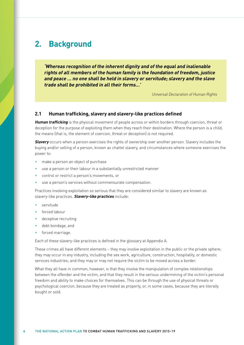# <span id="page-11-0"></span>**2. Background**

**'Whereas recognition of the inherent dignity and of the equal and inalienable rights of all members of the human family is the foundation of freedom, justice and peace … no one shall be held in slavery or servitude; slavery and the slave trade shall be prohibited in all their forms…'**

*Universal Declaration of Human Rights*

### **2.1 Human trafficking, slavery and slavery-like practices defined**

**Human trafficking** is the physical movement of people across or within borders through coercion, threat or deception for the purpose of exploiting them when they reach their destination. Where the person is a child, the means (that is, the element of coercion, threat or deception) is not required.

**Slavery** occurs when a person exercises the rights of ownership over another person. Slavery includes the buying and/or selling of a person, known as chattel slavery, and circumstances where someone exercises the power to:

- make a person an object of purchase
- use a person or their labour in a substantially unrestricted manner
- control or restrict a person's movements, or
- use a person's services without commensurate compensation.

Practices involving exploitation so serious that they are considered similar to slavery are known as slavery-like practices. **Slavery-like practices** include:

- servitude
- forced labour
- deceptive recruiting
- debt bondage, and
- forced marriage.

Each of these slavery-like practices is defined in the glossary at Appendix A.

These crimes all have different elements – they may involve exploitation in the public or the private sphere; they may occur in any industry, including the sex work, agriculture, construction, hospitality, or domestic services industries; and they may or may not require the victim to be moved across a border.

What they all have in common, however, is that they involve the manipulation of complex relationships between the offender and the victim, and that they result in the serious undermining of the victim's personal freedom and ability to make choices for themselves. This can be through the use of physical threats or psychological coercion, because they are treated as property, or, in some cases, because they are literally bought or sold.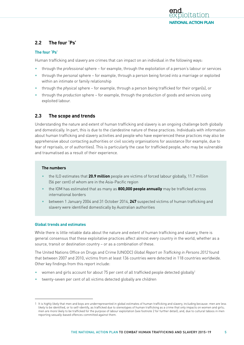

# <span id="page-12-0"></span>**2.2 The four 'Ps'**

#### **The four 'Ps'**

Human trafficking and slavery are crimes that can impact on an individual in the following ways:

- through the *professional* sphere for example, through the exploitation of a person's labour or services
- through the *personal* sphere for example, through a person being forced into a marriage or exploited within an intimate or family relationship
- through the *physical* sphere for example, through a person being trafficked for their organ(s), or
- through the *production* sphere for example, through the production of goods and services using exploited labour.

# **2.3 The scope and trends**

Understanding the nature and extent of human trafficking and slavery is an ongoing challenge both globally and domestically. In part, this is due to the clandestine nature of these practices. Individuals with information about human trafficking and slavery activities and people who have experienced these practices may also be apprehensive about contacting authorities or civil society organisations for assistance (for example, due to fear of reprisals, or of authorities). This is particularly the case for trafficked people, who may be vulnerable and traumatised as a result of their experience.

#### **The numbers**

- the ILO estimates that **20.9 million** people are victims of forced labour globally, 11.7 million (56 per cent) of whom are in the Asia-Pacific region
- the IOM has estimated that as many as **800,000 people annually** may be trafficked across international borders
- between 1 January 2004 and 31 October 2014, **247** suspected victims of human trafficking and slavery were identified domestically by Australian authorities

#### **Global trends and estimates**

While there is little reliable data about the nature and extent of human trafficking and slavery, there is general consensus that these exploitative practices affect almost every country in the world, whether as a source, transit or destination country – or as a combination of these.

The United Nations Office on Drugs and Crime (UNODC) *Global Report on Trafficking in Persons 2012* found that between 2007 and 2010, victims from at least 136 countries were detected in 118 countries worldwide. Other key findings from this report include:

- women and girls account for about 75 per cent of all trafficked people detected globally1
- twenty-seven per cent of all victims detected globally are children

<sup>1</sup> It is highly likely that men and boys are underrepresented in global estimates of human trafficking and slavery, including because: men are less likely to be identified, or to self-identify, as trafficked due to stereotypes of human trafficking as a crime that only impacts on women and girls; men are more likely to be trafficked for the purpose of labour exploitation (see footnote 2 for further detail); and, due to cultural taboos in men reporting sexually-based offences committed against them.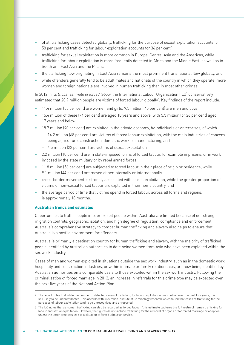- of all trafficking cases detected globally, trafficking for the purpose of sexual exploitation accounts for 58 per cent and trafficking for labour exploitation accounts for 36 per cent<sup>2</sup>
- trafficking for sexual exploitation is more common in Europe, Central Asia and the Americas, while trafficking for labour exploitation is more frequently detected in Africa and the Middle East, as well as in South and East Asia and the Pacific
- the trafficking flow originating in East Asia remains the most prominent transnational flow globally, and
- while offenders generally tend to be adult males and nationals of the country in which they operate, more women and foreign nationals are involved in human trafficking than in most other crimes.

In 2012 in its *Global estimate of forced labour* the International Labour Organization (ILO) conservatively estimated that 20.9 million people are victims of forced labour globally<sup>3</sup>. Key findings of the report include:

- 11.4 million (55 per cent) are women and girls, 9.5 million (45 per cent) are men and boys
- 15.4 million of these (74 per cent) are aged 18 years and above, with 5.5 million (or 26 per cent) aged 17 years and below
- 18.7 million (90 per cent) are exploited in the private economy, by individuals or enterprises, of which:
	- 14.2 million (68 per cent) are victims of forced labour exploitation, with the main industries of concern being agriculture, construction, domestic work or manufacturing, and
	- 4.5 million (22 per cent) are victims of sexual exploitation
- 2.2 million (10 per cent) are in state-imposed forms of forced labour, for example in prisons, or in work imposed by the state military or by rebel armed forces
- 11.8 million (56 per cent) are subjected to forced labour in their place of origin or residence, while 9.1 million (44 per cent) are moved either internally or internationally
- cross-border movement is strongly associated with sexual exploitation, while the greater proportion of victims of non-sexual forced labour are exploited in their home country, and
- the average period of time that victims spend in forced labour, across all forms and regions, is approximately 18 months.

#### **Australian trends and estimates**

Opportunities to traffic people into, or exploit people within, Australia are limited because of our strong migration controls, geographic isolation, and high degree of regulation, compliance and enforcement. Australia's comprehensive strategy to combat human trafficking and slavery also helps to ensure that Australia is a hostile environment for offenders.

Australia is primarily a destination country for human trafficking and slavery, with the majority of trafficked people identified by Australian authorities to date being women from Asia who have been exploited within the sex work industry.

Cases of men and women exploited in situations outside the sex work industry, such as in the domestic work, hospitality and construction industries, or within intimate or family relationships, are now being identified by Australian authorities on a comparable basis to those exploited within the sex work industry. Following the criminalisation of forced marriage in 2013, an increase in referrals for this crime type may be expected over the next five years of the National Action Plan.

<sup>2</sup> The report notes that while the number of detected cases of trafficking for labour exploitation has doubled over the past four years, it is still likely to be underestimated. This accords with Australian Institute of Criminology research which found that cases of trafficking for the purposes of labour exploitation tend to go unrecognised and unreported.

<sup>3</sup> The ILO notes that as human trafficking can also be regarded as forced labour, 'this estimate captures the full realm of human trafficking for labour and sexual exploitation'. However, the figures do not include trafficking for the removal of organs or for forced marriage or adoption unless the latter practices lead to a situation of forced labour or service.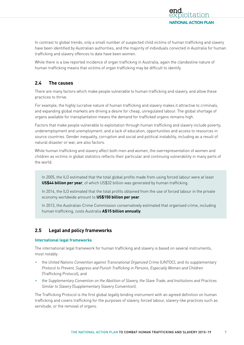

<span id="page-14-0"></span>In contrast to global trends, only a small number of suspected child victims of human trafficking and slavery have been identified by Australian authorities, and the majority of individuals convicted in Australia for human trafficking and slavery offences to date have been women.

While there is a low reported incidence of organ trafficking in Australia, again the clandestine nature of human trafficking means that victims of organ trafficking may be difficult to identify.

# **2.4 The causes**

There are many factors which make people vulnerable to human trafficking and slavery, and allow these practices to thrive.

For example, the highly lucrative nature of human trafficking and slavery makes it attractive to criminals, and expanding global markets are driving a desire for cheap, unregulated labour. The global shortage of organs available for transplantation means the demand for trafficked organs remains high.

Factors that make people vulnerable to exploitation through human trafficking and slavery include poverty; underemployment and unemployment; and a lack of education, opportunities and access to resources in source countries. Gender inequality, corruption and social and political instability, including as a result of natural disaster or war, are also factors.

While human trafficking and slavery affect both men and women, the overrepresentation of women and children as victims in global statistics reflects their particular and continuing vulnerability in many parts of the world.

In 2005, the ILO estimated that the total global profits made from using forced labour were at least **US\$44 billion per year**, of which US\$32 billion was generated by human trafficking.

In 2014, the ILO estimated that the total profits obtained from the use of forced labour in the private economy worldwide amount to **US\$150 billion per year**.

In 2013, the Australian Crime Commission conservatively estimated that organised crime, including human trafficking, costs Australia **A\$15 billion annually**.

# **2.5 Legal and policy frameworks**

#### **International legal frameworks**

The international legal framework for human trafficking and slavery is based on several instruments, most notably:

- the *United Nations Convention against Transnational Organized Crime* (UNTOC), and its supplementary *Protocol to Prevent, Suppress and Punish Trafficking in Persons, Especially Women and Children* (Trafficking Protocol)*,* and
- the *Supplementary Convention on the Abolition of Slavery, the Slave Trade, and Institutions and Practices Similar to Slavery* (Supplementary Slavery Convention).

The Trafficking Protocol is the first global legally binding instrument with an agreed definition on human trafficking and covers trafficking for the purposes of slavery, forced labour, slavery-like practices such as servitude, or the removal of organs.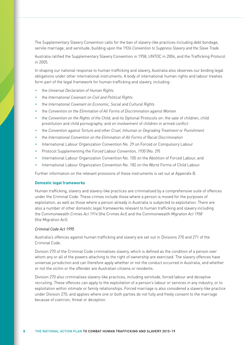The Supplementary Slavery Convention calls for the ban of slavery-like practices including debt bondage, servile marriage, and servitude, building upon the 1926 *Convention to Suppress Slavery and the Slave Trade*.

Australia ratified the Supplementary Slavery Convention in 1958, UNTOC in 2004, and the Trafficking Protocol in 2005.

In shaping our national response to human trafficking and slavery, Australia also observes our binding legal obligations under other international instruments. A body of international human rights and labour treaties form part of the legal framework for human trafficking and slavery, including:

- the *Universal Declaration of Human Rights*
- the *International Covenant on Civil and Political Rights*
- the *International Covenant on Economic, Social and Cultural Rights*
- the *Convention on the Elimination of All Forms of Discrimination against Women*
- the *Convention on the Rights of the Child*, and its Optional Protocols on: the sale of children, child prostitution and child pornography; and on involvement of children in armed conflict
- the *Convention against Torture and other Cruel, Inhuman or Degrading Treatment or Punishment*
- the *International Convention on the Elimination of All Forms of Racial Discrimination*
- International Labour Organization Convention No. 29 on Forced or Compulsory Labour
- Protocol Supplementing the *Forced Labour Convention, 1930* (No. 29)
- International Labour Organization Convention No. 105 on the Abolition of Forced Labour, and
- International Labour Organization Convention No. 182 on the Worst Forms of Child Labour.

Further information on the relevant provisions of these instruments is set out at Appendix B.

#### **Domestic legal frameworks**

Human trafficking, slavery and slavery-like practices are criminalised by a comprehensive suite of offences under the Criminal Code. These crimes include those where a person is moved for the purposes of exploitation, as well as those where a person already in Australia is subjected to exploitation. There are also a number of other domestic legal frameworks relevant to human trafficking and slavery including the Commonwealth *Crimes Act 1914* (the Crimes Act) and the Commonwealth *Migration Act 1958* (the Migration Act).

#### *Criminal Code Act 1995*

Australia's offences against human trafficking and slavery are set out in Divisions 270 and 271 of the Criminal Code.

Division 270 of the Criminal Code criminalises slavery, which is defined as the condition of a person over whom any or all of the powers attaching to the right of ownership are exercised. The slavery offences have universal jurisdiction and can therefore apply whether or not the conduct occurred in Australia, and whether or not the victim or the offender are Australian citizens or residents.

Division 270 also criminalises slavery-like practices, including servitude, forced labour and deceptive recruiting. These offences can apply to the exploitation of a person's labour or services in any industry, or to exploitation within intimate or family relationships. Forced marriage is also considered a slavery-like practice under Division 270, and applies where one or both parties do not fully and freely consent to the marriage because of coercion, threat or deception.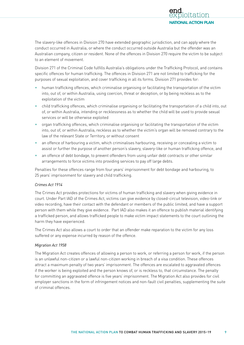The slavery-like offences in Division 270 have extended geographic jurisdiction, and can apply where the conduct occurred in Australia, or where the conduct occurred outside Australia but the offender was an Australian company, citizen or resident. None of the offences in Division 270 require the victim to be subject to an element of movement.

Division 271 of the Criminal Code fulfills Australia's obligations under the Trafficking Protocol, and contains specific offences for human trafficking. The offences in Division 271 are not limited to trafficking for the purposes of sexual exploitation, and cover trafficking in all its forms. Division 271 provides for:

- human trafficking offences, which criminalise organising or facilitating the transportation of the victim into, out of, or within Australia, using coercion, threat or deception, or by being reckless as to the exploitation of the victim
- child trafficking offences, which criminalise organising or facilitating the transportation of a child into, out of, or within Australia, intending or recklessness as to whether the child will be used to provide sexual services or will be otherwise exploited
- organ trafficking offences, which criminalise organising or facilitating the transportation of the victim into, out of, or within Australia, reckless as to whether the victim's organ will be removed contrary to the law of the relevant State or Territory, or without consent
- an offence of harbouring a victim, which criminalises harbouring, receiving or concealing a victim to assist or further the purpose of another person's slavery, slavery-like or human trafficking offence, and
- an offence of debt bondage, to prevent offenders from using unfair debt contracts or other similar arrangements to force victims into providing services to pay off large debts.

Penalties for these offences range from four years' imprisonment for debt bondage and harbouring, to 25 years' imprisonment for slavery and child trafficking.

### *Crimes Act 1914*

The Crimes Act provides protections for victims of human trafficking and slavery when giving evidence in court. Under Part IAD of the Crimes Act, victims can give evidence by closed-circuit television, video-link or video recording, have their contact with the defendant or members of the public limited, and have a support person with them while they give evidence. Part IAD also makes it an offence to publish material identifying a trafficked person, and allows trafficked people to make victim impact statements to the court outlining the harm they have experienced.

The Crimes Act also allows a court to order that an offender make reparation to the victim for any loss suffered or any expense incurred by reason of the offence.

#### *Migration Act 1958*

The Migration Act creates offences of allowing a person to work, or referring a person for work, if the person is an unlawful non-citizen or a lawful non-citizen working in breach of a visa condition. These offences attract a maximum penalty of two years' imprisonment. The offences are escalated to aggravated offences if the worker is being exploited and the person knows of, or is reckless to, that circumstance. The penalty for committing an aggravated offence is five years' imprisonment. The Migration Act also provides for civil employer sanctions in the form of infringement notices and non-fault civil penalties, supplementing the suite of criminal offences.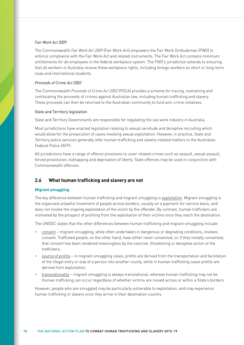#### <span id="page-17-0"></span>*Fair Work Act 2009*

The Commonwealth *Fair Work Act 2009* (Fair Work Act) empowers the Fair Work Ombudsman (FWO) to enforce compliance with the Fair Work Act and related instruments. The Fair Work Act contains minimum entitlements for all employees in the federal workplace system. The FWO's jurisdiction extends to ensuring that all workers in Australia receive these workplace rights, including foreign workers on short or long-term visas and international students.

#### *Proceeds of Crime Act 2002*

The Commonwealth *[Proceeds of Crime Act 2002](http://www.comlaw.gov.au/Series/C2004A01022)* (POCA) provides a scheme for tracing, restraining and confiscating the proceeds of crimes against Australian law, including human trafficking and slavery. These proceeds can then be returned to the Australian community to fund anti-crime initiatives.

#### State and Territory legislation

State and Territory Governments are responsible for regulating the sex work industry in Australia.

Most jurisdictions have enacted legislation relating to sexual servitude and deceptive recruiting which would allow for the prosecution of cases involving sexual exploitation. However, in practice, State and Territory police services generally refer human trafficking and slavery-related matters to the Australian Federal Police (AFP).

All jurisdictions have a range of offence provisions to cover related crimes such as assault, sexual assault, forced prostitution, kidnapping and deprivation of liberty. State offences may be used in conjunction with Commonwealth offences.

# **2.6 What human trafficking and slavery are not**

#### **Migrant smuggling**

The key difference between human trafficking and migrant smuggling is exploitation. Migrant smuggling is the organised unlawful movement of people across borders, usually on a payment-for-service basis, and does not involve the ongoing exploitation of the victim by the offender. By contrast, human traffickers are motivated by the prospect of profiting from the exploitation of their victims once they reach the destination.

The UNODC states that the other differences between human trafficking and migrant smuggling include:

- consent migrant smuggling, while often undertaken in dangerous or degrading conditions, involves consent. Trafficked people, on the other hand, have either never consented, or, if they initially consented, that consent has been rendered meaningless by the coercive, threatening or deceptive action of the traffickers.
- source of profits in migrant smuggling cases, profits are derived from the transportation and facilitation of the illegal entry or stay of a person into another county, while in human trafficking cases profits are derived from exploitation.
- transnationality migrant smuggling is always transnational, whereas human trafficking may not be. Human trafficking can occur regardless of whether victims are moved across or within a State's borders.

However, people who are smuggled may be particularly vulnerable to exploitation, and may experience human trafficking or slavery once they arrive in their destination country.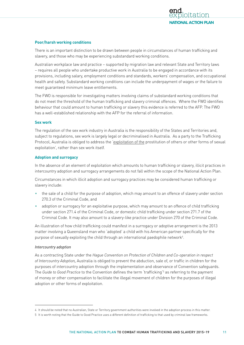

#### **Poor/harsh working conditions**

There is an important distinction to be drawn between people in circumstances of human trafficking and slavery, and those who may be experiencing substandard working conditions.

Australian workplace law and practice – supported by migration law and relevant State and Territory laws – requires all people who undertake productive work in Australia to be engaged in accordance with its provisions, including salary, employment conditions and standards, workers' compensation, and occupational health and safety. Substandard working conditions can include the underpayment of wages or the failure to meet guaranteed minimum leave entitlements.

The FWO is responsible for investigating matters involving claims of substandard working conditions that do not meet the threshold of the human trafficking and slavery criminal offences. Where the FWO identifies behaviour that could amount to human trafficking or slavery this evidence is referred to the AFP. The FWO has a well-established relationship with the AFP for the referral of information.

#### **Sex work**

The regulation of the sex work industry in Australia is the responsibility of the States and Territories and, subject to regulations, sex work is largely legal or decriminalised in Australia. As a party to the Trafficking Protocol, Australia is obliged to address the 'exploitation of the prostitution of others or other forms of sexual exploitation', rather than sex work itself.

#### **Adoption and surrogacy**

In the absence of an element of exploitation which amounts to human trafficking or slavery, illicit practices in intercountry adoption and surrogacy arrangements do not fall within the scope of the National Action Plan.

Circumstances in which illicit adoption and surrogacy practices may be considered human trafficking or slavery include:

- the sale of a child for the purpose of adoption, which may amount to an offence of slavery under section 270.3 of the Criminal Code, and
- adoption or surrogacy for an exploitative purpose, which may amount to an offence of child trafficking under section 271.4 of the Criminal Code, or domestic child trafficking under section 271.7 of the Criminal Code. It may also amount to a slavery-like practice under Division 270 of the Criminal Code.

An illustration of how child trafficking could manifest in a surrogacy or adoptive arrangement is the 2013 matter involving a Queensland man who 'adopted' a child with his American partner specifically for the purpose of sexually exploiting the child through an international paedophile network<sup>4</sup>.

#### *Intercountry adoption*

As a contracting State under the *Hague Convention on Protection of Children and Co-operation in respect of Intercountry Adoption,* Australia is obliged to prevent the abduction, sale of, or traffic in children for the purposes of intercountry adoption through the implementation and observance of Convention safeguards. The *Guide to Good Practice* to the Convention defines the term 'trafficking'<sup>5</sup> as referring to the payment of money or other compensation to facilitate the illegal movement of children for the purposes of illegal adoption or other forms of exploitation.

<sup>4</sup> It should be noted that no Australian, State or Territory government authorities were involved in the adoption process in this matter.

<sup>5</sup> It is worth noting that the Guide to Good Practice uses a different definition of trafficking to that used by criminal law frameworks.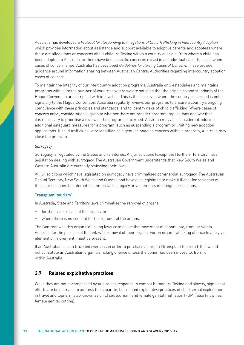<span id="page-19-0"></span>Australia has developed a *Protocol for Responding to Allegations of Child Trafficking in Intercountry Adoption*  which provides information about assistance and support available to adoptive parents and adoptees where there are allegations or concerns about child trafficking within a country of origin, from where a child has been adopted to Australia, or there have been specific concerns raised in an individual case. To assist when cases of concern arise, Australia has developed *Guidelines for Raising Cases of Concern*. These provide guidance around information sharing between Australian Central Authorities regarding intercountry adoption cases of concern.

To maintain the integrity of our intercountry adoption programs, Australia only establishes and maintains programs with a limited number of countries where we are satisfied that the principles and standards of the Hague Convention are complied with in practice. This is the case even where the country concerned is not a signatory to the Hague Convention. Australia regularly reviews our programs to ensure a country's ongoing compliance with these principles and standards, and to identify risks of child trafficking. Where cases of concern arise, consideration is given to whether there are broader program implications and whether it is necessary to prioritise a review of the program concerned. Australia may also consider introducing additional safeguard measures for a program, such as suspending a program or limiting new adoption applications. If child trafficking were identified as a genuine ongoing concern within a program, Australia may close the program.

#### *Surrogacy*

Surrogacy is regulated by the States and Territories. All jurisdictions (except the Northern Territory) have legislation dealing with surrogacy. The Australian Government understands that New South Wales and Western Australia are currently reviewing their laws.

All jurisdictions which have legislated on surrogacy have criminalised commercial surrogacy. The Australian Capital Territory, New South Wales and Queensland have also legislated to make it illegal for residents of those jurisdictions to enter into commercial surrogacy arrangements in foreign jurisdictions.

#### **Transplant 'tourism'**

In Australia, State and Territory laws criminalise the removal of organs:

- for the trade or sale of the organs, or
- where there is no consent for the removal of the organs.

The Commonwealth's organ trafficking laws criminalise the movement of donors into, from, or within Australia for the purpose of the unlawful removal of their organs. For an organ trafficking offence to apply, an element of 'movement' must be present.

If an Australian citizen travelled overseas in order to purchase an organ ('transplant tourism'), this would not constitute an Australian organ trafficking offence unless the donor had been moved to, from, or within Australia.

### **2.7 Related exploitative practices**

While they are not encompassed by Australia's response to combat human trafficking and slavery, significant efforts are being made to address the separate, but related exploitative practices of child sexual exploitation in travel and tourism (also known as child sex tourism) and female genital mutilation (FGM) (also known as female genital cutting).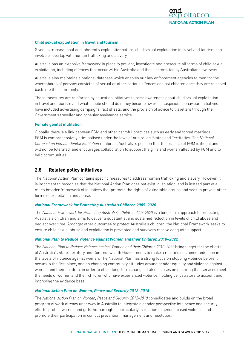

#### <span id="page-20-0"></span>**Child sexual exploitation in travel and tourism**

Given its transnational and inherently exploitative nature, child sexual exploitation in travel and tourism can involve or overlap with human trafficking and slavery.

Australia has an extensive framework in place to prevent, investigate and prosecute all forms of child sexual exploitation, including offences that occur within Australia and those committed by Australians overseas.

Australia also maintains a national database which enables our law enforcement agencies to monitor the whereabouts of persons convicted of sexual or other serious offences against children once they are released back into the community.

These measures are reinforced by education initiatives to raise awareness about child sexual exploitation in travel and tourism and what people should do if they become aware of suspicious behaviour. Initiatives have included advertising campaigns, fact sheets, and the provision of advice to travellers through the Government's traveller and consular assistance service.

#### **Female genital mutilation**

Globally, there is a link between FGM and other harmful practices such as early and forced marriage. FGM is comprehensively criminalised under the laws of Australia's States and Territories. The *National Compact on Female Genital Mutilation* reinforces Australia's position that the practice of FGM is illegal and will not be tolerated, and encourages collaboration to support the girls and women affected by FGM and to help communities.

### **2.8 Related policy initiatives**

The National Action Plan contains specific measures to address human trafficking and slavery. However, it is important to recognise that the National Action Plan does not exist in isolation, and is instead part of a much broader framework of initiatives that promote the rights of vulnerable groups and seek to prevent other forms of exploitation and abuse.

#### **National Framework for Protecting Australia's Children 2009–2020**

The *National Framework for Protecting Australia's Children 2009-2020* is a long-term approach to protecting Australia's children and aims to deliver a substantial and sustained reduction in levels of child abuse and neglect over time. Amongst other outcomes to protect Australia's children, the National Framework seeks to ensure child sexual abuse and exploitation is prevented and survivors receive adequate support.

#### **National Plan to Reduce Violence against Women and their Children 2010–2022**

The *National Plan to Reduce Violence against Women and their Children 2010–2022* brings together the efforts of Australia's State, Territory and Commonwealth Governments to make a real and sustained reduction in the levels of violence against women. The National Plan has a strong focus on stopping violence before it occurs in the first place, and on changing community attitudes around gender equality and violence against women and their children, in order to effect long-term change. It also focuses on ensuring that services meet the needs of women and their children who have experienced violence, holding perpetrators to account and improving the evidence base.

#### **National Action Plan on Women, Peace and Security 2012–2018**

The *National Action Plan on Women, Peace and Security 2012–2018* consolidates and builds on the broad program of work already underway in Australia to integrate a gender perspective into peace and security efforts, protect women and girls' human rights, particularly in relation to gender-based violence, and promote their participation in conflict prevention, management and resolution.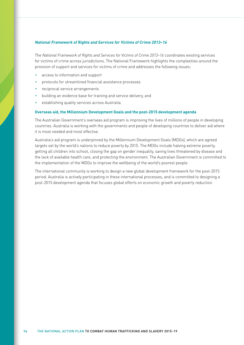#### **National Framework of Rights and Services for Victims of Crime 2013–16**

The *National Framework of Rights and Services for Victims of Crime 2013–16* coordinates existing services for victims of crime across jurisdictions. The National Framework highlights the complexities around the provision of support and services for victims of crime and addresses the following issues:

- access to information and support
- protocols for streamlined financial assistance processes
- reciprocal service arrangements
- building an evidence base for training and service delivery, and
- establishing quality services across Australia.

#### **Overseas aid, the Millennium Development Goals and the post-2015 development agenda**

The Australian Government's overseas aid program is improving the lives of millions of people in developing countries. Australia is working with the governments and people of developing countries to deliver aid where it is most needed and most effective.

Australia's aid program is underpinned by the Millennium Development Goals (MDGs), which are agreed targets set by the world's nations to reduce poverty by 2015. The MDGs include halving extreme poverty, getting all children into school, closing the gap on gender inequality, saving lives threatened by disease and the lack of available health care, and protecting the environment. The Australian Government is committed to the implementation of the MDGs to improve the wellbeing of the world's poorest people.

The international community is working to design a new global development framework for the post-2015 period. Australia is actively participating in these international processes, and is committed to designing a post-2015 development agenda that focuses global efforts on economic growth and poverty reduction.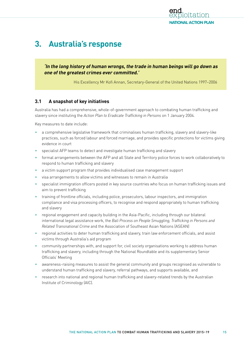

# <span id="page-22-0"></span>**3. Australia's response**

**'In the long history of human wrongs, the trade in human beings will go down as one of the greatest crimes ever committed.'**

His Excellency Mr Kofi Annan, Secretary-General of the United Nations 1997–2006

# **3.1 A snapshot of key initiatives**

Australia has had a comprehensive, whole-of-government approach to combating human trafficking and slavery since instituting the *Action Plan to Eradicate Trafficking in Persons* on 1 January 2004.

Key measures to date include:

- a comprehensive legislative framework that criminalises human trafficking, slavery and slavery-like practices, such as forced labour and forced marriage, and provides specific protections for victims giving evidence in court
- specialist AFP teams to detect and investigate human trafficking and slavery
- formal arrangements between the AFP and all State and Territory police forces to work collaboratively to respond to human trafficking and slavery
- a victim support program that provides individualised case management support
- visa arrangements to allow victims and witnesses to remain in Australia
- specialist immigration officers posted in key source countries who focus on human trafficking issues and aim to prevent trafficking
- training of frontline officials, including police, prosecutors, labour inspectors, and immigration compliance and visa processing officers, to recognise and respond appropriately to human trafficking and slavery
- regional engagement and capacity building in the Asia-Pacific, including through our bilateral international legal assistance work, the *Bali Process on People Smuggling, Trafficking in Persons and Related Transnational Crime* and the Association of Southeast Asian Nations (ASEAN)
- regional activities to deter human trafficking and slavery, train law enforcement officials, and assist victims through Australia's aid program
- community partnerships with, and support for, civil society organisations working to address human trafficking and slavery, including through the National Roundtable and its supplementary Senior Officials' Meeting
- awareness-raising measures to assist the general community and groups recognised as vulnerable to understand human trafficking and slavery, referral pathways, and supports available, and
- research into national and regional human trafficking and slavery-related trends by the Australian Institute of Criminology (AIC).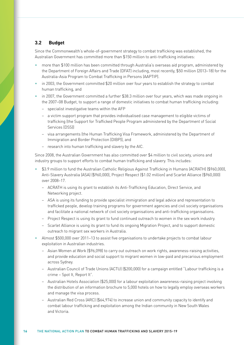# <span id="page-23-0"></span>**3.2 Budget**

Since the Commonwealth's whole-of-government strategy to combat trafficking was established, the Australian Government has committed more than \$150 million to anti-trafficking initiatives:

- more than \$100 million has been committed through Australia's overseas aid program, administered by the Department of Foreign Affairs and Trade (DFAT) including, most recently, \$50 million (2013–18) for the Australia-Asia Program to Combat Trafficking in Persons (AAPTIP).
- in 2003, the Government committed \$20 million over four years to establish the strategy to combat human trafficking, and
- in 2007, the Government committed a further \$38.3 million over four years, which was made ongoing in the 2007–08 Budget, to support a range of domestic initiatives to combat human trafficking including:
	- specialist investigative teams within the AFP
	- a victim support program that provides individualised case management to eligible victims of trafficking (the Support for Trafficked People Program administered by the Department of Social Services (DSS))
	- visa arrangements (the Human Trafficking Visa Framework, administered by the Department of Immigration and Border Protection (DIBP)), and
	- research into human trafficking and slavery by the AIC.

Since 2008, the Australian Government has also committed over \$4 million to civil society, unions and industry groups to support efforts to combat human trafficking and slavery. This includes:

- \$3.9 million to fund the Australian Catholic Religious Against Trafficking in Humans (ACRATH) (\$960,000), Anti-Slavery Australia (ASA) (\$960,000), Project Respect (\$1.02 million) and Scarlet Alliance (\$960,000) over 2008–17.
	- ACRATH is using its grant to establish its Anti-Trafficking Education, Direct Service, and Networking project.
	- ASA is using its funding to provide specialist immigration and legal advice and representation to trafficked people, develop training programs for government agencies and civil society organisations and facilitate a national network of civil society organisations and anti-trafficking organisations.
	- Project Respect is using its grant to fund continued outreach to women in the sex work industry.
	- Scarlet Alliance is using its grant to fund its ongoing Migration Project, and to support domestic outreach to migrant sex workers in Australia.
- Almost \$500,000 over 2011–13 to assist five organisations to undertake projects to combat labour exploitation in Australian industries.
	- Asian Women at Work (\$96,098) to carry out outreach on work rights, awareness-raising activities, and provide education and social support to migrant women in low-paid and precarious employment across Sydney.
	- Australian Council of Trade Unions (ACTU) (\$200,000) for a campaign entitled "Labour trafficking is a crime – Spot It, Report It".
	- Australian Hotels Association (\$25,000) for a labour exploitation awareness-raising project involving the distribution of an information brochure to 5,000 hotels on how to legally employ overseas workers and manage the visa process.
	- Australian Red Cross (ARC) (\$64,974) to increase union and community capacity to identify and combat labour trafficking and exploitation among the Indian community in New South Wales and Victoria.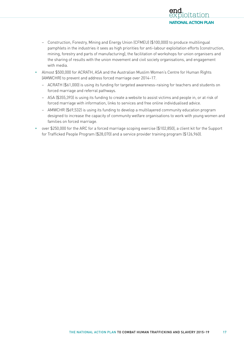

- Construction, Forestry, Mining and Energy Union (CFMEU) (\$100,000) to produce multilingual pamphlets in the industries it sees as high priorities for anti-labour exploitation efforts (construction, mining, forestry and parts of manufacturing), the facilitation of workshops for union organisers and the sharing of results with the union movement and civil society organisations, and engagement with media.
- Almost \$500,000 for ACRATH, ASA and the Australian Muslim Women's Centre for Human Rights (AMWCHR) to prevent and address forced marriage over 2014–17.
	- ACRATH (\$61,000) is using its funding for targeted awareness-raising for teachers and students on forced marriage and referral pathways.
	- ASA (\$355,393) is using its funding to create a website to assist victims and people in, or at risk of forced marriage with information, links to services and free online individualised advice.
	- AMWCHR (\$69,532) is using its funding to develop a multilayered community education program designed to increase the capacity of community welfare organisations to work with young women and families on forced marriage.
- over \$250,000 for the ARC for a forced marriage scoping exercise (\$102,850), a client kit for the Support for Trafficked People Program (\$28,070) and a service provider training program (\$126,960).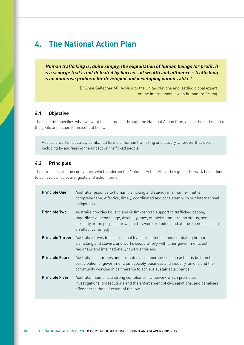# <span id="page-25-0"></span>**4. The National Action Plan**

 **Human trafficking is, quite simply, the exploitation of human beings for profit. It is a scourge that is not defeated by barriers of wealth and influence – trafficking is an immense problem for developed and developing nations alike.'**

> Dr Anne Gallagher AO, Advisor to the United Nations and leading global expert on the international law on human trafficking

### **4.1 Objective**

The objective specifies what we want to accomplish through the National Action Plan, and is the end result of the goals and action items set out below.

Australia works to actively combat all forms of human trafficking and slavery, wherever they occur, including by addressing the impact on trafficked people.

### **4.2 Principles**

The principles are the core values which underpin the National Action Plan. They guide the work being done to achieve our objective, goals and action items.

| <b>Principle One:</b>   | Australia responds to human trafficking and slavery in a manner that is<br>comprehensive, effective, timely, coordinated and consistent with our international<br>obligations.                                                                                                 |
|-------------------------|--------------------------------------------------------------------------------------------------------------------------------------------------------------------------------------------------------------------------------------------------------------------------------|
| <b>Principle Two:</b>   | Australia provides holistic and victim-centred support to trafficked people,<br>regardless of gender, age, disability, race, ethnicity, immigration status, sex,<br>sexuality or the purpose for which they were exploited, and affords them access to<br>an effective remedy. |
| <b>Principle Three:</b> | Australia strives to be a regional leader in deterring and combating human<br>trafficking and slavery, and works cooperatively with other governments both<br>regionally and internationally towards this end.                                                                 |
| <b>Principle Four:</b>  | Australia encourages and promotes a collaborative response that is built on the<br>participation of government, civil society, business and industry, unions and the<br>community working in partnership to achieve sustainable change.                                        |
| <b>Principle Five:</b>  | Australia maintains a strong compliance framework which promotes<br>investigations, prosecutions and the enforcement of civil sanctions, and penalises<br>offenders to the full extent of the law.                                                                             |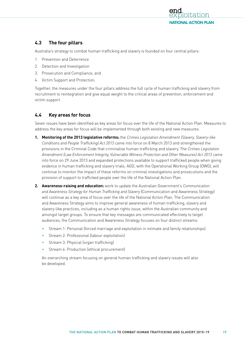

# <span id="page-26-0"></span>**4.3 The four pillars**

Australia's strategy to combat human trafficking and slavery is founded on four central pillars:

- 1. Prevention and Deterrence
- 2. Detection and Investigation
- 3. Prosecution and Compliance, and
- 4. Victim Support and Protection.

Together, the measures under the four pillars address the full cycle of human trafficking and slavery from recruitment to reintegration and give equal weight to the critical areas of prevention, enforcement and victim support.

# **4.4 Key areas for focus**

Seven issues have been identified as key areas for focus over the life of the National Action Plan. Measures to address the key areas for focus will be implemented through both existing and new measures.

- **1. Monitoring of the 2013 legislative reforms:** the *Crimes Legislation Amendment (Slavery, Slavery-like Conditions and People Trafficking) Act 2013* came into force on 8 March 2013 and strengthened the provisions in the Criminal Code that criminalise human trafficking and slavery. The *Crimes Legislation Amendment (Law Enforcement Integrity, Vulnerable Witness Protection and Other Measures) Act 2013* came into force on 29 June 2013 and expanded protections available to support trafficked people when giving evidence in human trafficking and slavery trials. AGD, with the Operational Working Group (OWG), will continue to monitor the impact of these reforms on criminal investigations and prosecutions and the provision of support to trafficked people over the life of the National Action Plan.
- **2. Awareness-raising and education:** work to update the Australian Government's *Communication and Awareness Strategy for Human Trafficking and Slavery* (Communication and Awareness Strategy) will continue as a key area of focus over the life of the National Action Plan. The Communication and Awareness Strategy aims to improve general awareness of human trafficking, slavery and slavery-like practices, including as a human rights issue, within the Australian community and amongst target groups. To ensure that key messages are communicated effectively to target audiences, the Communication and Awareness Strategy focuses on four distinct streams:
	- Stream 1: Personal (forced marriage and exploitation in intimate and family relationships)
	- Stream 2: Professional (labour exploitation)
	- Stream 3: Physical (organ trafficking)
	- Stream 4: Production (ethical procurement)

An overarching stream focusing on general human trafficking and slavery issues will also be developed.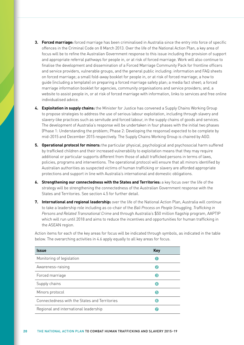- **3. Forced marriage:** forced marriage has been criminalised in Australia since the entry into force of specific offences in the Criminal Code on 8 March 2013. Over the life of the National Action Plan, a key area of focus will be to refine the Australian Government response to this issue including the provision of support and appropriate referral pathways for people in, or at risk of forced marriage. Work will also continue to finalise the development and dissemination of a Forced Marriage Community Pack for frontline officers and service providers, vulnerable groups, and the general public including: information and FAQ sheets on forced marriage; a small fold-away booklet for people in, or at risk of forced marriage; a how to guide (including a template) on preparing a forced marriage safety plan; a media fact sheet; a forced marriage information booklet for agencies, community organisations and service providers; and, a website to assist people in, or at risk of forced marriage with information, links to services and free online individualised advice.
- **4. Exploitation in supply chains:** the Minister for Justice has convened a Supply Chains Working Group to propose strategies to address the use of serious labour exploitation, including through slavery and slavery-like practices such as servitude and forced labour, in the supply chains of goods and services. The development of Australia's response will be undertaken in four phases with the initial two phases (Phase 1: Understanding the problem; Phase 2: Developing the response) expected to be complete by mid-2015 and December 2015 respectively. The Supply Chains Working Group is chaired by AGD.
- **5. Operational protocol for minors:** the particular physical, psychological and psychosocial harm suffered by trafficked children and their increased vulnerability to exploitation means that they may require additional or particular supports different from those of adult trafficked persons in terms of laws, policies, programs and interventions. The operational protocol will ensure that all minors identified by Australian authorities as suspected victims of human trafficking or slavery are afforded appropriate protections and support in line with Australia's international and domestic obligations.
- **6. Strengthening our connectedness with the States and Territories:** a key focus over the life of the strategy will be strengthening the connectedness of the Australian Government response with the States and Territories. See section 4.5 for further detail.
- **7. International and regional leadership:** over the life of the National Action Plan, Australia will continue to take a leadership role including as co-chair of the *Bali Process on People Smuggling, Trafficking in Persons and Related Transnational Crime* and through Australia's \$50 million flagship program, AAPTIP which will run until 2018 and aims to reduce the incentives and opportunities for human trafficking in the ASEAN region.

Action items for each of the key areas for focus will be indicated through symbols, as indicated in the table below. The overarching activities in 4.6 apply equally to all key areas for focus.

| <b>Issue</b>                                  | Key            |
|-----------------------------------------------|----------------|
| Monitoring of legislation                     | п              |
| Awareness-raising                             | 2              |
| Forced marriage                               | B              |
| Supply chains                                 | $\overline{A}$ |
| Minors protocol                               | 6              |
| Connectedness with the States and Territories | 6              |
| Regional and international leadership         |                |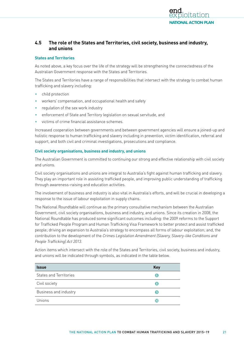

# <span id="page-28-0"></span>**4.5 The role of the States and Territories, civil society, business and industry, and unions**

#### **States and Territories**

As noted above, a key focus over the life of the strategy will be strengthening the connectedness of the Australian Government response with the States and Territories.

The States and Territories have a range of responsibilities that intersect with the strategy to combat human trafficking and slavery including:

- child protection
- workers' compensation, and occupational health and safety
- regulation of the sex work industry
- enforcement of State and Territory legislation on sexual servitude, and
- victims of crime financial assistance schemes.

Increased cooperation between governments and between government agencies will ensure a joined-up and holistic response to human trafficking and slavery including in prevention, victim identification, referral and support, and both civil and criminal investigations, prosecutions and compliance.

#### **Civil society organisations, business and industry, and unions**

The Australian Government is committed to continuing our strong and effective relationship with civil society and unions.

Civil society organisations and unions are integral to Australia's fight against human trafficking and slavery. They play an important role in assisting trafficked people, and improving public understanding of trafficking through awareness-raising and education activities.

The involvement of business and industry is also vital in Australia's efforts, and will be crucial in developing a response to the issue of labour exploitation in supply chains.

The National Roundtable will continue as the primary consultative mechanism between the Australian Government, civil society organisations, business and industry, and unions. Since its creation in 2008, the National Roundtable has produced some significant outcomes including: the 2009 reforms to the Support for Trafficked People Program and Human Trafficking Visa Framework to better protect and assist trafficked people; driving an expansion to Australia's strategy to encompass all forms of labour exploitation; and, the contribution to the development of the *Crimes Legislation Amendment (Slavery, Slavery-like Conditions and People Trafficking) Act 2013*.

Action items which intersect with the role of the States and Territories, civil society, business and industry, and unions will be indicated through symbols, as indicated in the table below.

| <b>Issue</b>           | <b>Key</b> |
|------------------------|------------|
| States and Territories | 6          |
| Civil society          | 8          |
| Business and industry  | (9         |
| Unions                 | (10        |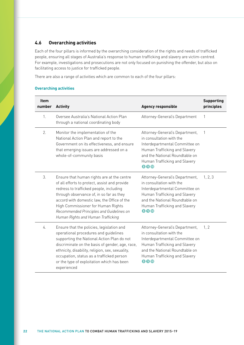# <span id="page-29-0"></span>**4.6 Overarching activities**

Each of the four pillars is informed by the overarching consideration of the rights and needs of trafficked people, ensuring all stages of Australia's response to human trafficking and slavery are victim-centred. For example, investigations and prosecutions are not only focused on punishing the offender, but also on facilitating access to justice for trafficked people.

There are also a range of activities which are common to each of the four pillars:

#### **Overarching activities**

| <b>Item</b><br>number | <b>Activity</b>                                                                                                                                                                                                                                                                                                                                           | <b>Agency responsible</b>                                                                                                                                                                               | <b>Supporting</b><br>principles |
|-----------------------|-----------------------------------------------------------------------------------------------------------------------------------------------------------------------------------------------------------------------------------------------------------------------------------------------------------------------------------------------------------|---------------------------------------------------------------------------------------------------------------------------------------------------------------------------------------------------------|---------------------------------|
| $1_{-}$               | Oversee Australia's National Action Plan<br>through a national coordinating body                                                                                                                                                                                                                                                                          | Attorney-General's Department                                                                                                                                                                           | 1                               |
| 2.                    | Monitor the implementation of the<br>National Action Plan and report to the<br>Government on its effectiveness, and ensure<br>that emerging issues are addressed on a<br>whole-of-community basis                                                                                                                                                         | Attorney-General's Department,<br>in consultation with the<br>Interdepartmental Committee on<br>Human Trafficking and Slavery<br>and the National Roundtable on<br>Human Trafficking and Slavery<br>800 | $\mathbf{1}$                    |
| 3.                    | Ensure that human rights are at the centre<br>of all efforts to protect, assist and provide<br>redress to trafficked people, including<br>through observance of, in so far as they<br>accord with domestic law, the Office of the<br>High Commissioner for Human Rights<br>Recommended Principles and Guidelines on<br>Human Rights and Human Trafficking | Attorney-General's Department,<br>in consultation with the<br>Interdepartmental Committee on<br>Human Trafficking and Slavery<br>and the National Roundtable on<br>Human Trafficking and Slavery<br>800 | 1, 2, 3                         |
| 4.                    | Ensure that the policies, legislation and<br>operational procedures and guidelines<br>supporting the National Action Plan do not<br>discriminate on the basis of gender, age, race,<br>ethnicity, disability, religion, sex, sexuality,<br>occupation, status as a trafficked person<br>or the type of exploitation which has been<br>experienced         | Attorney-General's Department,<br>in consultation with the<br>Interdepartmental Committee on<br>Human Trafficking and Slavery<br>and the National Roundtable on<br>Human Trafficking and Slavery<br>800 | 1, 2                            |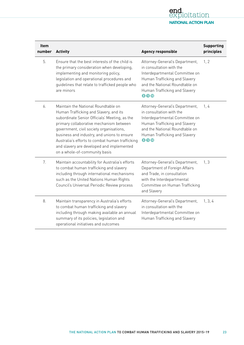

| <b>Item</b><br>number | <b>Activity</b>                                                                                                                                                                                                                                                                                                                                                                                       | <b>Agency responsible</b>                                                                                                                                                                                      | <b>Supporting</b><br>principles |
|-----------------------|-------------------------------------------------------------------------------------------------------------------------------------------------------------------------------------------------------------------------------------------------------------------------------------------------------------------------------------------------------------------------------------------------------|----------------------------------------------------------------------------------------------------------------------------------------------------------------------------------------------------------------|---------------------------------|
| 5.                    | Ensure that the best interests of the child is<br>the primary consideration when developing,<br>implementing and monitoring policy,<br>legislation and operational procedures and<br>guidelines that relate to trafficked people who<br>are minors                                                                                                                                                    | Attorney-General's Department,<br>in consultation with the<br>Interdepartmental Committee on<br>Human Trafficking and Slavery<br>and the National Roundtable on<br>Human Trafficking and Slavery<br><b>800</b> | 1, 2                            |
| 6.                    | Maintain the National Roundtable on<br>Human Trafficking and Slavery, and its<br>subordinate Senior Officials' Meeting, as the<br>primary collaborative mechanism between<br>government, civil society organisations,<br>business and industry, and unions to ensure<br>Australia's efforts to combat human trafficking<br>and slavery are developed and implemented<br>on a whole-of-community basis | Attorney-General's Department,<br>in consultation with the<br>Interdepartmental Committee on<br>Human Trafficking and Slavery<br>and the National Roundtable on<br>Human Trafficking and Slavery<br>800        | 1,4                             |
| 7.                    | Maintain accountability for Australia's efforts<br>to combat human trafficking and slavery<br>including through international mechanisms<br>such as the United Nations Human Rights<br>Council's Universal Periodic Review process                                                                                                                                                                    | Attorney-General's Department,<br>Department of Foreign Affairs<br>and Trade, in consultation<br>with the Interdepartmental<br>Committee on Human Trafficking<br>and Slavery                                   | 1, 3                            |
| 8.                    | Maintain transparency in Australia's efforts<br>to combat human trafficking and slavery<br>including through making available an annual<br>summary of its policies, legislation and<br>operational initiatives and outcomes                                                                                                                                                                           | Attorney-General's Department,<br>in consultation with the<br>Interdepartmental Committee on<br>Human Trafficking and Slavery                                                                                  | 1, 3, 4                         |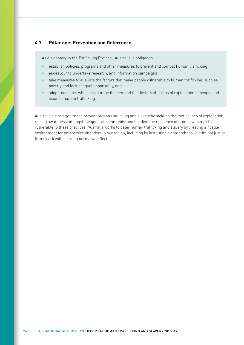# <span id="page-31-0"></span>**4.7 Pillar one: Prevention and Deterrence**

As a signatory to the Trafficking Protocol, Australia is obliged to:

- establish policies, programs and other measures to prevent and combat human trafficking
- endeavour to undertake research, and information campaigns
- take measures to alleviate the factors that make people vulnerable to human trafficking, such as poverty and lack of equal opportunity, and
- adopt measures which discourage the demand that fosters all forms of exploitation of people and leads to human trafficking.

Australia's strategy aims to prevent human trafficking and slavery by tackling the root causes of exploitation, raising awareness amongst the general community, and building the resilience of groups who may be vulnerable to these practices. Australia works to deter human trafficking and slavery by creating a hostile environment for prospective offenders in our region, including by instituting a comprehensive criminal justice framework with a strong normative effect.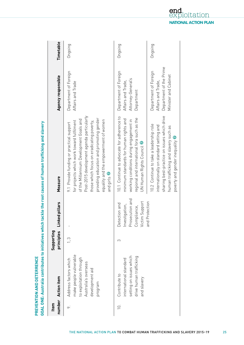|                  |                                                                                                                                  |                          |                                                                                         | GOAL ONE: Australia contributes to initiatives which tackle the root causes of human trafficking and slavery                                                                                                                                                                                                                          |                                                                                                |           |
|------------------|----------------------------------------------------------------------------------------------------------------------------------|--------------------------|-----------------------------------------------------------------------------------------|---------------------------------------------------------------------------------------------------------------------------------------------------------------------------------------------------------------------------------------------------------------------------------------------------------------------------------------|------------------------------------------------------------------------------------------------|-----------|
| Item             | number Action item                                                                                                               | Supporting<br>principles | Linked pillars                                                                          | Measure                                                                                                                                                                                                                                                                                                                               | Agency responsible                                                                             | Timetable |
| $\infty$         | make people vulnerable<br>to exploitation through<br>Address factors which<br>Australia's overseas<br>development aid<br>program | $\frac{3}{1}$            | $\sf I$                                                                                 | Post-2015 development agenda particularly<br>providing education and promoting gender<br>of the Millennium Development Goals and<br>equality and the empowerment of women<br>for projects which work toward fulfilment<br>those which focus on eradicating poverty,<br>9.1 Provide funding or practical support<br>and girls <b>7</b> | Department of Foreign<br>Affairs and Trade                                                     | Ongoing   |
| $\overline{0}$ . | setting on issues which<br>drive human trafficking<br>international standard<br>Contribute to<br>and slavery                     | S                        | Prosecution and<br>Victim Support<br>ection and<br>Investigation,<br>Compliance,<br>Det | 10.1 Continue to advocate for adherence to<br>regional and international fora such as the<br>minimum standards for human rights and<br>working conditions during engagement in<br>UN Human Rights Council                                                                                                                             | Department of Foreign<br>Attorney-General's<br>Affairs and Trade,<br>Department                | Ongoing   |
|                  |                                                                                                                                  |                          | and Protection                                                                          | sharing best-practice on issues which drive<br>10.2 Continue to take a leadership role<br>nternationally on standard setting and<br>human trafficking and slavery such as<br>poverty and gender inequality                                                                                                                            | Department of the Prime<br>Department of Foreign<br>Minister and Cabinet<br>Affairs and Trade, | Ongoing   |

Ĩ, ś d J. **VENTION AND DETERRENCE**

**PRE**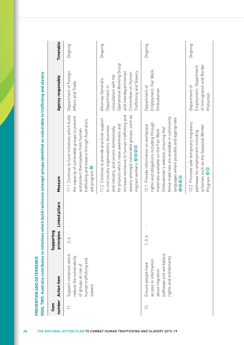| number<br>Item | <b>Action item</b>                                                                                                  | Supporting<br>principles | ced pillars<br>ءِ<br>ت | Measure                                                                                                                                                                                                                                                                                                | Agency responsible                                                                                                                                                  | Timetable |
|----------------|---------------------------------------------------------------------------------------------------------------------|--------------------------|------------------------|--------------------------------------------------------------------------------------------------------------------------------------------------------------------------------------------------------------------------------------------------------------------------------------------------------|---------------------------------------------------------------------------------------------------------------------------------------------------------------------|-----------|
| $\equiv$       | Support initiatives which<br>reduce the vulnerability<br>human trafficking and<br>of groups at risk of<br>slavery   | 3, 4                     |                        | the capacity of vulnerable groups to prevent<br>11.1 Continue to fund initiatives which build<br>trafficking and slavery through Australia's<br>and protect themselves from human<br>aid program <sup>7</sup>                                                                                          | Department of Foreign<br>Affairs and Trade                                                                                                                          | Ongoing   |
|                |                                                                                                                     |                          |                        | slavery amongst vulnerable groups, such as<br>increase resilience to human trafficking and<br>11.2 Continue to provide practical support<br>for projects which raise awareness and<br>to civil society organisations, business<br>and industry, and unions domestically<br>migrant workers <b>2000</b> | Operational Working Group<br>Trafficking and Slavery<br>and Interdepartmental<br>Committee on Human<br>consultation with the<br>Attorney-General's<br>Department in | Ongoing   |
| 12.            | pathways and workplace<br>rights and entitlements<br>access to information<br>Ensure people have<br>about migration | 1, 3, 4                  |                        | these materials are available in community<br>languages where possible and appropriate<br>rights and obligations including through<br>12.1 Provide information on workplace<br>Ombudsman's website, ensuring that<br>materials available on the Fair Work<br>0000                                      | Employment, Fair Work<br>Department of<br>Ombudsman                                                                                                                 | Ongoing   |
|                |                                                                                                                     |                          |                        | 12.2 Promote safe temporary migratory<br>schemes such as the Seasonal Worker<br>pathways for employment including<br>Program 90                                                                                                                                                                        | of Immigration and Border<br>Employment, Department<br>Department of<br>Protection                                                                                  | Ongoing   |

**<sup>26</sup>**THE NATIONAL ACTION PLAN TO COMBAT HUMAN TRAFFICKING AND SLAVERY 2015–19 **PRE**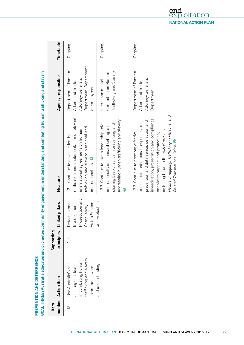| Item              | number Action item                                                                                                    | Supporting<br>principles | Linked pillars                                                                      | Measure                                                                                                                                                                                                                                                                                                                                | Agency responsible                                                                                           | Timetable |
|-------------------|-----------------------------------------------------------------------------------------------------------------------|--------------------------|-------------------------------------------------------------------------------------|----------------------------------------------------------------------------------------------------------------------------------------------------------------------------------------------------------------------------------------------------------------------------------------------------------------------------------------|--------------------------------------------------------------------------------------------------------------|-----------|
| $\overline{13}$ . | to promote awareness<br>trafficking and slavery<br>in combating human<br>as a regional leader<br>Use Australia's role | $\frac{3}{2}$            | Prosecution and<br>Victim Support<br>Detection and<br>Investigation,<br>Compliance, | ratification and implementation of relevant<br>trafficking and slavery in regional and<br>international agreements on human<br>13.1 Continue to advocate for the<br>international fora                                                                                                                                                 | Department, Department<br>Department of Foreign<br>Attorney-General's<br>Affairs and Trade,<br>of Employment | Ongoing   |
|                   | and understanding                                                                                                     |                          | and Protection                                                                      | addressing human trafficking and slavery<br>sharing best-practice in preventing and<br>13.2 Continue to take a leadership role<br>internationally on standard setting and                                                                                                                                                              | Trafficking and Slavery<br>Committee on Human<br>Interdepartmental                                           | Ongoing   |
|                   |                                                                                                                       |                          |                                                                                     | People Smuggling, Trafficking in Persons, and<br>investigation, prosecution and compliance,<br>prevention and deterrence, detection and<br>and coordinated regional responses to<br>including through the Bali Process on<br>13.3 Continue to promote effective<br>and victim support and protection,<br>Related Transnational Crime 7 | Department of Foreign<br>Attorney-General's<br>Affairs and Trade,<br>Department                              | Ongoing   |

**VENTION AND DETERRENCE**

**PRE**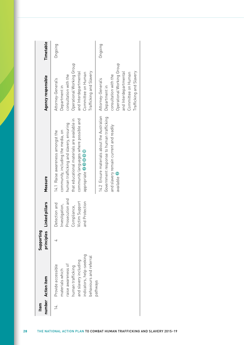| Item | number Action item                                                                                                                                               | Supporting | principles Linked pillars                                                                            | Measure                                                                                                                                                                                                                         | Agency responsible                                                                                                                                                  | Timetable |
|------|------------------------------------------------------------------------------------------------------------------------------------------------------------------|------------|------------------------------------------------------------------------------------------------------|---------------------------------------------------------------------------------------------------------------------------------------------------------------------------------------------------------------------------------|---------------------------------------------------------------------------------------------------------------------------------------------------------------------|-----------|
|      | indicators, help-seeking<br>behaviours and referral<br>and slavery including<br>raise awareness of<br>Provide accessible<br>human trafficking<br>materials which |            | Prosecution and<br>Victim Support<br>and Protection<br>Detection and<br>nvestigation,<br>Compliance, | community languages where possible and<br>that educational materials are available in<br>human trafficking and slavery, ensuring<br>community, including the media, on<br>14.1 Raise awareness amongst the<br>appropriate 28800 | Operational Working Group<br>Trafficking and Slavery<br>and Interdepartmental<br>Committee on Human<br>consultation with the<br>Attorney-General's<br>Department in | Dngoing   |
|      | pathways                                                                                                                                                         |            |                                                                                                      | 14.2 Ensure materials about the Australian<br>Government response to human trafficking<br>and slavery remain current and readily<br>available 2                                                                                 | Operational Working Group<br>Trafficking and Slavery<br>and Interdepartmental<br>Committee on Human<br>consultation with the<br>Attorney-General's<br>Department in | Dngoing   |

**28** THE NATIONAL ACTION PLAN TO COMBAT HUMAN TRAFFICKING AND SLAVERY 2015–19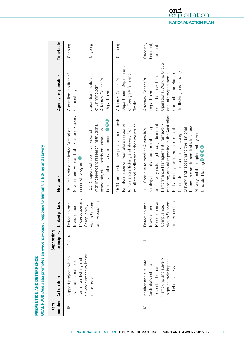|                  |                                                                                                                                             |                          |                                                                                                       | GOAL FOUR: Australia promotes an evidence-based response to human trafficking and slavery                                                                                                                                                                                                                                                                                                                                                     |                                                                                                                                                                     |                                 |
|------------------|---------------------------------------------------------------------------------------------------------------------------------------------|--------------------------|-------------------------------------------------------------------------------------------------------|-----------------------------------------------------------------------------------------------------------------------------------------------------------------------------------------------------------------------------------------------------------------------------------------------------------------------------------------------------------------------------------------------------------------------------------------------|---------------------------------------------------------------------------------------------------------------------------------------------------------------------|---------------------------------|
| number<br>Item   | <b>Action item</b>                                                                                                                          | Supporting<br>principles | Linked pillars                                                                                        | Measure                                                                                                                                                                                                                                                                                                                                                                                                                                       | Agency responsible                                                                                                                                                  | Timetable                       |
| $\overline{5}$ . | Support projects which<br>human trafficking and<br>examine the nature of                                                                    | 1, 3, 4                  | Prosecution and<br>Detection and<br>Investigation,                                                    | Government Human Trafficking and Slavery<br>15.1 Maintain a dedicated Australian<br>research program                                                                                                                                                                                                                                                                                                                                          | Australian Institute of<br>Criminology                                                                                                                              | Ongoing                         |
|                  | slavery domestically and<br>in our region                                                                                                   |                          | Victim Support<br>and Protection<br>Compliance,                                                       | business and industry, and unions <sup>3</sup> O O<br>with independent research institutions,<br>academia, civil society organisations,<br>15.2 Support collaborative research                                                                                                                                                                                                                                                                | Australian Institute<br>Attorney-General's<br>of Criminology,<br>Department                                                                                         | Ongoing                         |
|                  |                                                                                                                                             |                          |                                                                                                       | 15.3 Continue to be responsive to requests<br>multilateral bodies and other countries<br>for information on Australia's response<br>to human trafficking and slavery from                                                                                                                                                                                                                                                                     | Department, Department<br>of Foreign Affairs and<br>Attorney-General's<br>Trade                                                                                     | Ongoing                         |
| 16.              | trafficking and slavery<br>to gauge their impact<br>Monitor and evaluate<br>Australia's initiatives<br>to combat human<br>and effectiveness |                          | Prosecution and<br>Victim Support<br>and Protection<br>Detection and<br>Investigation,<br>Compliance, | reporting, annual reporting to the Australian<br>Performance Management Framework<br>and slavery including through biannual<br>Roundtable on Human Trafficking and<br>Committee on Human Trafficking and<br>Slavery and its supplementary Senior<br>strategy to combat human trafficking<br>Slavery, and reporting to the National<br>Parliament by the Interdepartmental<br>16.1 Continue to monitor Australia's<br>Officials' Meeting O O O | Operational Working Group<br>Trafficking and Slavery<br>and Interdepartmental<br>Committee on Human<br>consultation with the<br>Attorney-General's<br>Department in | biannual,<br>Ongoing,<br>Jennne |

widence-based response to buman trafficking and slavery **VENTION AND DETERRENCE**

**PRE**

#### end oitation **NATIONAL ACTION PLAN**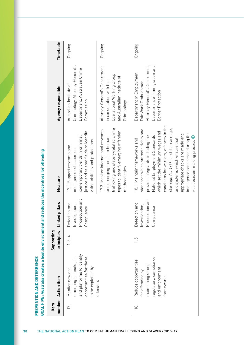| Item           |                                                                                                                           | Supporting |                                                                      |                                                                                                                                                                                                                                                                                                                                                                                                          |                                                                                                                                           |           |
|----------------|---------------------------------------------------------------------------------------------------------------------------|------------|----------------------------------------------------------------------|----------------------------------------------------------------------------------------------------------------------------------------------------------------------------------------------------------------------------------------------------------------------------------------------------------------------------------------------------------------------------------------------------------|-------------------------------------------------------------------------------------------------------------------------------------------|-----------|
|                | number Action item                                                                                                        | principles | Linked pillars                                                       | Measure                                                                                                                                                                                                                                                                                                                                                                                                  | Agency responsible                                                                                                                        | Timetable |
| 17.            | and platforms to identify<br>emerging technologies<br>opportunities for these<br>to be exploited by<br>Monitor new and    | 1, 3, 4    | Prosecution and<br>Detection and<br>Investigation,<br>Compliance     | justice and related fields to identify<br>contemporary trends in criminal<br>vulnerabilities and protections<br>17.1 Support research and<br>ntelligence collection on                                                                                                                                                                                                                                   | Criminology, Attorney-General's<br>Department, Australian Crime<br>Australian Institute of<br>Commission                                  | Ongoing   |
|                | offenders                                                                                                                 |            |                                                                      | trafficking and slavery-related crime<br>17.2 Monitor international research<br>types to identify emerging offender<br>and emerging trends on human<br>methodologies                                                                                                                                                                                                                                     | Attorney-General's Department<br>Operational Working Group<br>and Australian Institute of<br>in consultation with the<br>Criminology      | Ongoing   |
| $\overline{8}$ | regulatory, compliance<br>Reduce opportunities<br>maintaining strong<br>and enforcement<br>for offending by<br>frameworks | С<br>-     | secution and<br>Detection and<br>Investigation,<br>Compliance<br>Pro | conditions for workers, offences in the<br>Marriage Act 1961 for child marriage,<br>standards which promote rights and<br>which set the minimum wages and<br>intelligence considered during the<br>appropriate checks are made and<br>provide safeguards including the<br>National Employment Standards<br>visa decision-making process<br>and systems which ensure that<br>18.1 Maintain frameworks and | Attorney-General's Department,<br>Department of Immigration and<br>Department of Employment,<br>Fair Work Ombudsman,<br>Border Protection | Ongoing   |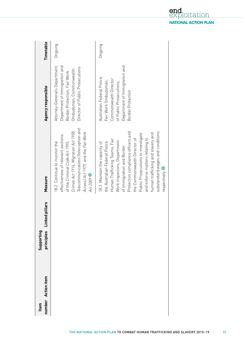| number Action item<br>Item | ced pillars<br>ن<br>آ<br>Supporting<br>principles | Measure                                                                                                                                                                                                                                                                                                                                                                                             | Agency responsible                                                                                                                                            | Timetable |
|----------------------------|---------------------------------------------------|-----------------------------------------------------------------------------------------------------------------------------------------------------------------------------------------------------------------------------------------------------------------------------------------------------------------------------------------------------------------------------------------------------|---------------------------------------------------------------------------------------------------------------------------------------------------------------|-----------|
|                            |                                                   | Telecommunications (Interception and<br>Crimes Act 1914, Migration Act 1958,<br>Access) Act 1979, and the Fair Work<br>effectiveness of relevant sections<br>18.2 Continue to monitor the<br>of the Criminal Code Act 1995,<br>Act 2009                                                                                                                                                             | Attorney-General's Department,<br>Department of Immigration and<br>Director of Public Prosecutions<br>Ombudsman, Commonwealth<br>Border Protection, Fair Work | Ongoing   |
|                            |                                                   | Protection compliance officers and<br>substandard wages and conditions<br>human trafficking and slavery and<br>Public Prosecutions to investigate<br>and enforce matters relating to<br>the Commonwealth Director of<br>Human Trafficking Teams, Fair<br>Work inspectors, Department<br>the Australian Federal Police<br>18.3 Maintain the capacity of<br>of Immigration and Border<br>respectively | Department of Immigration and<br>Australian Federal Police,<br>Commonwealth Director<br>Fair Work Ombudsman,<br>of Public Prosecutions,<br>Border Protection  | Ongoing   |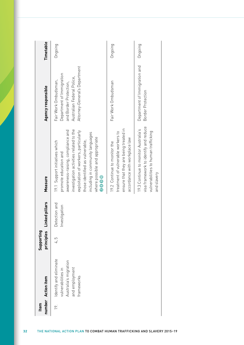| Item | number Action item                                                                                    | principles<br>Supporting | Linked pillars                 | Measure                                                                                                                                                                                                                                                                                           | Agency responsible                                                                                                                         | Timetable |
|------|-------------------------------------------------------------------------------------------------------|--------------------------|--------------------------------|---------------------------------------------------------------------------------------------------------------------------------------------------------------------------------------------------------------------------------------------------------------------------------------------------|--------------------------------------------------------------------------------------------------------------------------------------------|-----------|
| 19.  | Identify and eliminate<br>Australia's migration<br>and employment<br>vulnerabilities in<br>frameworks | 4,5                      | Detection and<br>Investigation | investigation activities related to the<br>awareness-raising, compliance and<br>exploitation of workers, particularly<br>including in community languages<br>where possible and appropriate<br>those identified as vulnerable,<br>19.1 Support initiatives which<br>promote education and<br>0000 | Attorney-General's Department<br>Department of Immigration<br>Australian Federal Police,<br>Fair Work Ombudsman,<br>and Border Protection, | Ongoing   |
|      |                                                                                                       |                          |                                | ensure that they are being treated in<br>treatment of vulnerable workers to<br>accordance with workplace law<br>19.2 Continue to monitor the                                                                                                                                                      | Fair Work Ombudsman                                                                                                                        | Ongoing   |
|      |                                                                                                       |                          |                                | visa framework to identify and reduce<br>19.3 Continue to monitor Australia's<br>vulnerabilities to human trafficking<br>and slavery                                                                                                                                                              | Department of Immigration and<br>Border Protection                                                                                         | Ongoing   |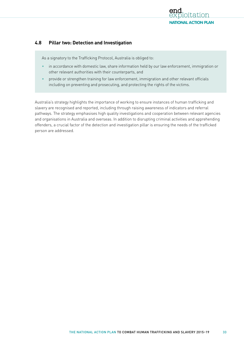

## **4.8 Pillar two: Detection and Investigation**

As a signatory to the Trafficking Protocol, Australia is obliged to:

- in accordance with domestic law, share information held by our law enforcement, immigration or other relevant authorities with their counterparts, and
- provide or strengthen training for law enforcement, immigration and other relevant officials including on preventing and prosecuting, and protecting the rights of the victims.

Australia's strategy highlights the importance of working to ensure instances of human trafficking and slavery are recognised and reported, including through raising awareness of indicators and referral pathways. The strategy emphasises high quality investigations and cooperation between relevant agencies and organisations in Australia and overseas. In addition to disrupting criminal activities and apprehending offenders, a crucial factor of the detection and investigation pillar is ensuring the needs of the trafficked person are addressed.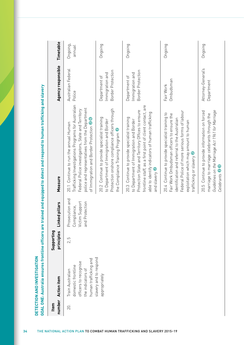| Item   |                                                                                                               | Supporting   |                                                                           |                                                                                                                                                                                                                                                                                         |                                                              |                    |
|--------|---------------------------------------------------------------------------------------------------------------|--------------|---------------------------------------------------------------------------|-----------------------------------------------------------------------------------------------------------------------------------------------------------------------------------------------------------------------------------------------------------------------------------------|--------------------------------------------------------------|--------------------|
| number | <b>Action item</b>                                                                                            | principles   | ked pillars<br>ءَن                                                        | Measure                                                                                                                                                                                                                                                                                 | Agency responsible                                           | Timetable          |
| 20.    | human trafficking and<br>officers to recognise<br>domestic frontline<br>the indicators of<br>Train Australian | LO<br>$\sim$ | secution and<br>Victim Support<br>Protection<br>Compliance,<br>Pro<br>and | Trafficking Investigations Programs for Australian<br>police and representatives from the Department<br>Federal Police investigators, State and Territory<br>of Immigration and Border Protection <sup>20</sup><br>Continue to run the annual Human<br>20.1                             | Australian Federal<br>Police                                 | Ongoing,<br>annual |
|        | slavery and to respond<br>appropriately                                                                       |              |                                                                           | Protection onshore compliance officers through<br>20.2 Continue to provide specialist training<br>to Department of Immigration and Border<br>the Compliance Training Program <sup>2</sup>                                                                                               | <b>Border Protection</b><br>Immigration and<br>Department of | Ongoing            |
|        |                                                                                                               |              |                                                                           | frontline staff, as a first point of client contact, are<br>Protection State and Territory Offices to ensure<br>able to identify indicators of human trafficking<br>20.3 Continue to provide specialist training<br>to Department of Immigration and Border<br>and slavery <sup>2</sup> | Border Protection<br>Immigration and<br>Department of        | Ongoing            |
|        |                                                                                                               |              |                                                                           | Federal Police of more serious forms of labour<br>20.4 Continue to provide specialist training to<br>Fair Work Ombudsman officers to ensure the<br>identification and referral to the Australian<br>exploitation which may amount to human<br>$\bullet$<br>trafficking or slavery       | Ombudsman<br>Fair Work                                       | Ongoing            |
|        |                                                                                                               |              |                                                                           | Guidelines on the Marriage Act 1961 for Marriage<br>20.5 Continue to provide information on forced<br>marriage to marriage celebrants through the<br>Celebrants <sup>O</sup>                                                                                                            | Attorney-General's<br>Department                             | Ongoing            |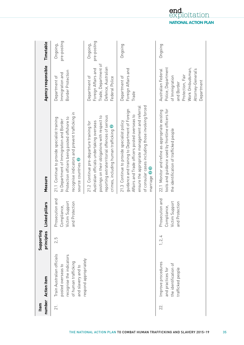| number<br>Item | <b>Action item</b>                                                                                                         | Supporting<br>principles | ked pillars<br>آءَ.<br>آ                                              | Measure                                                                                                                                                                                                                                                              | Agency responsible                                                                                                                                  | Timetable               |
|----------------|----------------------------------------------------------------------------------------------------------------------------|--------------------------|-----------------------------------------------------------------------|----------------------------------------------------------------------------------------------------------------------------------------------------------------------------------------------------------------------------------------------------------------------|-----------------------------------------------------------------------------------------------------------------------------------------------------|-------------------------|
| 21.            | Train Australian officials<br>recognise the indicators<br>of human trafficking<br>posted overseas to<br>and slavery and to | 2,5                      | Prosecution and<br>Victim Support<br>Protection<br>Compliance,<br>and | recognise indicators and prevent trafficking in<br>Protection officers being posted offshore to<br>21.1 Continue to provide specialist training<br>to Department of Immigration and Border<br>source countries <sup>2</sup>                                          | Border Protection<br>Immigration and<br>Department of                                                                                               | pre-posting<br>Ongoing, |
|                | respond appropriately                                                                                                      |                          |                                                                       | reporting extraterritorial offences of serious<br>postings on their obligations with respect to<br>Australian officials undertaking overseas<br>21.2 Continue pre-departure training for<br>crimes, including human trafficking                                      | Trade, Department of<br>Defence, Australian<br>Foreign Affairs and<br>Department of<br>Federal Police                                               | pre-posting<br>Ongoing, |
|                |                                                                                                                            |                          |                                                                       | of consular cases including those involving forced<br>ensure the appropriate management and referral<br>guidance and training to Department of Foreign<br>Affairs and Trade officers posted overseas to<br>21.3 Continue to provide specialist policy<br>marriage 28 | Foreign Affairs and<br>Department of<br>Trade                                                                                                       | Ongoing                 |
| 22.            | Improve procedures<br>the identification of<br>and practices for<br>trafficked people                                      | 1, 2, 4                  | Prosecution and<br>Victim Support<br>Protection<br>Compliance,<br>and | tools and guidance used by frontline officers for<br>22.1 Monitor and refine as appropriate existing<br>the identification of trafficked people                                                                                                                      | Police, Department<br>Work Ombudsman,<br>Attorney-General's<br>Australian Federal<br>Protection, Fair<br>of Immigration<br>Department<br>and Border | Ongoing                 |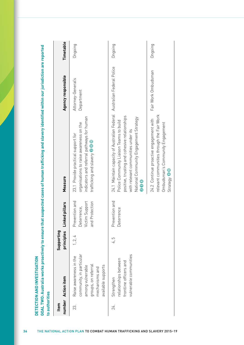| number<br>Item | <b>Action item</b>                                                                                                                    | Supporting<br>principles | Linked pillars                                                           | Measure                                                                                                                                                                                                                             | Agency responsible               | Timetable |
|----------------|---------------------------------------------------------------------------------------------------------------------------------------|--------------------------|--------------------------------------------------------------------------|-------------------------------------------------------------------------------------------------------------------------------------------------------------------------------------------------------------------------------------|----------------------------------|-----------|
| 23.            | community, in particular<br>Raise awareness in the<br>groups, on referral<br>available supports<br>among vulnerable<br>mechanisms and | 1, 2, 4                  | ention and<br>Victim Support<br>Protection<br>Deterrence,<br>Prev<br>bue | indicators and referral pathways for human<br>organisations to raise awareness on the<br>23.1 Provide practical support for<br>trafficking and slavery <sup>2</sup>                                                                 | Attorney-General's<br>Department | Ongoing   |
| 24.            | vulnerable communities<br>relationships between<br>frontline officers and<br>Strengthen                                               | 5<br>$\overline{4}$      | Prevention and<br>Deterrence                                             | 24.1 Maintain capacity of Australian Federal<br>positive, trusting and cohesive relationships<br>National Community Engagement Strategy<br>Police Community Liaison Teams to build<br>with relevant communities under its<br>8<br>8 | Australian Federal Police        | Ongoing   |
|                |                                                                                                                                       |                          |                                                                          | relevant communities through the Fair Work<br>24.2 Continue proactive engagement with<br>Ombudsman's Community Engagement<br>Strategy 80                                                                                            | Fair Work Ombudsman              | Ongoing   |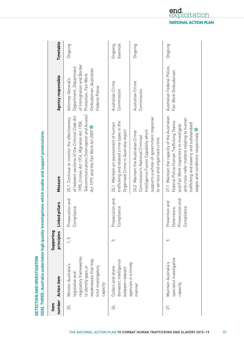|                |                                                                                                                                                  |                          |                                                                | GOAL THREE: Australia undertakes high quality investigations which enable and support prosecutions                                                                                                                                                              |                                                                                                                                               |                      |
|----------------|--------------------------------------------------------------------------------------------------------------------------------------------------|--------------------------|----------------------------------------------------------------|-----------------------------------------------------------------------------------------------------------------------------------------------------------------------------------------------------------------------------------------------------------------|-----------------------------------------------------------------------------------------------------------------------------------------------|----------------------|
| number<br>Item | <b>Action item</b>                                                                                                                               | Supporting<br>principles | Linked pillars                                                 | Measure                                                                                                                                                                                                                                                         | Agency responsible                                                                                                                            | Timetable            |
| 25.            | regulatory frameworks<br>weaknesses that may<br>Monitor Australia's<br>to identify gaps or<br>limit investigatory<br>legislative and<br>capacity | $\frac{5}{1}$            | secution and<br>Compliance<br>Pro                              | Telecommunications (Interception and Access)<br>of relevant sections of the Criminal Code Act<br>25.1 Continue to monitor the effectiveness<br>1995, Crimes Act 1914, Migration Act 1958,<br>Act 1979, and the Fair Work Act 2009                               | of Immigration and Border<br>Department, Department<br>Ombudsman, Australian<br>Protection, Fair Work<br>Attorney-General's<br>Federal Police | Ongoing              |
| 26.            | domestic intelligence<br>Collect and share<br>between relevant                                                                                   | 5                        | secution and<br>Compliance<br>Pro.                             | trafficking and related crime types in the<br>26.1 Maintain an assessment of human<br>Organised Crime in Australia report                                                                                                                                       | Australian Crime<br>Commission                                                                                                                | Ongoing,<br>biannual |
|                | agencies in a timely<br>manner                                                                                                                   |                          |                                                                | supports a whole-of-government response<br>ntelligence Fusion Capability which<br>26.2 Maintain the Australian Crime<br>Commission's National Criminal<br>to serious and organised crime                                                                        | Australian Crime<br>Commission                                                                                                                | Ongoing              |
| 27.            | specialist investigative<br>Maintain Australia's<br>capacity                                                                                     | 5                        | Prosecution and<br>Prevention and<br>Compliance<br>Deterrence, | 27.1 Maintain the capacity of the Australian<br>and cross-refer matters relating to human<br>Federal Police Human Trafficking Teams<br>trafficking and slavery, and substandard<br>and Fair Work inspectors to investigate<br>wages and conditions respectively | Australian Federal Police,<br>Fair Work Ombudsman                                                                                             | Ongoing              |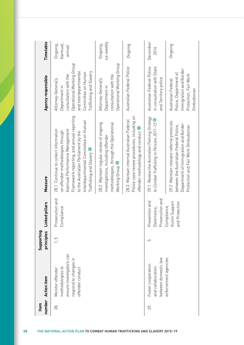| Item | number Action item                                                                                            | Supporting<br>principles | <b>ked pillars</b><br>Ê                                                       | Measure                                                                                                                                                                                                                                                             | Agency responsible                                                                                                                                                  | Timetable                       |
|------|---------------------------------------------------------------------------------------------------------------|--------------------------|-------------------------------------------------------------------------------|---------------------------------------------------------------------------------------------------------------------------------------------------------------------------------------------------------------------------------------------------------------------|---------------------------------------------------------------------------------------------------------------------------------------------------------------------|---------------------------------|
| 28.  | ensure investigators can<br>respond to changes in<br>methodologies to<br>offender conduct<br>Monitor offender | $\frac{5}{1}$            | secution and<br>Compliance<br>م<br>P                                          | Framework reporting, and annual reporting<br>Interdepartmental Committee on Human<br>biannual Performance Management<br>28.1 Continue to collect information<br>on offender methodologies through<br>to the Australian Parliament by the<br>Trafficking and Slavery | Operational Working Group<br>and Interdepartmental<br>Trafficking and Slavery<br>Committee on Human<br>consultation with the<br>Attorney-General's<br>Department in | biannual,<br>Ongoing,<br>annual |
|      |                                                                                                               |                          |                                                                               | 28.2 Maintain regular review of ongoing<br>methodologies, through the Operational<br>investigations, including offender<br>Working Group                                                                                                                            | Operational Working Group<br>consultation with the<br>Attorney-General's<br>Department in                                                                           | six-weekly<br>Ongoing,          |
|      |                                                                                                               |                          |                                                                               | Police case review procedures, including on<br>28.3 Maintain internal Australian Federal<br>offender methodology and conduct                                                                                                                                        | Australian Federal Police                                                                                                                                           | Ongoing                         |
| 29.  | between domestic law<br>Foster cooperation<br>and collaboration                                               | 5                        | secution and<br>Prevention and<br>Deterrence,<br>Prosecution a<br>Compliance, | 29.1 Review the Australian Policing Strategy<br>to Combat Trafficking in Persons 2011-13 G                                                                                                                                                                          | Australian Federal Police<br>in consultation with State<br>and Territory police                                                                                     | December<br>2014                |
|      | enforcement agencies                                                                                          |                          | Victim Support<br>and Protection                                              | 29.2 Maintain relevant referral protocols<br>Department of Immigration and Border<br>between the Australian Federal Police,<br>Protection and Fair Work Ombudsman                                                                                                   | Immigration and Border<br>Police, Department of<br>Protection, Fair Work<br>Australian Federal<br>Ombudsman                                                         | Ongoing                         |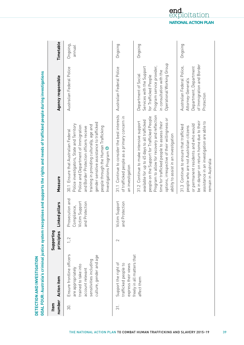| number<br>Item | <b>Action item</b>                                                                                                                               | Supporting<br>principles | Linked pillars                                                              | Measure                                                                                                                                                                                                                                                                                                                         | Agency responsible                                                                                                                                               | Timetable           |
|----------------|--------------------------------------------------------------------------------------------------------------------------------------------------|--------------------------|-----------------------------------------------------------------------------|---------------------------------------------------------------------------------------------------------------------------------------------------------------------------------------------------------------------------------------------------------------------------------------------------------------------------------|------------------------------------------------------------------------------------------------------------------------------------------------------------------|---------------------|
| 30.            | Ensure frontline officers<br>culture, gender and age<br>sensitivities including<br>trained to take into<br>are appropriately<br>account relevant | 1, 2                     | secution and<br>Victim Support<br>and Protection<br>Compliance,<br>م<br>Pro | gender sensitive assistance to trafficked<br>Police investigators, State and Territory<br>training in providing culturally, age and<br>Police and Department of Immigration<br>people through the Human Trafficking<br>and Border Protection officers receive<br>30.1 Ensure that Australian Federal<br>Investigations Program  | Australian Federal Police                                                                                                                                        | Ongoing,<br>Jennnal |
| .<br>ನ         | Support the right of<br>trafficked people to<br>express their views                                                                              | 2                        | Victim Support<br>and Protection                                            | 31.1 Continue to consider the best interests<br>of trafficked people as a primary concern in<br>an investigation                                                                                                                                                                                                                | Australian Federal Police                                                                                                                                        | Ongoing             |
|                | freely in all matters that<br>affect them                                                                                                        |                          |                                                                             | Program to allow for recovery and reflection<br>people on the Support for Trafficked People<br>options, irrespective of their willingness or<br>available for up to 45 days to all trafficked<br>31.2 Continue to make intensive support<br>time for trafficked people to assess their<br>ability to assist in an investigation | Operational Working Group<br>Program service provider,<br>Services with the Support<br>in consultation with the<br>Department of Social<br>for Trafficked People | Ongoing             |
|                |                                                                                                                                                  |                          |                                                                             | be in danger on return home due to their<br>assistance in an investigation are able to<br>or permanent residents and who would<br>31.3 Continue to ensure that trafficked<br>people who are not Australian citizens<br>remain in Australia                                                                                      | of Immigration and Border<br>Australian Federal Police,<br>Department, Department<br>Attorney-General's<br>Protection                                            | Ongoing             |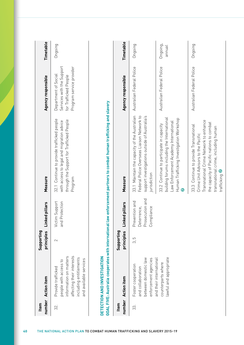| number<br>Item | <b>Action item</b>                                                                                                                                     | Supporting<br>principles | Linked pillars                                                     | Measure                                                                                                                                                                                                                    | Agency responsible                                                                                     | Timetable                 |
|----------------|--------------------------------------------------------------------------------------------------------------------------------------------------------|--------------------------|--------------------------------------------------------------------|----------------------------------------------------------------------------------------------------------------------------------------------------------------------------------------------------------------------------|--------------------------------------------------------------------------------------------------------|---------------------------|
| 32.            | affecting their interests<br>information on matters<br>including entitlements<br>and available services<br>people with access to<br>Provide trafficked | $\sim$                   | Victim Support<br>Protection<br>and                                | 32.1 Continue to provide trafficked people<br>through the Support for Trafficked People<br>with access to legal and migration advice<br>Program                                                                            | Services with the Support<br>Program service provider<br>Department of Social<br>for Trafficked People | Ongoing                   |
|                | DETECTION AND INVESTIGATION                                                                                                                            |                          |                                                                    | GOAL FIVE: Australia cooperates with international law enforcement partners to combat human trafficking and slavery                                                                                                        |                                                                                                        |                           |
| number<br>Item | <b>Action item</b>                                                                                                                                     | Supporting<br>principles | Linked pillars                                                     | Measure                                                                                                                                                                                                                    | Agency responsible                                                                                     | Timetable                 |
| 33.            | between domestic law<br>enforcement agencies<br>Foster cooperation<br>and collaboration                                                                | 3.5                      | Prosecution and<br>Prevention and<br>Deterrence,<br>pliance<br>Com | 33.1 Maintain the capacity of the Australian<br>Federal Police Overseas Liaison Network to<br>support investigations outside of Australia's<br>jurisdiction                                                                | Australian Federal Police                                                                              | Ongoing                   |
|                | lawful and appropriate<br>and their international<br>counterparts where                                                                                |                          |                                                                    | building forums including the International<br>Human Trafficking Investigation Workshop<br>Law Enforcement Academy International<br>33.2 Continue to participate in capacity                                               | Australian Federal Police                                                                              | Ongoing,<br><b>Jenune</b> |
|                |                                                                                                                                                        |                          |                                                                    | Transnational Crime Network to enhance<br>the capacity of Pacific nations to combat<br>33.3 Continue to provide Transnational<br>transnational crime, including human<br>Crime Unit Advisors to the Pacific<br>trafficking | Australian Federal Police                                                                              | Ongoing                   |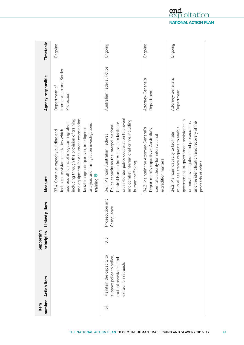| number<br>Item | <b>Action item</b>                                                                                     | Supporting<br>principles | ked pillars<br>آءِ<br>ا       | Measure                                                                                                                                                                                                                                                                                                                          | Agency responsible                                    | Timetable |
|----------------|--------------------------------------------------------------------------------------------------------|--------------------------|-------------------------------|----------------------------------------------------------------------------------------------------------------------------------------------------------------------------------------------------------------------------------------------------------------------------------------------------------------------------------|-------------------------------------------------------|-----------|
|                |                                                                                                        |                          |                               | and equipment for document examination,<br>including through the provision of training<br>address all forms of irregular migration,<br>analysis and immigration investigations<br>facial image comparison, intelligence<br>technical assistance activities which<br>33.4 Continue capacity building and<br>training <sup>0</sup> | Immigration and Border<br>Department of<br>Protection | Ongoing   |
| 34.            | Maintain the capacity to<br>support police to police,<br>mutual assistance and<br>extradition requests | 3, 5                     | Prosecution and<br>Compliance | cross-border police cooperation to prevent<br>and combat international crime including<br>Central Bureau for Australia to facilitate<br>Police capacity as the Interpol National<br>34.1 Maintain Australian Federal<br>human trafficking                                                                                        | Australian Federal Police                             | Ongoing   |
|                |                                                                                                        |                          |                               | 34.2 Maintain the Attorney-General's<br>Department's capacity as Australia's<br>central authority for international<br>extradition matters                                                                                                                                                                                       | Attorney-General's<br>Department                      | Ongoing   |
|                |                                                                                                        |                          |                               | government-to-government assistance in<br>criminal investigations and prosecutions<br>and the identification and recovery of the<br>mutual assistance requests to enable<br>34.3 Maintain capacity to facilitate<br>proceeds of crime                                                                                            | Attorney-General's<br>Department                      | Ongoing   |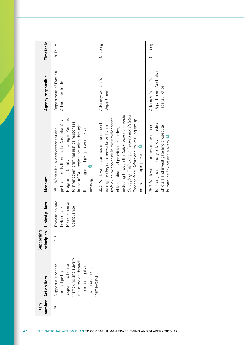| Item | number Action item                                                                                                                                      | principles<br>Supporting | Linked pillars                                                 | Measure                                                                                                                                                                                                                                                                                                                                                | Agency responsible                                             | Timetable   |
|------|---------------------------------------------------------------------------------------------------------------------------------------------------------|--------------------------|----------------------------------------------------------------|--------------------------------------------------------------------------------------------------------------------------------------------------------------------------------------------------------------------------------------------------------------------------------------------------------------------------------------------------------|----------------------------------------------------------------|-------------|
| 35.  | trafficking and slavery<br>n our region through<br>enhanced legal and<br>response to human<br>Support a stronger<br>law enforcement<br>criminal justice | 1, 3, 5                  | Prosecution and<br>Prevention and<br>Deterrence,<br>Compliance | Program to Combat Trafficking in Persons<br>justice officials through the Australia-Asia<br>to strengthen criminal justice responses<br>in the ASEAN region including through<br>the training of judges, prosecutors and<br>35.1 Work with law enforcement and<br>investigators <sup>7</sup>                                                           | Department of Foreign<br>Affairs and Trade                     | $2013 - 18$ |
|      | frameworks                                                                                                                                              |                          |                                                                | including through the Bali Process on People<br>Smuggling, Trafficking in Persons and Related<br>trafficking by assisting in the development<br>Transnational Crime and its working group<br>35.2 Work with countries in the region to<br>strengthen legal frameworks on human<br>of legislation and practitioner guides,<br>on trafficking in persons | Attorney-General's<br>Department                               | Ongoing     |
|      |                                                                                                                                                         |                          |                                                                | to strengthen capacity of law and justice<br>35.3 Work with countries in the region<br>officials and investigate and prosecute<br>human trafficking and slavery                                                                                                                                                                                        | Department, Australian<br>Attorney-General's<br>Federal Police | Ongoing     |

**42** THE NATIONAL ACTION PLAN TO COMBAT HUMAN TRAFFICKING AND SLAVERY 2015–19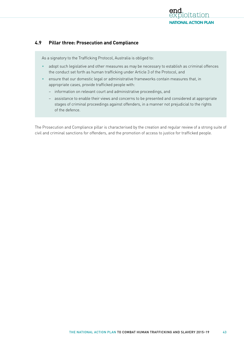

## **4.9 Pillar three: Prosecution and Compliance**

As a signatory to the Trafficking Protocol, Australia is obliged to:

- adopt such legislative and other measures as may be necessary to establish as criminal offences the conduct set forth as human trafficking under Article 3 of the Protocol, and
- ensure that our domestic legal or administrative frameworks contain measures that, in appropriate cases, provide trafficked people with:
	- information on relevant court and administrative proceedings, and
	- assistance to enable their views and concerns to be presented and considered at appropriate stages of criminal proceedings against offenders, in a manner not prejudicial to the rights of the defence.

The Prosecution and Compliance pillar is characterised by the creation and regular review of a strong suite of civil and criminal sanctions for offenders, and the promotion of access to justice for trafficked people.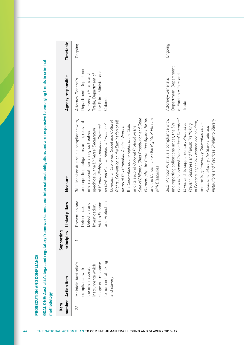| I                                                                                                                     |
|-----------------------------------------------------------------------------------------------------------------------|
|                                                                                                                       |
|                                                                                                                       |
|                                                                                                                       |
|                                                                                                                       |
| ī                                                                                                                     |
|                                                                                                                       |
|                                                                                                                       |
|                                                                                                                       |
|                                                                                                                       |
| ۱                                                                                                                     |
| ı<br>I                                                                                                                |
|                                                                                                                       |
|                                                                                                                       |
|                                                                                                                       |
|                                                                                                                       |
| j                                                                                                                     |
|                                                                                                                       |
| j<br>١                                                                                                                |
|                                                                                                                       |
|                                                                                                                       |
|                                                                                                                       |
| j<br>1                                                                                                                |
|                                                                                                                       |
|                                                                                                                       |
|                                                                                                                       |
|                                                                                                                       |
| ī                                                                                                                     |
|                                                                                                                       |
|                                                                                                                       |
|                                                                                                                       |
|                                                                                                                       |
|                                                                                                                       |
| j                                                                                                                     |
|                                                                                                                       |
|                                                                                                                       |
| ı                                                                                                                     |
|                                                                                                                       |
|                                                                                                                       |
| ׇ֘֝                                                                                                                   |
|                                                                                                                       |
| i                                                                                                                     |
| j<br>۱                                                                                                                |
|                                                                                                                       |
| <b>Contract Contract Contract Contract Contract Contract Contract Contract Contract Contract Contract Contract Co</b> |
|                                                                                                                       |
| I                                                                                                                     |
| I                                                                                                                     |
|                                                                                                                       |
| j<br>֘֒                                                                                                               |
|                                                                                                                       |
|                                                                                                                       |

| number<br>Item | <b>Action item</b>                                                                                                                             | Supporting<br>principles | Linked pillars                                                                                          | Measure                                                                                                                                                                                                                                                                                                                                                                                                                                                                                                                                                                                                                                                                   | Agency responsible                                                                                                                  | Timetable |
|----------------|------------------------------------------------------------------------------------------------------------------------------------------------|--------------------------|---------------------------------------------------------------------------------------------------------|---------------------------------------------------------------------------------------------------------------------------------------------------------------------------------------------------------------------------------------------------------------------------------------------------------------------------------------------------------------------------------------------------------------------------------------------------------------------------------------------------------------------------------------------------------------------------------------------------------------------------------------------------------------------------|-------------------------------------------------------------------------------------------------------------------------------------|-----------|
| 36.            | to human trafficking<br>Maintain Australia's<br>shape our response<br>instruments which<br>the international<br>compliance with<br>and slavery |                          | Prevention and<br>Victim Support<br>d Protection<br>Detection and<br>Investigation,<br>Deterrence,<br>a | Pornography; the Convention Against Torture;<br>and the Convention on the Rights of Persons<br>Sale of Children, Child Prostitution and Child<br>36.1 Monitor Australia's compliance with,<br>Rights; Convention on the Elimination of all<br>Covenant on Economic, Social and Cultural<br>and reporting obligations under, relevant<br>on Civil and Political Rights; International<br>of Human Rights; International Covenant<br>the Convention on the Rights of the Child<br>forms of Discrimination Against Women;<br>and its second Optional Protocol on the<br>specifically: the Universal Declaration<br>international human rights treaties,<br>with Disabilities | Department, Department<br>the Prime Minister and<br>Trade, Department of<br>of Foreign Affairs and<br>Attorney-General's<br>Cabinet | Ongoing   |
|                |                                                                                                                                                |                          |                                                                                                         | Convention Against Transnational Organized<br>36.2 Monitor Australia's compliance with,<br>Institutions and Practices Similar to Slavery<br>in Persons, especially women and children,<br>and the Supplementary Convention on the<br>and reporting obligations under, the UN<br>Crime and its supplementary Protocol to<br>Prevent, Suppress and Punish Trafficking<br>Abolition of Slavery, the Slave Trade and                                                                                                                                                                                                                                                          | Department, Department<br>of Foreign Affairs and<br>Attorney-General's<br>Trade                                                     | Ongoing   |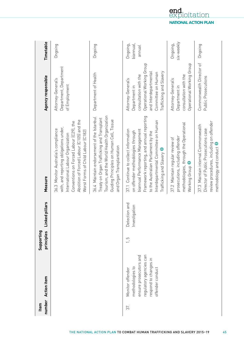| number<br>Item | <b>Action item</b>                                                                                                                     | Supporting<br>principles | ked pillars<br>in]<br>Lin           | Measure                                                                                                                                                                                                                                                             | Agency responsible                                                                                                                                                  | Timetable                        |
|----------------|----------------------------------------------------------------------------------------------------------------------------------------|--------------------------|-------------------------------------|---------------------------------------------------------------------------------------------------------------------------------------------------------------------------------------------------------------------------------------------------------------------|---------------------------------------------------------------------------------------------------------------------------------------------------------------------|----------------------------------|
|                |                                                                                                                                        |                          |                                     | Abolition of Forced Labour (C105) and the<br>Conventions on Forced Labour (C29), the<br>with, and reporting obligations under,<br>36.3 Monitor Australia's compliance<br>Worst Forms of Child Labour (C182)<br>International Labour Organization                    | Department, Department<br>Attorney-General's<br>of Employment                                                                                                       | Ongoing                          |
|                |                                                                                                                                        |                          |                                     | Tourism, and the World Health Organization<br>36.4 Maintain endorsement of the Istanbul<br>Treaty on Organ Trafficking and Transplant<br>Guiding Principles on Human Cell, Tissue<br>and Organ Transplantation                                                      | Department of Health                                                                                                                                                | Ongoing                          |
| 37.            | regulatory agencies can<br>ensure prosecutors and<br>respond to changes in<br>methodologies to<br>offender conduct<br>Monitor offender | $\frac{c}{1}$            | Detection and<br>stigation<br>Inver | Framework reporting, and annual reporting<br>Interdepartmental Committee on Human<br>biannual Performance Management<br>37.1 Continue to collect information<br>on offender methodologies through<br>to the Australian Parliament by the<br>Trafficking and Slavery | Operational Working Group<br>Trafficking and Slavery<br>and Interdepartmental<br>Committee on Human<br>consultation with the<br>Attorney-General's<br>Department in | biannual,<br>Ongoing,<br>lennnal |
|                |                                                                                                                                        |                          |                                     | methodologies, through the Operational<br>prosecutions, including offender<br>37.2 Maintain regular review of<br>Working Group                                                                                                                                      | Operational Working Group<br>consultation with the<br>Attorney-General's<br>Department in                                                                           | six-weekly<br>Ongoing,           |
|                |                                                                                                                                        |                          |                                     | review procedures, including on offender<br>37.3 Maintain internal Commonwealth<br>Director of Public Prosecutions case<br>methodology and conduct                                                                                                                  | Commonwealth Director of<br>Public Prosecutions                                                                                                                     | Ongoing                          |

THE NATIONAL ACTION PLAN TO COMBAT HUMAN TRAFFICKING AND SLAVERY 2015–19<sup>45</sup>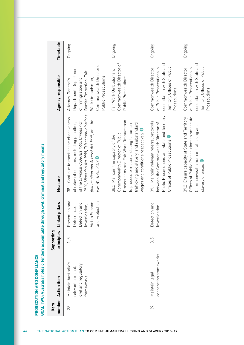| number<br>Item | <b>Action item</b>                                                               | Supporting<br>principles | ked pillars<br>ءَن                                                                                      | Measure                                                                                                                                                                                                                                                    | Agency responsible                                                                                                                                                 | Timetable |
|----------------|----------------------------------------------------------------------------------|--------------------------|---------------------------------------------------------------------------------------------------------|------------------------------------------------------------------------------------------------------------------------------------------------------------------------------------------------------------------------------------------------------------|--------------------------------------------------------------------------------------------------------------------------------------------------------------------|-----------|
| 38.            | Maintain Australia's<br>civil and regulatory<br>relevant criminal,<br>frameworks | 5<br>$\overline{a}$      | Prevention and<br>Victim Support<br>Protection<br>Detection and<br>Investigation,<br>Deterrence,<br>and | 1914, Migration Act 1958, Telecommunications<br>38.1 Continue to monitor the effectiveness<br>(Interception and Access) Act 1979, and the<br>of the Criminal Code Act 1995, Crimes Act<br>of relevant sections, including penalties,<br>Fair Work Act 2009 | Commonwealth Director of<br>Department, Department<br>Border Protection, Fair<br>Public Prosecutions<br>of Immigration and<br>Attorney-General's<br>Work Ombudsman | Ongoing   |
|                |                                                                                  |                          |                                                                                                         | Prosecutions and Fair Work Ombudsman<br>trafficking and slavery, and substandard<br>to prosecute matters relating to human<br>wages and conditions respectively<br>Commonwealth Director of Public<br>38.2 Maintain the capacity of the                    | Commonwealth Director of<br>Fair Work Ombudsman,<br>Public Prosecutions                                                                                            | Ongoing   |
| 39.            | cooperation frameworks<br>Maintain legal                                         | 5<br>$\tilde{\infty}$    | Detection and<br>Investigation                                                                          | Public Prosecutions and State and Territory<br>39.1 Maintain relevant referral protocols<br>between the Commonwealth Director of<br>Offices of Public Prosecutions <sup>6</sup>                                                                            | consultation with State and<br>Territory Offices of Public<br>Commonwealth Director<br>of Public Prosecutions in<br>Prosecutions                                   | Ongoing   |
|                |                                                                                  |                          |                                                                                                         | Offices of Public Prosecutions to prosecute<br>39.2 Ensure capacity of State and Territory<br>Commonwealth human trafficking and<br>slavery offences O                                                                                                     | consultation with State and<br>Territory Offices of Public<br>of Public Prosecutions in<br>Commonwealth Director                                                   | Ongoing   |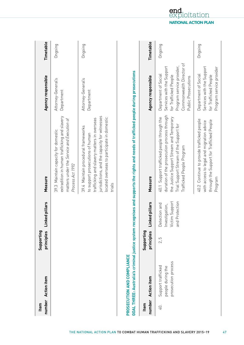| number<br>Item | <b>Action</b> item                                             | Supporting<br>principles | Linked pillars                                                         | Measure                                                                                                                                                                                                                          | Agency responsible                                                                                                                                         | Timetable |
|----------------|----------------------------------------------------------------|--------------------------|------------------------------------------------------------------------|----------------------------------------------------------------------------------------------------------------------------------------------------------------------------------------------------------------------------------|------------------------------------------------------------------------------------------------------------------------------------------------------------|-----------|
|                |                                                                |                          |                                                                        | extradition in human trafficking and slavery<br>matters under the Service and Execution of<br>39.3 Maintain capacity for domestic<br>Process Act 1992                                                                            | Attorney-General's<br>Department                                                                                                                           | Ongoing   |
|                |                                                                |                          |                                                                        | jurisdictions, and the capacity for witnesses<br>located overseas to participate in domestic<br>trafficking and slavery matters in overseas<br>39.4 Maintain procedural frameworks<br>to support prosecutions of human<br>trials | Attorney-General's<br>Department                                                                                                                           | Ongoing   |
|                | PROSECUTION AND COMPLIANCE                                     |                          |                                                                        | GOAL THREE: Australia's criminal justice system recognises and supports the rights and needs of trafficked people during prosecutions                                                                                            |                                                                                                                                                            |           |
| number<br>Item | <b>Action item</b>                                             | Supporting<br>principles | Linked pillars                                                         | Measure                                                                                                                                                                                                                          | Agency responsible                                                                                                                                         | Timetable |
| 40.            | prosecution process<br>Support trafficked<br>people during the | 5<br>$\mathcal{L}$       | Victim Support<br>Protection<br>Detection and<br>Investigation,<br>and | duration of the prosecution process through<br>the Justice Support Stream and Temporary<br>40.1 Support trafficked people through the<br>Trial Support Stream of the Support for<br>Trafficked People Program                    | Commonwealth Director of<br>Program service provider,<br>Services with the Support<br>Department of Social<br>for Trafficked People<br>Public Prosecutions | Ongoing   |
|                |                                                                |                          |                                                                        | 40.2 Continue to provide trafficked people<br>through the Support for Trafficked People<br>with access to legal and migration advice<br>Program                                                                                  | Services with the Support<br>Program service provider<br>Department of Social<br>for Trafficked People                                                     | Ongoing   |

THE NATIONAL ACTION PLAN TO COMBAT HUMAN TRAFFICKING AND SLAVERY 2015–19<sup>47</sup>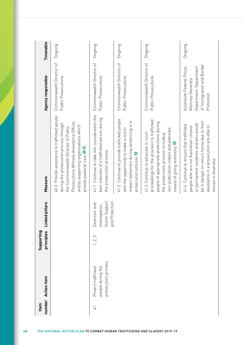| number<br>Item | <b>Action item</b>                                             | Supporting<br>principles | ked pillars<br>ءَ<br>ٿ                                                     | Measure                                                                                                                                                                                                                                                     | Agency responsible                                                                                                    | Timetable |
|----------------|----------------------------------------------------------------|--------------------------|----------------------------------------------------------------------------|-------------------------------------------------------------------------------------------------------------------------------------------------------------------------------------------------------------------------------------------------------------|-----------------------------------------------------------------------------------------------------------------------|-----------|
|                |                                                                |                          |                                                                            | Provide assistance to trafficked people<br>Prosecutions Witness Assistance Officer,<br>during the prosecution process through<br>and by supporting organisations which<br>the Commonwealth Director of Public<br>provide pastoral care <sup>O</sup><br>40.3 | Commonwealth Director of<br>Public Prosecutions                                                                       | Ongoing   |
| 41.            | prosecution process<br>people during the<br>Protect trafficked | 1, 2, 5                  | Victim Support<br>Protection<br>Detection and<br>stigation,<br>Inve<br>and | 41.1 Continue to take into consideration the<br>best interests of a trafficked person during<br>the prosecution process                                                                                                                                     | Commonwealth Director of<br>Public Prosecutions                                                                       | Ongoing   |
|                |                                                                |                          |                                                                            | 41.2 Continue to provide trafficked people<br>impact statement during sentencing in a<br>with the opportunity to make a victim<br>prosecution process <sup>1</sup>                                                                                          | Commonwealth Director of<br>Public Prosecutions                                                                       | Ongoing   |
|                |                                                                |                          |                                                                            | proceedings for the provision to trafficked<br>people of appropriate protections during<br>non-publication orders and alternate<br>41.3 Continue to advocate in court<br>the prosecution process including<br>means of giving testimony                     | Commonwealth Director of<br>Public Prosecutions                                                                       | Ongoing   |
|                |                                                                |                          |                                                                            | be in danger on return home due to their<br>or permanent residents and who would<br>41.4 Continue to ensure that trafficked<br>assistance in a prosecution are able to<br>people who are not Australian citizens<br>remain in Australia                     | of Immigration and Border<br>Australian Federal Police,<br>Department, Department<br>Attorney-General's<br>Protection | Ongoing   |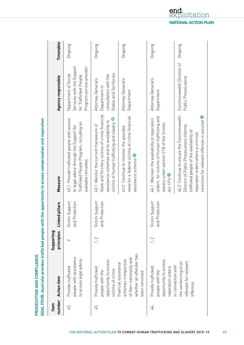|               | PROSECUTION AND COMPLIANCE                                                                                            |                          |                                  | GOAL FOUR: Australia provides trafficked people with the opportunity to access compensation and reparation                                                                                                           |                                                                                                        |           |
|---------------|-----------------------------------------------------------------------------------------------------------------------|--------------------------|----------------------------------|----------------------------------------------------------------------------------------------------------------------------------------------------------------------------------------------------------------------|--------------------------------------------------------------------------------------------------------|-----------|
| Item          | number Action item                                                                                                    | Supporting<br>principles | Linked pillars                   | Measure                                                                                                                                                                                                              | Agency responsible                                                                                     | Timetable |
| 42.           | people with assistance<br>to access legal advice<br>Provide trafficked                                                | $\sim$                   | Victim Support<br>and Protection | 42.1 Provide trafficked people with access<br>Trafficked People Program, including on<br>to legal advice through the Support for<br>available remedies                                                               | Services with the Support<br>Program service provider<br>Department of Social<br>for Trafficked People | Ongoing   |
| $\mathbb{G}.$ | opportunity to access<br>Provide trafficked<br>victims of crime<br>people with the                                    | 1, 2                     | Victim Support<br>and Protection | State and Territory victims of crime financial<br>victims of human trafficking and slavery<br>assistance schemes and its availability to<br>43.1 Monitor the current framework of                                    | States and Territories<br>consultation with the<br>Attorney-General's<br>Department in                 | Ongoing   |
|               | whether an offender has<br>of their nationality and<br>schemes irrespective<br>financial assistance<br>been convicted |                          |                                  | need for a federal victims of crime financial<br>43.2 Continue to monitor the possible<br>assistance scheme                                                                                                          | Attorney-General's<br>Department                                                                       | Ongoing   |
| 44.           | opportunity to access<br>reparation orders<br>Provide trafficked<br>people with the                                   | 1, 2                     | Victim Support<br>and Protection | orders for victims of human trafficking and<br>44.1 Maintain the availability of reparation<br>slavery under section 21B of the Crimes<br>Act 1914 0                                                                 | Attorney-General's<br>Department                                                                       | Ongoing   |
|               | offender for relevant<br>the sentencing of an<br>in connection with<br>offences                                       |                          |                                  | 44.2 Continue to ensure the Commonwealth<br>conviction for relevant offences is secured<br>Director of Public Prosecutions informs<br>trafficked people of the availability of<br>reparation orders where a criminal | Commonwealth Director of<br>Public Prosecutions                                                        | Ongoing   |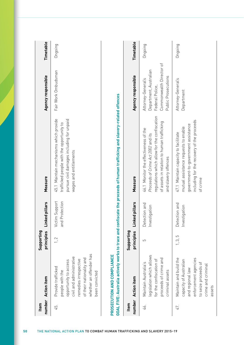| number<br>Item | <b>Action item</b>                                                                                                                                                                           | Supporting<br>principles | Linked pillars                      | Measure                                                                                                                                                                                           | Agency responsible                                                                                                 | Timetable |
|----------------|----------------------------------------------------------------------------------------------------------------------------------------------------------------------------------------------|--------------------------|-------------------------------------|---------------------------------------------------------------------------------------------------------------------------------------------------------------------------------------------------|--------------------------------------------------------------------------------------------------------------------|-----------|
| 45.            | whether an offender has<br>civil and administrative<br>of their nationality and<br>remedies irrespective<br>opportunity to access<br>Provide trafficked<br>people with the<br>been convicted | 1, 2                     | Victim Support<br>Protection<br>and | 45.1 Maintain mechanisms which provide<br>pursue civil damages including for unpaid<br>trafficked people with the opportunity to<br>wages and entitlements                                        | Fair Work Ombudsman                                                                                                | Ongoing   |
|                | PROSECUTION AND COMPLIANCE                                                                                                                                                                   |                          |                                     | GOAL FIVE: Australia actively works to trace and confiscate the proceeds of human trafficking and slavery-related offences                                                                        |                                                                                                                    |           |
| number<br>Item | <b>Action item</b>                                                                                                                                                                           | Supporting<br>principles | Linked pillars                      | Measure                                                                                                                                                                                           | Agency responsible                                                                                                 | Timetable |
| 46.            | egislation which allows<br>proceeds of crime and<br>for the confiscation of<br>Maintain Australia's<br>criminal assets                                                                       | 5                        | Detection and<br>Investigation      | regulations which allow for the confiscation<br>of assets in relation to human trafficking<br>46.1 Monitor the effectiveness of the<br>Proceeds of Crime Act 2002 and its<br>and slavery offences | Commonwealth Director of<br>Department, Australian<br>Public Prosecutions<br>Attorney-General's<br>Federal Police, | Ongoing   |
| 47.            | Maintain and build the<br>enforcement agencies<br>capacity of Australian<br>to seize proceeds of<br>crime and criminal<br>and regional law<br>assets                                         | 1, 3, 5                  | Detection and<br>Investigation      | including for the recovery of the proceeds<br>government-to-government assistance<br>mutual assistance requests to enable<br>47.1 Maintain capacity to facilitate<br>of crime                     | Attorney-General's<br>Department                                                                                   | Ongoing   |

**50** THE NATIONAL ACTION PLAN TO COMBAT HUMAN TRAFFICKING AND SLAVERY 2015–19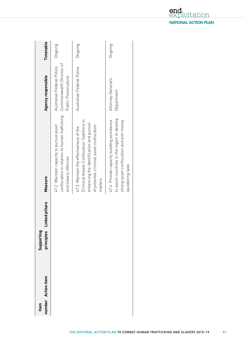| number Action item<br>Item | Supporting | principles Linked pillars | Measure                                                                                                                                                                                | Agency responsible                                                            | Timetable |
|----------------------------|------------|---------------------------|----------------------------------------------------------------------------------------------------------------------------------------------------------------------------------------|-------------------------------------------------------------------------------|-----------|
|                            |            |                           | confiscation in relation to human trafficking<br>47.2 Maintain capacity to pursue asset<br>and slavery offences                                                                        | Commonwealth Director of<br>Australian Federal Police,<br>Public Prosecutions | Ongoing   |
|                            |            |                           | Criminal Assets Confiscation Taskforce in<br>enhancing the identification and pursuit<br>of potential criminal asset confiscation<br>47.3 Maintain the effectiveness of the<br>matters | Australian Federal Police                                                     | Ongoing   |
|                            |            |                           | to assist countries in the region to develop<br>strong asset confiscation and anti-money<br>47.4 Provide capacity building assistance<br>laundering laws                               | Attorney-General's<br>Department                                              | Ongoing   |

end<br>exp **d**<br>ploitation **NATIONAL ACTION PLAN**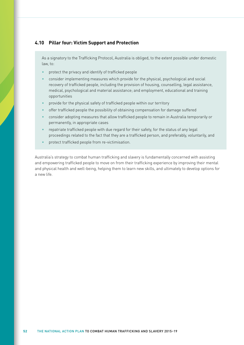#### **4.10 Pillar four: Victim Support and Protection**

As a signatory to the Trafficking Protocol, Australia is obliged, to the extent possible under domestic law, to:

- protect the privacy and identify of trafficked people
- consider implementing measures which provide for the physical, psychological and social recovery of trafficked people, including the provision of housing, counselling, legal assistance, medical, psychological and material assistance; and employment, educational and training opportunities
- provide for the physical safety of trafficked people within our territory
- offer trafficked people the possibility of obtaining compensation for damage suffered
- consider adopting measures that allow trafficked people to remain in Australia temporarily or permanently, in appropriate cases
- repatriate trafficked people with due regard for their safety, for the status of any legal proceedings related to the fact that they are a trafficked person, and preferably, voluntarily, and
- protect trafficked people from re-victimisation.

Australia's strategy to combat human trafficking and slavery is fundamentally concerned with assisting and empowering trafficked people to move on from their trafficking experience by improving their mental and physical health and well-being, helping them to learn new skills, and ultimately to develop options for a new life.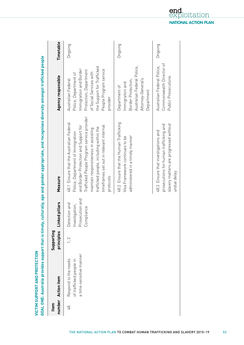| Item | number Action item                                                         | Supporting<br>principles | hked pillars<br>Ē                                                | Measure                                                                                                                                                                                                                                                                                                        | Agency responsible                                                                                                                                                                             | Timetable |
|------|----------------------------------------------------------------------------|--------------------------|------------------------------------------------------------------|----------------------------------------------------------------------------------------------------------------------------------------------------------------------------------------------------------------------------------------------------------------------------------------------------------------|------------------------------------------------------------------------------------------------------------------------------------------------------------------------------------------------|-----------|
| 48.  | a time-sensitive manner<br>Respond to the needs<br>of trafficked people in | 1, 2                     | Prosecution and<br>Detection and<br>Investigation,<br>Compliance | Trafficked People Program service provider<br>48.1 Ensure that the Australian Federal<br>and Border Protection and Support for<br>timeframes set out in relevant internal<br>trafficked people, including within the<br>maintain responsiveness in assisting<br>Police, Department of Immigration<br>protocols | the Support for Trafficked<br>Immigration and Border<br>People Program service<br>Protection, Department<br>of Social Services with<br>Police, Department of<br>Australian Federal<br>provider | Ongoing   |
|      |                                                                            |                          |                                                                  | 48.2 Ensure that the Human Trafficking<br>administered in a timely manner<br>Visa Framework continues to be                                                                                                                                                                                                    | Australian Federal Police,<br>Attorney-General's<br>Border Protection,<br>Immigration and<br>Department of<br>Department                                                                       | Ongoing   |
|      |                                                                            |                          |                                                                  | slavery matters are progressed without<br>prosecutions for human trafficking and<br>48.3 Ensure that investigations and<br>undue delay                                                                                                                                                                         | Commonwealth Director of<br>Australian Federal Police,<br>Public Prosecutions                                                                                                                  | Ongoing   |

end oitation **NATIONAL ACTION PLAN**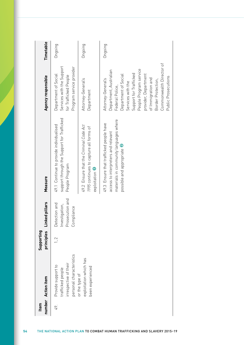| Item | number Action item                                                                           | principles<br>Supporting | Linked pillars                                                   | Measure                                                                                                                                                | Agency responsible                                                                                                                                                                                                                                                                      | Timetable |
|------|----------------------------------------------------------------------------------------------|--------------------------|------------------------------------------------------------------|--------------------------------------------------------------------------------------------------------------------------------------------------------|-----------------------------------------------------------------------------------------------------------------------------------------------------------------------------------------------------------------------------------------------------------------------------------------|-----------|
| 49.  | personal characteristics<br>irrespective of their<br>Provide support to<br>trafficked people | 1, 2                     | Prosecution and<br>Detection and<br>Investigation,<br>Compliance | support through the Support for Trafficked<br>49.1 Continue to provide individualised<br>People Program                                                | Services with the Support<br>Program service provider<br>Department of Social<br>for Trafficked People                                                                                                                                                                                  | Ongoing   |
|      | exploitation which has<br>been experienced<br>or the type of                                 |                          |                                                                  | 49.2 Ensure that the Criminal Code Act<br>1995 continues to capture all forms of<br>exploitation 0                                                     | Attorney-General's<br>Department                                                                                                                                                                                                                                                        | Ongoing   |
|      |                                                                                              |                          |                                                                  | materials in community languages where<br>49.3 Ensure that trafficked people have<br>access to interpreters and relevant<br>possible and appropriate U | Commonwealth Director of<br>People Program service<br>Department, Australian<br>Support for Trafficked<br>provider, Department<br>Department of Social<br>Public Prosecutions<br>of Immigration and<br>Attorney-General's<br>Border Protection,<br>Services with the<br>Federal Police, | Ongoing   |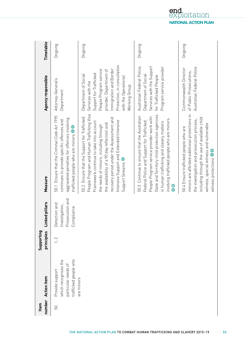| number<br>Item | <b>Action item</b>                                                                      | Supporting<br>principles | ked pillars<br>آدنا                                                  | Measure                                                                                                                                                                                                                                                                                                                                 | Agency responsible                                                                                                                                                                                                         | Timetable |
|----------------|-----------------------------------------------------------------------------------------|--------------------------|----------------------------------------------------------------------|-----------------------------------------------------------------------------------------------------------------------------------------------------------------------------------------------------------------------------------------------------------------------------------------------------------------------------------------|----------------------------------------------------------------------------------------------------------------------------------------------------------------------------------------------------------------------------|-----------|
| 50.            | trafficked people who<br>which recognises the<br>particular needs of<br>Provide support | 1, 2                     | Prosecution and<br>Detection and<br>stigation,<br>Compliance<br>Inve | 50.1 Ensure that the Criminal Code Act 1995<br>aggravated penalties for offences involving<br>continues to provide specific offences and<br>trafficked people who are minors $\bullet$                                                                                                                                                  | Attorney-General's<br>Department                                                                                                                                                                                           | Ongoing   |
|                | are minors                                                                              |                          |                                                                      | People Program and Human Trafficking Visa<br>50.2 Ensure that the Support for Trafficked<br>recovery period under the Assessment and<br>Intensive Support and Extended Intensive<br>Framework continue to take into account<br>the availability of a 90 day reflection and<br>the needs of minors, including through<br>Support Streams | Protection, in consultation<br>Immigration and Border<br>People Program service<br>provider, Department of<br>Support for Trafficked<br>Department of Social<br>with the Operational<br>Services with the<br>Working Group | Ongoing   |
|                |                                                                                         |                          |                                                                      | State and Territory child protection agencies<br>50.3 Continue to ensure that the Australian<br>People Program service provider work with<br>involving trafficked people who are minors<br>Federal Police and Support for Trafficked<br>in human trafficking and slavery matters<br>$\bullet$<br>Ō                                      | Australian Federal Police,<br>Services with the Support<br>Program service provider<br>Department of Social<br>for Trafficked People                                                                                       | Ongoing   |
|                |                                                                                         |                          |                                                                      | minors are afforded additional protections in<br>including through the use of available child<br>the investigation and prosecution process,<br>witness, special witness and vulnerable<br>50.4 Ensure trafficked people who are<br>witness protections 06                                                                               | Australian Federal Police<br>Commonwealth Director<br>of Public Prosecutions.                                                                                                                                              | Ongoing   |

end<br>exp **a**<br>ploitation **NATIONAL ACTION PLAN**

THE NATIONAL ACTION PLAN TO COMBAT HUMAN TRAFFICKING AND SLAVERY 2015–19<sup>55</sup>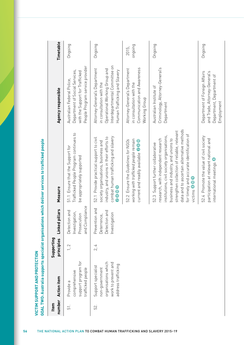| number<br>Item | <b>Action</b> item                                                                                        | Supporting<br>principles | pillars<br>Linked                                                      | Measure                                                                                                                                                                                                                                                                                                                   | Agency responsible                                                                                                                                            | Timetable        |
|----------------|-----------------------------------------------------------------------------------------------------------|--------------------------|------------------------------------------------------------------------|---------------------------------------------------------------------------------------------------------------------------------------------------------------------------------------------------------------------------------------------------------------------------------------------------------------------------|---------------------------------------------------------------------------------------------------------------------------------------------------------------|------------------|
| 51.            | support program for<br>trafficked people<br>comprehensive<br>Provide a                                    | 1, 2                     | and Compliance<br>bue uoi:<br>Investigation,<br>Prosecution<br>Detecti | Trafficked People Program continues to<br>51.1 Ensure that the Support for<br>be appropriately supported                                                                                                                                                                                                                  | People Program service provider<br>Department of Social Services,<br>with the Support for Trafficked<br>Australian Federal Police,                            | Ongoing          |
| 52.            | organisations which<br>work to prevent and<br>address trafficking<br>Support specialist<br>non-government | 4<br>$\vec{\mathcal{L}}$ | Prevention and<br>ion and<br>Investigation<br>Deterrence,<br>Detecti   | combat human trafficking and slavery<br>industry, and unions in their efforts to<br>52.1 Provide practical support to civil<br>society organisations, business and<br>0000                                                                                                                                                | Interdepartmental Committee on<br>Attorney-General's Department<br>Operational Working Group and<br>Human Trafficking and Slavery<br>in consultation with the | Ongoing          |
|                |                                                                                                           |                          |                                                                        | working with trafficked people remain<br>Ensure the Guidelines for NGOs<br>current and readily available <sup>20</sup><br>52.2                                                                                                                                                                                            | Communication and Awareness<br>Attorney-General's Department<br>in consultation with the<br>Working Group                                                     | puiopuo<br>2015, |
|                |                                                                                                           |                          |                                                                        | data and to ascertain alternative methods<br>strengthen collection of reliable, relevant<br>for timely and accurate identification of<br>institutions, civil society organisations,<br>research, with independent research<br>business and industry, and unions to<br>52.3 Support further collaborative<br>victims © © 9 | Criminology, Attorney-General's<br>Australian Institute of<br>Department                                                                                      | Ongoing          |
|                |                                                                                                           |                          |                                                                        | 52.4 Promote the value of civil society<br>participation at relevant national and<br>international meetings                                                                                                                                                                                                               | Department of Foreign Affairs<br>and Trade, Attorney-General's<br>Department, Department of<br>Employment                                                     | Ongoing          |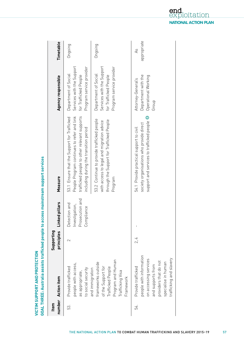| Item | number Action item                                                                                                                                                     | Supporting<br>principles | ked pillars<br>آءَ<br>آ                                              | Measure                                                                                                                                                                             | Agency responsible                                                                                     | Timetable                     |
|------|------------------------------------------------------------------------------------------------------------------------------------------------------------------------|--------------------------|----------------------------------------------------------------------|-------------------------------------------------------------------------------------------------------------------------------------------------------------------------------------|--------------------------------------------------------------------------------------------------------|-------------------------------|
| 53.  | people with access,<br>Provide trafficked<br>to social security<br>as appropriate,                                                                                     | 2                        | Prosecution and<br>Detection and<br>stigation,<br>Compliance<br>Inve | trafficked people to other relevant supports<br>People Program continues to refer and link<br>53.1 Ensure that the Support for Trafficked<br>including during the transition period | Services with the Support<br>Program service provider<br>Department of Social<br>for Trafficked People | Ongoing                       |
|      | Program and Human<br>frameworks outside<br>of the Support for<br>Trafficked People<br>and immigration<br>Trafficking Visa<br>Framework                                 |                          |                                                                      | 53.2 Continue to provide trafficked people<br>through the Support for Trafficked People<br>with access to legal and migration advice<br>Program                                     | Services with the Support<br>Program service provider<br>Department of Social<br>for Trafficked People | Ongoing                       |
| 54.  | people with information<br>trafficking and slavery<br>on accessing services<br>providers that do not<br>specialise in human<br>and supports from<br>Provide trafficked | 2,4                      |                                                                      | support and services to trafficked people O<br>society organisations who provide direct<br>54.1 Provide practical support to civil                                                  | Department with the<br>Operational Working<br>Attorney-General's<br>Group                              | appropriate<br>$\overline{A}$ |

loitation **NATIONAL ACTION PLAN**

end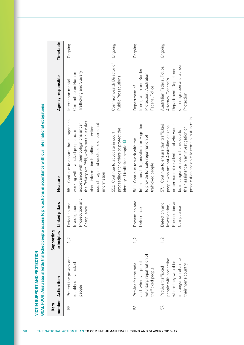| number<br>Item | <b>Action item</b>                                                                                                  | Supporting<br>principles | hked pillars<br>Ê                                                | Measure                                                                                                                                                                                                                                                                          | Agency responsible                                                                                                    | Timetable |
|----------------|---------------------------------------------------------------------------------------------------------------------|--------------------------|------------------------------------------------------------------|----------------------------------------------------------------------------------------------------------------------------------------------------------------------------------------------------------------------------------------------------------------------------------|-----------------------------------------------------------------------------------------------------------------------|-----------|
| 55.            | Protect the privacy and<br>dentity of trafficked<br>people                                                          | 1, 2                     | Prosecution and<br>Detection and<br>Investigation,<br>Compliance | 55.1 Continue to ensure that all agencies<br>the Privacy Act 1988, which sets out rules<br>accordance with their obligations under<br>use, storage and disclosure of personal<br>about information handling, collection,<br>working with trafficked people act in<br>information | Trafficking and Slavery<br>Committee on Human<br>Interdepartmental                                                    | Ongoing   |
|                |                                                                                                                     |                          |                                                                  | proceedings for orders to protect the<br>55.2 Continue to advocate in court<br>identity of trafficked people                                                                                                                                                                     | Commonwealth Director of<br>Public Prosecutions                                                                       | Ongoing   |
| 56.            | voluntary, repatriation of<br>and, wherever possible<br>Provide for the safe<br>trafficked people                   | 1, 2                     | Prevention and<br>Deterrence                                     | International Organization for Migration<br>to provide for safe repatriation of<br>56.1 Continue to work with the<br>trafficked people                                                                                                                                           | Immigration and Border<br>Protection, Australian<br>Department of<br>Federal Police                                   | Ongoing   |
| 57.            | people with protection<br>in danger on return to<br>where they would be<br>their home country<br>Provide trafficked | 1, 2                     | Prosecution and<br>Detection and<br>Investigation,<br>Compliance | or permanent residents and who would<br>57.1 Continue to ensure that trafficked<br>people who are not Australian citizens<br>their assistance in an investigation or<br>be in danger on return home due to                                                                       | of Immigration and Border<br>Australian Federal Police,<br>Department, Department<br>Attorney-General's<br>Protection | Ongoing   |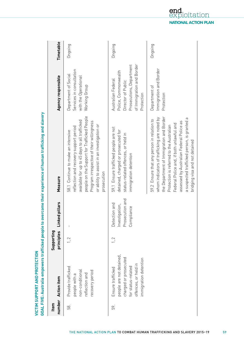|      | GOAL FIVE: Australia empowers trafficked people to                                                                                            |                          |                                                                      | overcome their experience of human trafficking and slavery                                                                                                                                                                                                                                                                                                 |                                                                                                                                         |           |
|------|-----------------------------------------------------------------------------------------------------------------------------------------------|--------------------------|----------------------------------------------------------------------|------------------------------------------------------------------------------------------------------------------------------------------------------------------------------------------------------------------------------------------------------------------------------------------------------------------------------------------------------------|-----------------------------------------------------------------------------------------------------------------------------------------|-----------|
| Item | number Action item                                                                                                                            | principles<br>Supporting | ked pillars<br>in                                                    | Measure                                                                                                                                                                                                                                                                                                                                                    | Agency responsible                                                                                                                      | Timetable |
| 58.  | Provide trafficked<br>non-conditional<br>recovery period<br>reflection and<br>people with a                                                   | 1, 2                     |                                                                      | people on the Support for Trafficked People<br>available for up to 45 days to all trafficked<br>Program irrespective of their willingness<br>or ability to assist in an investigation or<br>reflection and recovery support period<br>58.1 Continue to make an intensive<br>prosecution                                                                    | Services in consultation<br>Department of Social<br>with the Operational<br>Working Group                                               | Ongoing   |
| 59.  | people are not detained,<br>charged or prosecuted<br>immigration detention<br>offences, or held in<br>for status-related<br>Ensure trafficked | 1, 2                     | Prosecution and<br>Detection and<br>stigation,<br>Compliance<br>Inve | 59.1 Ensure trafficked people are not<br>detained, charged or prosecuted for<br>status-related offences, or held in<br>immigration detention                                                                                                                                                                                                               | of Immigration and Border<br>Prosecutions, Department<br>Police, Commonwealth<br>Australian Federal<br>Director of Public<br>Protection | Ongoing   |
|      |                                                                                                                                               |                          |                                                                      | the Department of Immigration and Border<br>whom indicators of trafficking are noted by<br>a suspected trafficked person, is granted a<br>59.2 Ensure that any person in relation to<br>assessed by Australian Federal Police as<br>Federal Police and, if both unlawful and<br>Protection is referred to the Australian<br>bridging visa and not detained | Immigration and Border<br>Department of<br>Protection                                                                                   | Ongoing   |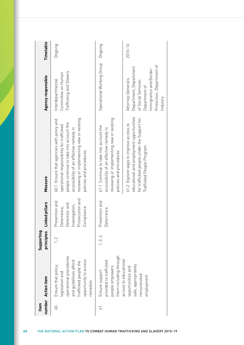| Item | number Action item                                                                                                                                      | principles<br>Supporting | Linked pillars                                                                                    | Measure                                                                                                                                                                                                                                               | Agency responsible                                                                                                                                      | Timetable   |
|------|---------------------------------------------------------------------------------------------------------------------------------------------------------|--------------------------|---------------------------------------------------------------------------------------------------|-------------------------------------------------------------------------------------------------------------------------------------------------------------------------------------------------------------------------------------------------------|---------------------------------------------------------------------------------------------------------------------------------------------------------|-------------|
| 60.  | operational procedures<br>opportunity to access<br>and guidelines afford<br>trafficked people the<br>Ensure that policy,<br>legislation and<br>remedies | 1, 2                     | Prosecution and<br>Prevention and<br>Detection and<br>Investigation,<br>Deterrence,<br>Compliance | reviewing or implementing new or existing<br>60.1 Ensure that agencies with policy and<br>people continue to take into account the<br>operational responsibility for trafficked<br>accessibility of an effective remedy in<br>policies and procedures | Trafficking and Slavery<br>Committee on Human<br>Interdepartmental                                                                                      | Ongoing     |
| 61.  | them including through<br>provided to trafficked<br>people empowers<br>Ensure support                                                                   | 1, 2, 4                  | Prevention and<br>Deterrence                                                                      | reviewing or implementing new or existing<br>61.1 Continue to take into account the<br>accessibility of an effective remedy in<br>policies and procedures                                                                                             | Operational Working Group                                                                                                                               | Ongoing     |
|      | access to educational<br>safe, appropriately<br>opportunities and<br>remunerated<br>employment                                                          |                          |                                                                                                   | educational and employment opportunities<br>for trafficked people under the Support for<br>61.2 Explore ways to improve access to<br>Trafficked People Program                                                                                        | Protection, Department of<br>Department, Department<br>Immigration and Border<br>Attorney-General's<br>of Social Services,<br>Department of<br>Industry | $2015 - 16$ |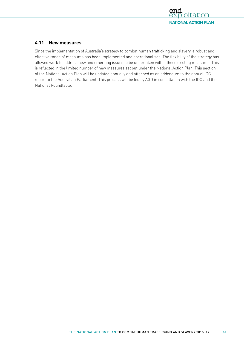

# **4.11 New measures**

Since the implementation of Australia's strategy to combat human trafficking and slavery, a robust and effective range of measures has been implemented and operationalised. The flexibility of the strategy has allowed work to address new and emerging issues to be undertaken within these existing measures. This is reflected in the limited number of new measures set out under the National Action Plan. This section of the National Action Plan will be updated annually and attached as an addendum to the annual IDC report to the Australian Parliament. This process will be led by AGD in consultation with the IDC and the National Roundtable.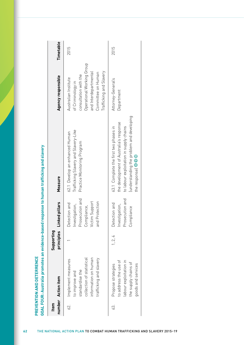| Item | number Action item                                                                                                                      | principles<br>Supporting | Linked pillars                                                                                        | Measure                                                                                                                                                                                      | Agency responsible                                                                                                                                                        | Timetable |
|------|-----------------------------------------------------------------------------------------------------------------------------------------|--------------------------|-------------------------------------------------------------------------------------------------------|----------------------------------------------------------------------------------------------------------------------------------------------------------------------------------------------|---------------------------------------------------------------------------------------------------------------------------------------------------------------------------|-----------|
| 62.  | information on human<br>collection of statistical<br>trafficking and slavery<br>Implement measures<br>standardise the<br>to improve and |                          | Prosecution and<br>and Protection<br>Victim Support<br>Detection and<br>Investigation,<br>Compliance, | Trafficking Slavery and Slavery-Like<br>62.1 Develop an enhanced Human<br>Practice Monitoring Program                                                                                        | Operational Working Group<br>Trafficking and Slavery<br>and Interdepartmental<br>Committee on Human<br>consultation with the<br>Australian Institute<br>of Criminology in | 2015      |
| 3.   | to address the use of<br>labour exploitation in<br>the supply chains of<br>goods and services<br>Propose strategies                     | 1, 2, 4                  | Prosecution and<br>Detection and<br>Investigation,<br>Compliance                                      | understanding the problem and developing<br>the development of Australia's response<br>to labour exploitation in supply chains<br>63.1 Complete the first two phases in<br>the response) 800 | Attorney-General's<br>Department                                                                                                                                          | 2015      |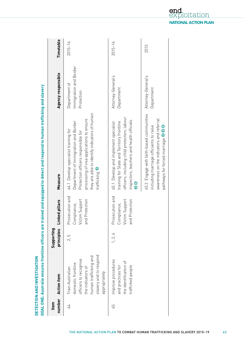| Item | number Action item                                                                                                                                       | principles<br>Supporting | ked pillars<br>ابا<br>آ                                               | Measure                                                                                                                                                                                                                                       | Agency responsible                                    | Timetable   |
|------|----------------------------------------------------------------------------------------------------------------------------------------------------------|--------------------------|-----------------------------------------------------------------------|-----------------------------------------------------------------------------------------------------------------------------------------------------------------------------------------------------------------------------------------------|-------------------------------------------------------|-------------|
| 64.  | slavery and to respond<br>human trafficking and<br>officers to recognise<br>domestic frontline<br>the indicators of<br>Train Australian<br>appropriately | 2.5                      | Prosecution and<br>Victim Support<br>Protection<br>Compliance,<br>and | they are able to identify indicators of human<br>processing of visa applications to ensure<br>Department of Immigration and Border<br>64.1 Develop specialist training for<br>Protection officers responsible for<br>trafficking <sup>0</sup> | Immigration and Border<br>Department of<br>Protection | $2015 - 16$ |
| 65.  | Improve procedures<br>the identification of<br>and practices for<br>trafficked people                                                                    | 1, 2, 4                  | Prosecution and<br>Victim Support<br>Protection<br>Compliance,<br>and | officers, including child protection, labour<br>inspectors, teachers and health officials<br>training for State and Territory frontline<br>65.1 Develop and implement specialist<br>$\mathbf{C}$                                              | Attorney-General's<br>Department                      | $2015 - 16$ |
|      |                                                                                                                                                          |                          |                                                                       | 65.2 Engage with faith-based communities<br>awareness on the indicators and referral<br>including marriage officiants to raise<br>pathways for forced marriage @ 8                                                                            | Attorney-General's<br>Department                      | 2015        |

**NATIONAL ACTION PLAN**

loitation

end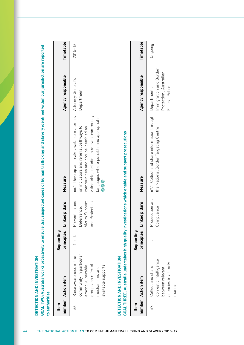| Item           | number Action item                                                                                                                    | Supporting<br>principles | ked pillars<br>Ē                                                     | Measure                                                                                                                                                                                                                               | Agency responsible                                                                  | Timetable   |
|----------------|---------------------------------------------------------------------------------------------------------------------------------------|--------------------------|----------------------------------------------------------------------|---------------------------------------------------------------------------------------------------------------------------------------------------------------------------------------------------------------------------------------|-------------------------------------------------------------------------------------|-------------|
| 66.            | community, in particular<br>Raise awareness in the<br>groups, on referral<br>available supports<br>among vulnerable<br>mechanisms and | 1, 2, 4                  | Prevention and<br>Victim Support<br>Protection<br>Deterrence,<br>and | vulnerable, including in relevant community<br>66.1 Develop and make available materials<br>languages where possible and appropriate<br>on indicators and referral pathways to<br>communities and groups identified as<br>0<br>0<br>0 | Attorney-General's<br>Department                                                    | $2015 - 16$ |
|                | DETECTION AND INVESTIGATION                                                                                                           |                          |                                                                      | GOAL THREE: Australia undertakes high quality investigations which enable and support prosecutions                                                                                                                                    |                                                                                     |             |
| number<br>Item | <b>Action item</b>                                                                                                                    | Supporting<br>principles | ked pillars<br><u>ائل</u>                                            | Measure                                                                                                                                                                                                                               | Agency responsible                                                                  | Timetable   |
| 67.            | domestic intelligence<br>agencies in a timely<br>Collect and share<br>between relevant<br>manner                                      | 5                        | Prosecution and<br>Compliance                                        | 67.1 Collect and share information through<br>the National Border Targeting Centre                                                                                                                                                    | Immigration and Border<br>Protection, Australian<br>Department of<br>Federal Police | Ongoing     |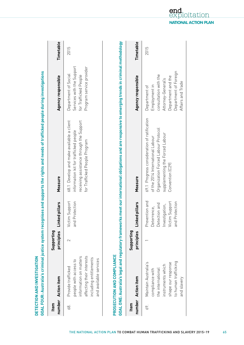|      | DETECTION AND INVESTIGATION                                                                                                                            |                          |                                                                                                         | GOAL FOUR: Australia's criminal justice system recognises and supports the rights and needs of trafficked people during investigations                                        |                                                                                                                                                   |           |
|------|--------------------------------------------------------------------------------------------------------------------------------------------------------|--------------------------|---------------------------------------------------------------------------------------------------------|-------------------------------------------------------------------------------------------------------------------------------------------------------------------------------|---------------------------------------------------------------------------------------------------------------------------------------------------|-----------|
| Item | number Action item                                                                                                                                     | Supporting<br>principles | Linked pillars                                                                                          | Measure                                                                                                                                                                       | Agency responsible                                                                                                                                | Timetable |
| 68.  | affecting their interests<br>information on matters<br>including entitlements<br>and available services<br>beople with access to<br>Provide trafficked | 2                        | Victim Support<br>Protection<br>and                                                                     | 68.1 Develop and make available a client<br>receiving assistance through the Support<br>information kit for trafficked people<br>for Trafficked People Program                | Services with the Support<br>Program service provider<br>Department of Social<br>for Trafficked People                                            | 2015      |
|      | PROSECUTION AND COMPLIANCE                                                                                                                             |                          |                                                                                                         | GOAL ONE: Australia's legal and regulatory frameworks meet our international obligations and are responsive to emerging trends in criminal methodology                        |                                                                                                                                                   |           |
| Item | number Action item                                                                                                                                     | Supporting<br>principles | Linked pillars                                                                                          | Measure                                                                                                                                                                       | Agency responsible                                                                                                                                | Timetable |
| 69.  | to human trafficking<br>Maintain Australia's<br>shape our response<br>instruments which<br>the international<br>compliance with<br>and slavery         |                          | Prevention and<br>Victim Support<br>Protection<br>Detection and<br>Investigation,<br>Deterrence,<br>and | 69.1 Progress consideration of ratification<br>Organization Forced Labour Protocol<br>supplementing the Forced Labour<br>of the 2014 International Labour<br>Convention (C29) | Department of Foreign<br>consultation with the<br>Department and the<br>Attorney-General's<br>Affairs and Trade<br>Employment in<br>Department of | 2015      |

THE NATIONAL ACTION PLAN TO COMBAT HUMAN TRAFFICKING AND SLAVERY 2015–19<sup>65</sup>

end loitation **NATIONAL ACTION PLAN**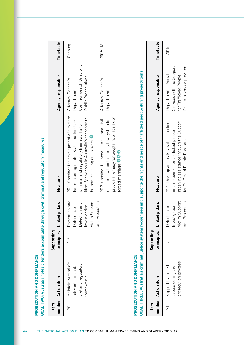|                | <b>Action item</b>                                                              | Supporting<br>principles      | ked pillars<br>آءَ                                                                          | Measure                                                                                                                                                                                                           | Agency responsible                                                                   | Timetable   |
|----------------|---------------------------------------------------------------------------------|-------------------------------|---------------------------------------------------------------------------------------------|-------------------------------------------------------------------------------------------------------------------------------------------------------------------------------------------------------------------|--------------------------------------------------------------------------------------|-------------|
| 70.            | Maintain Australia's<br>civil and regulatory<br>relevant criminal<br>frameworks | $\frac{5}{1}$                 | Prevention and<br>Victim Support<br>ection and<br>stigation,<br>Deterrence,<br>Inve<br>Dete | 70.1 Consider the development of a system<br>identify any gaps in Australia's response to<br>for monitoring related State and Territory<br>criminal and regulatory frameworks to<br>human trafficking and slavery | Commonwealth Director of<br>Public Prosecutions<br>Attorney-General's<br>Department, | Ongoing     |
|                |                                                                                 |                               | Protection<br>bue<br>B                                                                      | provide a remedy for people in, or at risk of<br>70.2 Consider the need for additional civil<br>measures within the family law system to<br>forced marriage 086                                                   | Attorney-General's<br>Department                                                     | $2015 - 16$ |
|                | PROSECUTION AND COMPLIANCE                                                      |                               |                                                                                             | GOAL THREE: Australia's criminal justice system recognises and supports the rights and needs of trafficked people during prosecutions                                                                             |                                                                                      |             |
| number<br>Item | <b>Action item</b>                                                              | Supporting<br>principles      | ked pillars<br>ءَ<br>ت                                                                      | Measure                                                                                                                                                                                                           | Agency responsible                                                                   | Timetable   |
| 71.            | prosecution process<br>Support trafficked<br>people during the                  | 5<br>$\overline{\mathcal{C}}$ | Victim Support<br>Detection and<br>stigation,<br>Inve                                       | 71.1 Develop and make available a client<br>receiving assistance through the Support<br>information kit for trafficked people                                                                                     | Services with the Support<br>Department of Social<br>for Trafficked People           | 2015        |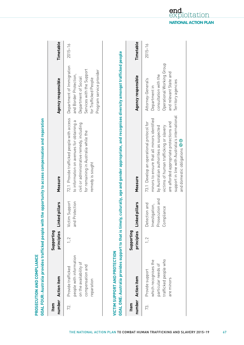|      | GOAL FOUR: Australia provides trafficked people with<br>PROSECUTION AND COMPLIANCE                        |                          |                                                                          | the opportunity to access compensation and reparation                                                                                                                                                                                                                                                            |                                                                                                                                                               |             |
|------|-----------------------------------------------------------------------------------------------------------|--------------------------|--------------------------------------------------------------------------|------------------------------------------------------------------------------------------------------------------------------------------------------------------------------------------------------------------------------------------------------------------------------------------------------------------|---------------------------------------------------------------------------------------------------------------------------------------------------------------|-------------|
| Item | number Action item                                                                                        | Supporting               | principles Linked pillars                                                | Measure                                                                                                                                                                                                                                                                                                          | Agency responsible                                                                                                                                            | Timetable   |
| 72.  | people with information<br>on the availability of<br>compensation and<br>Provide trafficked<br>reparation | 1, 2                     | Victim Support<br>and Protection                                         | 72.1 Provide trafficked people with access<br>to information on avenues for obtaining a<br>civil or administrative remedy, including<br>for remaining in Australia while the<br>remedy is sought                                                                                                                 | Department of Immigration<br>Services with the Support<br>Program service provider<br>and Border Protection,<br>Department of Social<br>for Trafficked People | $2015 - 16$ |
|      | <b>GOAL ONE: Australia provides support to that is timely</b><br><b>VICTIM SUPPORT AND PROTECTION</b>     |                          |                                                                          | y, culturally, age and gender appropriate, and recognises diversity amongst trafficked people                                                                                                                                                                                                                    |                                                                                                                                                               |             |
| Item | number Action item                                                                                        | Supporting<br>principles | Linked pillars                                                           | Measure                                                                                                                                                                                                                                                                                                          | Agency responsible                                                                                                                                            | Timetable   |
| 73.  | trafficked people who<br>which recognises the<br>particular needs of<br>Provide support<br>are minors     | $\frac{2}{1}$            | ecution and<br>Detection and<br>Investigation,<br>pliance<br>Pros<br>Com | support in line with Australia's international<br>minors to ensure that all minors identified<br>73.1 Develop an operational protocol for<br>are afforded appropriate protections and<br>victims of human trafficking or slavery<br>by Australian authorities as suspected<br>and domestic obligations <b>SG</b> | Operational Working Group<br>and relevant State and<br>consultation with the<br>Attorney-General's<br>Territory agencies<br>Department in                     | $2015 - 16$ |

THE NATIONAL ACTION PLAN TO COMBAT HUMAN TRAFFICKING AND SLAVERY 2015–19<sup>67</sup>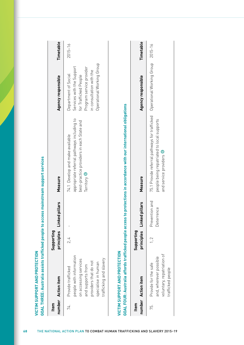| number<br>Item | <b>Action item</b>                                                                                                                                                     | Supporting<br>principles | ked pillars<br>ial           | Measure                                                                                                                                   | Agency responsible                                                                                                                                              | Timetable   |
|----------------|------------------------------------------------------------------------------------------------------------------------------------------------------------------------|--------------------------|------------------------------|-------------------------------------------------------------------------------------------------------------------------------------------|-----------------------------------------------------------------------------------------------------------------------------------------------------------------|-------------|
| 74.            | people with information<br>trafficking and slavery<br>on accessing services<br>providers that do not<br>specialise in human<br>and supports from<br>Provide trafficked | 2.4                      |                              | appropriate referral pathways including to<br>best-practice providers in each State and<br>74.1 Develop and make available<br>Territory 6 | Operational Working Group<br>Services with the Support<br>Program service provider<br>in consultation with the<br>Department of Social<br>for Trafficked People | $2015 - 16$ |
|                | <b>VICTIM SUPPORT AND PROTECTION</b>                                                                                                                                   |                          |                              | GOAL FOUR: Australia affords trafficked people access to protections in accordance with our international obligations                     |                                                                                                                                                                 |             |
| number<br>Item | <b>Action item</b>                                                                                                                                                     | Supporting<br>principles | ked pillars<br>ءِ<br>ت       | Measure                                                                                                                                   | Agency responsible                                                                                                                                              | Timetable   |
| 75.            | voluntary, repatriation of<br>and, wherever possible<br>Provide for the safe<br>trafficked people                                                                      | 1, 2                     | Prevention and<br>Deterrence | 75.1 Provide referral pathways for trafficked<br>people being repatriated to local supports<br>and service providers G                    | Operational Working Group                                                                                                                                       | $2015 - 16$ |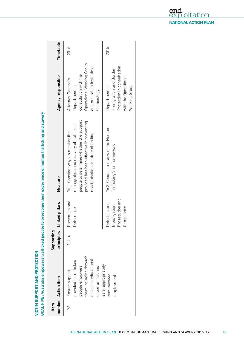| Item | number Action item                                                                                                                  | Supporting<br>principles | Linked pillars                                                  | Measure                                                                                                                                                                                                      | Agency responsible                                                                                                                      | Timetable |
|------|-------------------------------------------------------------------------------------------------------------------------------------|--------------------------|-----------------------------------------------------------------|--------------------------------------------------------------------------------------------------------------------------------------------------------------------------------------------------------------|-----------------------------------------------------------------------------------------------------------------------------------------|-----------|
| 76.  | them including through<br>access to educational<br>provided to trafficked<br>people empowers<br>opportunities and<br>Ensure support | 1, 2, 4                  | Prevention and<br>Jeterrence                                    | people to determine whether the support<br>provided has been effective in preventing<br>reintegration and recovery of trafficked<br>76.1 Consider ways to monitor the<br>revictimisation or future offending | Operational Working Group<br>and Australian Institute of<br>consultation with the<br>Attorney-General's<br>Department in<br>Criminology | 2016      |
|      | safe, appropriately<br>remunerated<br>employment                                                                                    |                          | Prosecution and<br>Jetection and<br>nvestigation,<br>Compliance | 76.2 Conduct a review of the Human<br>Trafficking Visa Framework                                                                                                                                             | Protection in consultation<br>mmigration and Border<br>with the Operational<br>Working Group<br>Department of                           | 2015      |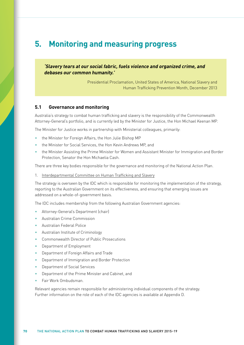# **5. Monitoring and measuring progress**

**'Slavery tears at our social fabric, fuels violence and organized crime, and debases our common humanity.'**

> Presidential Proclamation, United States of America, National Slavery and Human Trafficking Prevention Month, December 2013

## **5.1 Governance and monitoring**

Australia's strategy to combat human trafficking and slavery is the responsibility of the Commonwealth Attorney-General's portfolio, and is currently led by the Minister for Justice, the Hon Michael Keenan MP.

The Minister for Justice works in partnership with Ministerial colleagues, primarily:

- the Minister for Foreign Affairs, the Hon Julie Bishop MP
- the Minister for Social Services, the Hon Kevin Andrews MP, and
- the Minister Assisting the Prime Minister for Women and Assistant Minister for Immigration and Border Protection, Senator the Hon Michaelia Cash.

There are three key bodies responsible for the governance and monitoring of the National Action Plan.

1. Interdepartmental Committee on Human Trafficking and Slavery

The strategy is overseen by the IDC which is responsible for monitoring the implementation of the strategy, reporting to the Australian Government on its effectiveness, and ensuring that emerging issues are addressed on a whole-of-government basis.

The IDC includes membership from the following Australian Government agencies:

- Attorney-General's Department (chair)
- [Australian Crime Commission](http://www.crimecommission.gov.au/)
- [Australian Federal Police](http://www.afp.gov.au/policing/human-trafficking.aspx)
- [Australian Institute of Criminology](http://www.aic.gov.au/en/crime_types/transnational/humantrafficking.aspx)
- [Commonwealth Director of Public Prosecutions](http://www.cdpp.gov.au/)
- [Department of Employment](http://www.employment.gov.au/)
- [Department of Foreign Affairs and Trade](http://www.dfat.gov.au/issues/people-trafficking.html)
- [Department of Immigration and Border Protection](http://www.immi.gov.au/)
- [Department of Social Services](http://dss.gov.au/)
- [Department of the Prime Minister and Cabinet,](http://www.pmc.gov.au/) and
- [Fair Work Ombudsman](http://www.fairwork.gov.au/Pages/default.aspx).

Relevant agencies remain responsible for administering individual components of the strategy. Further information on the role of each of the IDC agencies is available at Appendix D.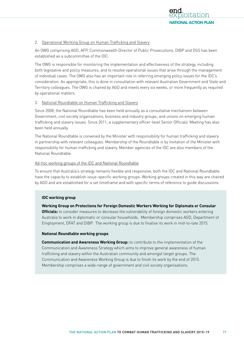

## 2. Operational Working Group on Human Trafficking and Slavery

An OWG comprising AGD, AFP, [Commonwealth Director of Public Prosecutions,](http://www.cdpp.gov.au/) DIBP and [D](http://dss.gov.au/)SS has been established as a subcommittee of the IDC.

The OWG is responsible for monitoring the implementation and effectiveness of the strategy, including both legislative and policy measures, and to resolve operational issues that arise through the management of individual cases. The OWG also has an important role in referring emerging policy issues for the IDC's consideration. As appropriate, this is done in consultation with relevant Australian Government and State and Territory colleagues. The OWG is chaired by AGD and meets every six weeks, or more frequently as required by operational matters.

## 3. National Roundtable on Human Trafficking and Slavery

Since 2008, the National Roundtable has been held annually as a consultative mechanism between Government, civil society organisations, business and industry groups, and unions on emerging human trafficking and slavery issues. Since 2011, a supplementary officer-level Senior Officials' Meeting has also been held annually.

The National Roundtable is convened by the Minister with responsibility for human trafficking and slavery in partnership with relevant colleagues. Membership of the Roundtable is by invitation of the Minister with responsibility for human trafficking and slavery. Member agencies of the IDC are also members of the National Roundtable.

## Ad-hoc working groups of the IDC and National Roundtable

To ensure that Australia's strategy remains flexible and responsive, both the IDC and National Roundtable have the capacity to establish issue-specific working groups. Working groups created in this way are chaired by AGD and are established for a set timeframe and with specific terms of reference to guide discussions.

## **IDC working group**

**Working Group on Protections for Foreign Domestic Workers Working for Diplomats or Consular Officials:** to consider measures to decrease the vulnerability of foreign domestic workers entering Australia to work in diplomatic or consular households. Membership comprises AGD, Department of Employment, DFAT and DIBP. The working group is due to finalise its work in mid-to-late 2015.

#### **National Roundtable working groups**

**Communication and Awareness Working Group:** to contribute to the implementation of the Communication and Awareness Strategy which aims to improve general awareness of human trafficking and slavery within the Australian community and amongst target groups. The Communication and Awareness Working Group is due to finish its work by the end of 2015. Membership comprises a wide-range of government and civil society organisations.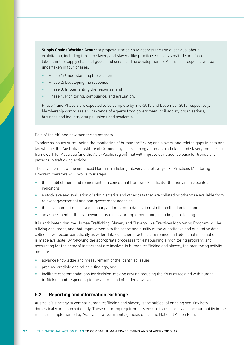**Supply Chains Working Group:** to propose strategies to address the use of serious labour exploitation, including through slavery and slavery-like practices such as servitude and forced labour, in the supply chains of goods and services. The development of Australia's response will be undertaken in four phases:

- Phase 1: Understanding the problem
- Phase 2: Developing the response
- Phase 3: Implementing the response, and
- Phase 4: Monitoring, compliance, and evaluation.

Phase 1 and Phase 2 are expected to be complete by mid-2015 and December 2015 respectively. Membership comprises a wide-range of experts from government, civil society organisations, business and industry groups, unions and academia.

#### Role of the AIC and new monitoring program

To address issues surrounding the monitoring of human trafficking and slavery, and related gaps in data and knowledge, the Australian Institute of Criminology is developing a human trafficking and slavery monitoring framework for Australia (and the Asia-Pacific region) that will improve our evidence base for trends and patterns in trafficking activity.

The development of the enhanced Human Trafficking, Slavery and Slavery-Like Practices Monitoring Program therefore will involve four steps:

- the establishment and refinement of a conceptual framework, indicator themes and associated indicators
- a stocktake and evaluation of administrative and other data that are collated or otherwise available from relevant government and non-government agencies
- the development of a data dictionary and minimum data set or similar collection tool, and
- an assessment of the framework's readiness for implementation, including pilot testing.

It is anticipated that the Human Trafficking, Slavery and Slavery-Like Practices Monitoring Program will be a living document, and that improvements to the scope and quality of the quantitative and qualitative data collected will occur periodically as wider data collection practices are refined and additional information is made available. By following the appropriate processes for establishing a monitoring program, and accounting for the array of factors that are involved in human trafficking and slavery, the monitoring activity aims to:

- advance knowledge and measurement of the identified issues
- produce credible and reliable findings, and
- facilitate recommendations for decision-making around reducing the risks associated with human trafficking and responding to the victims and offenders involved.

## **5.2 Reporting and information exchange**

Australia's strategy to combat human trafficking and slavery is the subject of ongoing scrutiny both domestically and internationally. These reporting requirements ensure transparency and accountability in the measures implemented by Australian Government agencies under the National Action Plan.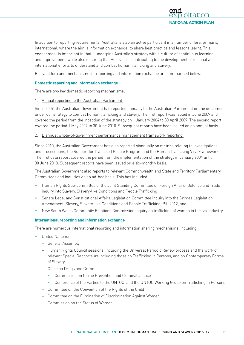

In addition to reporting requirements, Australia is also an active participant in a number of fora, primarily international, where the aim is information exchange; to share best practice and lessons learnt. This engagement is important in that it underpins Australia's strategy with a culture of continuous learning and improvement, while also ensuring that Australia is contributing to the development of regional and international efforts to understand and combat human trafficking and slavery.

Relevant fora and mechanisms for reporting and information exchange are summarised below.

## **Domestic reporting and information exchange**

There are two key domestic reporting mechanisms:

1. Annual reporting to the Australian Parliament

Since 2009, the Australian Government has reported annually to the Australian Parliament on the outcomes under our strategy to combat human trafficking and slavery. The first report was tabled in June 2009 and covered the period from the inception of the strategy on 1 January 2004 to 30 April 2009. The second report covered the period 1 May 2009 to 30 June 2010. Subsequent reports have been issued on an annual basis.

2. Biannual whole-of-government performance management framework reporting

Since 2010, the Australian Government has also reported biannually on metrics relating to investigations and prosecutions, the Support for Trafficked People Program and the Human Trafficking Visa Framework. The first data report covered the period from the implementation of the strategy in January 2004 until 30 June 2010. Subsequent reports have been issued on a six-monthly basis.

The Australian Government also reports to relevant Commonwealth and State and Territory Parliamentary Committees and inquiries on an ad-hoc basis. This has included:

- Human Rights Sub-committee of the Joint Standing Committee on Foreign Affairs, Defence and Trade inquiry into Slavery, Slavery-like Conditions and People Trafficking
- Senate Legal and Constitutional Affairs Legislation Committee inquiry into the Crimes Legislation Amendment (Slavery, Slavery-like Conditions and People Trafficking) Bill 2012, and
- New South Wales Community Relations Commission inquiry on trafficking of women in the sex industry.

## **International reporting and information exchange**

There are numerous international reporting and information sharing mechanisms, including:

- United Nations:
	- General Assembly
	- Human Rights Council sessions, including the Universal Periodic Review process and the work of relevant Special Rapporteurs including those on Trafficking in Persons, and on Contemporary Forms of Slavery
	- Office on Drugs and Crime
		- Commission on Crime Prevention and Criminal Justice
		- Conference of the Parties to the UNTOC, and the UNTOC Working Group on Trafficking in Persons
	- Committee on the Convention of the Rights of the Child
	- Committee on the Elimination of Discrimination Against Women
	- Commission on the Status of Women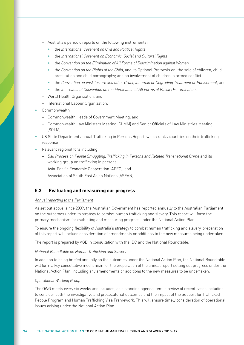- Australia's periodic reports on the following instruments:
	- the *International Covenant on Civil and Political Rights*
	- the *International Covenant on Economic, Social and Cultural Rights*
	- the *Convention on the Elimination of All Forms of Discrimination against Women*
	- the *Convention on the Rights of the Child*, and its Optional Protocols on: the sale of children, child prostitution and child pornography; and on involvement of children in armed conflict
	- the *Convention against Torture and other Cruel, Inhuman or Degrading Treatment or Punishment*, and
	- the *International Convention on the Elimination of All Forms of Racial Discrimination*.
- World Health Organization, and
- International Labour Organization.
- Commonwealth
	- Commonwealth Heads of Government Meeting, and
	- Commonwealth Law Ministers Meeting (CLMM) and Senior Officials of Law Ministries Meeting (SOLM).
- US State Department annual Trafficking in Persons Report, which ranks countries on their trafficking response
- Relevant regional fora including:
	- *Bali Process on People Smuggling, Trafficking in Persons and Related Transnational Crime* and its working group on trafficking in persons
	- Asia-Pacific Economic Cooperation (APEC), and
	- Association of South East Asian Nations (ASEAN).

## **5.3 Evaluating and measuring our progress**

## *Annual reporting to the Parliament*

As set out above, since 2009, the Australian Government has reported annually to the Australian Parliament on the outcomes under its strategy to combat human trafficking and slavery. This report will form the primary mechanism for evaluating and measuring progress under the National Action Plan.

To ensure the ongoing flexibility of Australia's strategy to combat human trafficking and slavery, preparation of this report will include consideration of amendments or additions to the new measures being undertaken.

The report is prepared by AGD in consultation with the IDC and the National Roundtable.

#### *National Roundtable on Human Trafficking and Slavery*

In addition to being briefed annually on the outcomes under the National Action Plan, the National Roundtable will form a key consultative mechanism for the preparation of the annual report setting out progress under the National Action Plan, including any amendments or additions to the new measures to be undertaken.

## *Operational Working Group*

The OWG meets every six weeks and includes, as a standing agenda item, a review of recent cases including to consider both the investigative and prosecutorial outcomes and the impact of the Support for Trafficked People Program and Human Trafficking Visa Framework. This will ensure timely consideration of operational issues arising under the National Action Plan.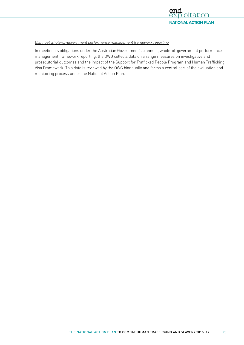

## *Biannual whole-of-government performance management framework reporting*

In meeting its obligations under the Australian Government's biannual, whole-of-government performance management framework reporting, the OWG collects data on a range measures on investigative and prosecutorial outcomes and the impact of the Support for Trafficked People Program and Human Trafficking Visa Framework. This data is reviewed by the OWG biannually and forms a central part of the evaluation and monitoring process under the National Action Plan.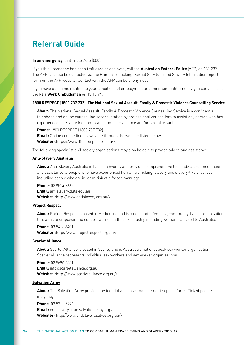## **Referral Guide**

#### **In an emergency**, dial Triple Zero (000).

If you think someone has been trafficked or enslaved, call the **Australian Federal Police** (AFP) on 131 237. The AFP can also be contacted via the Human Trafficking, Sexual Servitude and Slavery Information report form on the AFP website. Contact with the AFP can be anonymous.

If you have questions relating to your conditions of employment and minimum entitlements, you can also call the **Fair Work Ombudsman** on 13 13 94.

## **1800 RESPECT (1800 737 732): The National Sexual Assault, Family & Domestic Violence Counselling Service**

**About:** The National Sexual Assault, Family & Domestic Violence Counselling Service is a confidential telephone and online counselling service, staffed by professional counsellors to assist any person who has experienced, or is at risk of family and domestic violence and/or sexual assault.

**Phone:** 1800 RESPECT (1800 737 732) **Email:** Online counselling is available through the website listed below. **Website:** <<https://www.1800respect.org.au/>>.

The following specialist civil society organisations may also be able to provide advice and assistance:

#### **Anti-Slavery Australia**

**About:** Anti-Slavery Australia is based in Sydney and provides comprehensive legal advice, representation and assistance to people who have experienced human trafficking, slavery and slavery-like practices, including people who are in, or at risk of a forced marriage.

**Phone**: 02 9514 9662 **Email:** [antislavery@uts.edu.au](mailto:antislavery@uts.edu.au) **Website:** <[http://www.antislavery.org.au/>](http://www.antislavery.org.au/).

## **Project Respect**

**About:** Project Respect is based in Melbourne and is a non-profit, feminist, community-based organisation that aims to empower and support women in the sex industry, including women trafficked to Australia.

**Phone**: 03 9416 3401

**Website:** <<http://www.projectrespect.org.au/>>.

## **Scarlet Alliance**

**About:** Scarlet Alliance is based in Sydney and is Australia's national peak sex worker organisation. Scarlet Alliance represents individual sex workers and sex worker organisations.

**Phone**: 02 9690 0551 **Email:** [info@scarletalliance.org.au](mailto:info@scarletalliance.org.au) **Website:** <<http://www.scarletalliance.org.au/>>.

#### **Salvation Army**

**About:** The Salvation Army provides residential and case-management support for trafficked people in Sydney.

**Phone**: 02 9211 5794 **Email:** [endslavery@aue.salvationarmy.org.au](mailto:endslavery%40aue.salvationarmy.org.au?subject=) Website: <[http://www.endslavery.salvos.org.au/>](http://www.endslavery.salvos.org.au/).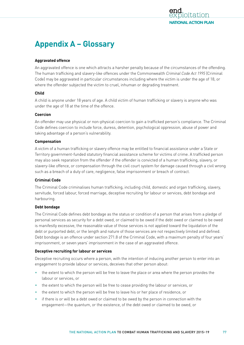

# **Appendix A – Glossary**

## **Aggravated offence**

An aggravated offence is one which attracts a harsher penalty because of the circumstances of the offending. The human trafficking and slavery-like offences under the Commonwealth *Criminal Code Act 1995* (Criminal Code) may be aggravated in particular circumstances including where the victim is under the age of 18, or where the offender subjected the victim to cruel, inhuman or degrading treatment.

## **Child**

A child is anyone under 18 years of age. A child victim of human trafficking or slavery is anyone who was under the age of 18 at the time of the offence.

## **Coercion**

An offender may use physical or non-physical coercion to gain a trafficked person's compliance. The Criminal Code defines coercion to include force, duress, detention, psychological oppression, abuse of power and taking advantage of a person's vulnerability.

## **Compensation**

A victim of a human trafficking or slavery offence may be entitled to financial assistance under a State or Territory government-funded statutory financial assistance scheme for victims of crime. A trafficked person may also seek reparation from the offender if the offender is convicted of a human trafficking, slavery, or slavery-like offence, or compensation through the civil court system for damage caused through a civil wrong such as a breach of a duty of care, negligence, false imprisonment or breach of contract.

#### **Criminal Code**

The Criminal Code criminalises human trafficking, including child, domestic and organ trafficking, slavery, servitude, forced labour, forced marriage, deceptive recruiting for labour or services, debt bondage and harbouring.

## **Debt bondage**

The Criminal Code defines debt bondage as the status or condition of a person that arises from a pledge of personal services as security for a debt owed, or claimed to be owed if the debt owed or claimed to be owed is manifestly excessive, the reasonable value of those services is not applied toward the liquidation of the debt or purported debt, or the length and nature of those services are not respectively limited and defined. Debt bondage is an offence under section 271.8 of the Criminal Code, with a maximum penalty of four years' imprisonment, or seven years' imprisonment in the case of an aggravated offence.

## **Deceptive recruiting for labour or services**

Deceptive recruiting occurs where a person, with the intention of inducing another person to enter into an engagement to provide labour or services, deceives that other person about:

- the extent to which the person will be free to leave the place or area where the person provides the labour or services, or
- the extent to which the person will be free to cease providing the labour or services, or
- the extent to which the person will be free to leave his or her place of residence, or
- if there is or will be a debt owed or claimed to be owed by the person in connection with the engagement—the quantum, or the existence, of the debt owed or claimed to be owed, or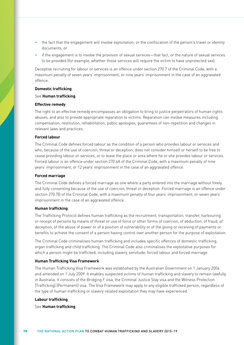- the fact that the engagement will involve exploitation, or the confiscation of the person's travel or identity documents, or
- if the engagement is to involve the provision of sexual services—that fact, or the nature of sexual services to be provided (for example, whether those services will require the victim to have unprotected sex).

Deceptive recruiting for labour or services is an offence under section 270.7 of the Criminal Code, with a maximum penalty of seven years' imprisonment, or nine years' imprisonment in the case of an aggravated offence.

## **Domestic trafficking**

#### See **Human trafficking**.

#### **Effective remedy**

The right to an effective remedy encompasses an obligation to bring to justice perpetrators of human rights abuses, and also to provide appropriate reparation to victims. Reparation can involve measures including compensation, restitution, rehabilitation, public apologies, guarantees of non-repetition and changes in relevant laws and practices.

## **Forced labour**

The Criminal Code defines forced labour as the condition of a person who provides labour or services and who, because of the use of coercion, threat or deception, does not consider himself or herself to be free to cease providing labour or services, or to leave the place or area where he or she provides labour or services. Forced labour is an offence under section 270.6A of the Criminal Code, with a maximum penalty of nine years' imprisonment, or 12 years' imprisonment in the case of an aggravated offence.

#### **Forced marriage**

The Criminal Code defines a forced marriage as one where a party entered into the marriage without freely and fully consenting because of the use of coercion, threat or deception. Forced marriage is an offence under section 270.7B of the Criminal Code, with a maximum penalty of four years' imprisonment, or seven years' imprisonment in the case of an aggravated offence.

#### **Human trafficking**

The Trafficking Protocol defines human trafficking as the recruitment, transportation, transfer, harbouring or receipt of persons by means of threat or use of force or other forms of coercion, of abduction, of fraud, of deception, of the abuse of power or of a position of vulnerability or of the giving or receiving of payments or benefits to achieve the consent of a person having control over another person for the purpose of exploitation.

The Criminal Code criminalises human trafficking and includes specific offences of domestic trafficking, organ trafficking and child trafficking. The Criminal Code also criminalises the exploitative purposes for which a person might be trafficked, including slavery, servitude, forced labour and forced marriage.

#### **Human Trafficking Visa Framework**

The Human Trafficking Visa Framework was established by the Australian Government on 1 January 2004 and amended on 1 July 2009. It enables suspected victims of human trafficking and slavery to remain lawfully in Australia. It consists of the Bridging F visa, the Criminal Justice Stay visa and the Witness Protection (Trafficking) (Permanent) visa. The Visa Framework may apply to any eligible trafficked person, regardless of the type of human trafficking or slavery-related exploitation they may have experienced.

#### **Labour trafficking**

See **Human trafficking**.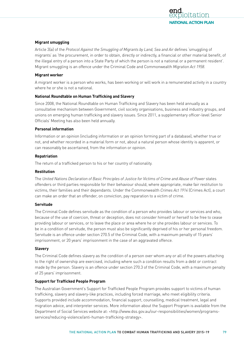

## **Migrant smuggling**

Article 3(a) of the *Protocol Against the Smuggling of Migrants by Land, Sea and Air* defines 'smuggling of migrants' as 'the procurement, in order to obtain, directly or indirectly, a financial or other material benefit, of the illegal entry of a person into a State Party of which the person is not a national or a permanent resident'. Migrant smuggling is an offence under the Criminal Code and Commonwealth *Migration Act 1958*.

#### **Migrant worker**

A migrant worker is a person who works, has been working or will work in a remunerated activity in a country where he or she is not a national.

#### **National Roundtable on Human Trafficking and Slavery**

Since 2008, the National Roundtable on Human Trafficking and Slavery has been held annually as a consultative mechanism between Government, civil society organisations, business and industry groups, and unions on emerging human trafficking and slavery issues. Since 2011, a supplementary officer-level Senior Officials' Meeting has also been held annually.

#### **Personal information**

Information or an opinion (including information or an opinion forming part of a database), whether true or not, and whether recorded in a material form or not, about a natural person whose identity is apparent, or can reasonably be ascertained, from the information or opinion.

#### **Repatriation**

The return of a trafficked person to his or her country of nationality.

#### **Restitution**

The *United Nations Declaration of Basic Principles of Justice for Victims of Crime and Abuse of Power* states offenders or third parties responsible for their behaviour should, where appropriate, make fair restitution to victims, their families and their dependants. Under the Commonwealth *Crimes Act 1914* (Crimes Act), a court can make an order that an offender, on conviction, pay reparation to a victim of crime.

## **Servitude**

The Criminal Code defines servitude as the condition of a person who provides labour or services and who, because of the use of coercion, threat or deception, does not consider himself or herself to be free to cease providing labour or services, or to leave the place or area where he or she provides labour or services. To be in a condition of servitude, the person must also be significantly deprived of his or her personal freedom. Servitude is an offence under section 270.5 of the Criminal Code, with a maximum penalty of 15 years' imprisonment, or 20 years' imprisonment in the case of an aggravated offence.

#### **Slavery**

The Criminal Code defines slavery as the condition of a person over whom any or all of the powers attaching to the right of ownership are exercised, including where such a condition results from a debt or contract made by the person. Slavery is an offence under section 270.3 of the Criminal Code, with a maximum penalty of 25 years' imprisonment.

## **Support for Trafficked People Program**

The Australian Government's Support for Trafficked People Program provides support to victims of human trafficking, slavery and slavery-like practices, including forced marriage, who meet eligibility criteria. Supports provided include accommodation, financial support, counselling, medical treatment, legal and migration advice, and interpreter services. More information about the Support Program is available from the Department of Social Services website at: <[http://www.dss.gov.au/our-responsibilities/women/programs](http://www.dss.gov.au/our-responsibilities/women/programs-services/reducing-violence/anti-human-trafficking-strategy)[services/reducing-violence/anti-human-trafficking-strategy](http://www.dss.gov.au/our-responsibilities/women/programs-services/reducing-violence/anti-human-trafficking-strategy)>.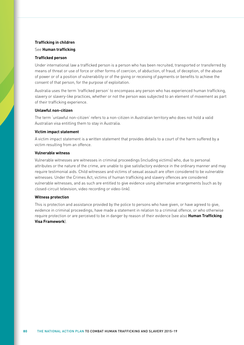#### **Trafficking in children**

See **Human trafficking**.

## **Trafficked person**

Under international law a trafficked person is a person who has been recruited, transported or transferred by means of threat or use of force or other forms of coercion, of abduction, of fraud, of deception, of the abuse of power or of a position of vulnerability or of the giving or receiving of payments or benefits to achieve the consent of that person, for the purpose of exploitation.

Australia uses the term 'trafficked person' to encompass any person who has experienced human trafficking, slavery or slavery-like practices, whether or not the person was subjected to an element of movement as part of their trafficking experience.

## **Unlawful non-citizen**

The term 'unlawful non-citizen' refers to a non-citizen in Australian territory who does not hold a valid Australian visa entitling them to stay in Australia.

#### **Victim impact statement**

A victim impact statement is a written statement that provides details to a court of the harm suffered by a victim resulting from an offence.

#### **Vulnerable witness**

Vulnerable witnesses are witnesses in criminal proceedings (including victims) who, due to personal attributes or the nature of the crime, are unable to give satisfactory evidence in the ordinary manner and may require testimonial aids. Child witnesses and victims of sexual assault are often considered to be vulnerable witnesses. Under the Crimes Act, victims of human trafficking and slavery offences are considered vulnerable witnesses, and as such are entitled to give evidence using alternative arrangements (such as by closed-circuit television, video recording or video-link).

## **Witness protection**

This is protection and assistance provided by the police to persons who have given, or have agreed to give, evidence in criminal proceedings, have made a statement in relation to a criminal offence, or who otherwise require protection or are perceived to be in danger by reason of their evidence (see also **Human Trafficking Visa Framework**).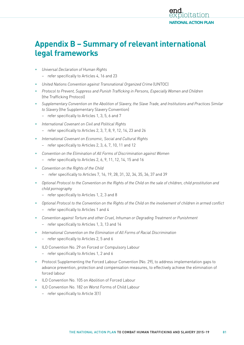

# **Appendix B – Summary of relevant international legal frameworks**

- *Universal Declaration of Human Rights*
	- refer specifically to Articles 4, 16 and 23
- *United Nations Convention against Transnational Organized Crime* (UNTOC)
- *Protocol to Prevent, Suppress and Punish Trafficking in Persons, Especially Women and Children*  (the Trafficking Protocol)
- *Supplementary Convention on the Abolition of Slavery, the Slave Trade, and Institutions and Practices Similar to Slavery* (the Supplementary Slavery Convention)
	- refer specifically to Articles 1, 3, 5, 6 and 7
- *International Covenant on Civil and Political Rights*
	- refer specifically to Articles 2, 3, 7, 8, 9, 12, 14, 23 and 26
- *International Covenant on Economic, Social and Cultural Rights*
	- refer specifically to Articles 2, 3, 6, 7, 10, 11 and 12
- *Convention on the Elimination of All Forms of Discrimination against Women*
	- refer specifically to Articles 2, 6, 9, 11, 12, 14, 15 and 16
- *Convention on the Rights of the Child*
	- refer specifically to Articles 7, 16, 19, 28, 31, 32, 34, 35, 36, 37 and 39
- *Optional Protocol to the Convention on the Rights of the Child on the sale of children, child prostitution and child pornography*
	- refer specifically to Articles 1, 2, 3 and 8
- *Optional Protocol to the Convention on the Rights of the Child on the involvement of children in armed conflict* 
	- refer specifically to Articles 1 and 4
- *Convention against Torture and other Cruel, Inhuman or Degrading Treatment or Punishment*
	- refer specifically to Articles 1, 3, 13 and 14
- *International Convention on the Elimination of All Forms of Racial Discrimination*
	- refer specifically to Articles 2, 5 and 6
- ILO Convention No. 29 on Forced or Compulsory Labour
	- refer specifically to Articles 1, 2 and 6
- Protocol Supplementing the Forced Labour Convention (No. 29), to address implementation gaps to advance prevention, protection and compensation measures, to effectively achieve the elimination of forced labour
- ILO Convention No. 105 on Abolition of Forced Labour
- ILO Convention No. 182 on Worst Forms of Child Labour
	- refer specifically to Article 3(1)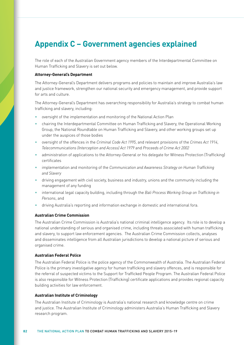# **Appendix C – Government agencies explained**

The role of each of the Australian Government agency members of the Interdepartmental Committee on Human Trafficking and Slavery is set out below.

### **[Attorney-General's Department](file:///C:\Pages\default.aspx)**

The Attorney-General's Department delivers programs and policies to maintain and improve Australia's law and justice framework, strengthen our national security and emergency management, and provide support for arts and culture.

The Attorney-General's Department has overarching responsibility for Australia's strategy to combat human trafficking and slavery, including:

- oversight of the implementation and monitoring of the National Action Plan
- chairing the Interdepartmental Committee on Human Trafficking and Slavery, the Operational Working Group, the National Roundtable on Human Trafficking and Slavery, and other working groups set up under the auspices of those bodies
- oversight of the offences in the *Criminal Code Act 1995*, and relevant provisions of the *Crimes Act 1914*, *Telecommunications (Interception and Access) Act 1979* and *Proceeds of Crime Act 2002*
- administration of applications to the Attorney-General or his delegate for Witness Protection (Trafficking) certificates
- implementation and monitoring of the *Communication and Awareness Strategy on Human Trafficking and Slavery*
- driving engagement with civil society, business and industry, unions and the community including the management of any funding
- international legal capacity building, including through the *Bali Process Working Group on Trafficking in Persons*, and
- driving Australia's reporting and information exchange in domestic and international fora.

#### **[Australian Crime Commission](http://www.crimecommission.gov.au/)**

The Australian Crime Commission is Australia's national criminal intelligence agency. Its role is to develop a national understanding of serious and organised crime, including threats associated with human trafficking and slavery, to support law enforcement agencies. The Australian Crime Commission collects, analyses and disseminates intelligence from all Australian jurisdictions to develop a national picture of serious and organised crime.

#### **[Australian Federal Police](http://www.afp.gov.au/policing/human-trafficking.aspx)**

The Australian Federal Police is the police agency of the Commonwealth of Australia. The Australian Federal Police is the primary investigative agency for human trafficking and slavery offences, and is responsible for the referral of suspected victims to the Support for Trafficked People Program. The Australian Federal Police is also responsible for Witness Protection (Trafficking) certificate applications and provides regional capacity building activities for law enforcement.

## **[Australian Institute of Criminology](http://www.aic.gov.au/en/crime_types/transnational/humantrafficking.aspx)**

The Australian Institute of Criminology is Australia's national research and knowledge centre on crime and justice. The Australian Institute of Criminology administers Australia's Human Trafficking and Slavery research program.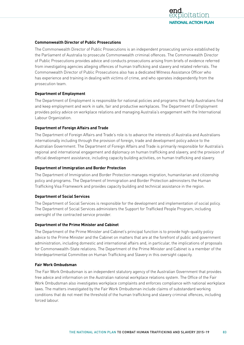

## **[Commonwealth Director of Public Prosecutions](http://www.cdpp.gov.au/)**

The [Commonwealth Director of Public Prosecutions](http://www.cdpp.gov.au/) is an independent prosecuting service established by the Parliament of Australia to prosecute Commonwealth criminal offences. The [Commonwealth Director](http://www.cdpp.gov.au/)  [of Public Prosecutions](http://www.cdpp.gov.au/) provides advice and conducts prosecutions arising from briefs of evidence referred from investigating agencies alleging offences of human trafficking and slavery and related referrals. The Commonwealth Director of Public Prosecutions also has a dedicated Witness Assistance Officer who has experience and training in dealing with victims of crime, and who operates independently from the prosecution team.

## **[Department of Employment](http://www.employment.gov.au/)**

The Department of Employment is responsible for national policies and programs that help Australians find and keep employment and work in safe, fair and productive workplaces. The Department of Employment provides policy advice on workplace relations and managing Australia's engagement with the International Labour Organization.

## **Department of Foreign Affairs and Trade**

The Department of Foreign Affairs and Trade's role is to advance the interests of Australia and Australians internationally including through the provision of foreign, trade and development policy advice to the Australian Government. The Department of Foreign Affairs and Trade is primarily responsible for Australia's regional and international engagement and diplomacy on human trafficking and slavery, and the provision of official development assistance, including capacity building activities, on human trafficking and slavery.

## **[Department of Immigration and Border Protection](http://www.immi.gov.au/)**

The Department of Immigration and Border Protection manages migration, humanitarian and citizenship policy and programs. The Department of Immigration and Border Protection administers the Human Trafficking Visa Framework and provides capacity building and technical assistance in the region.

## **[Department of Social Services](http://dss.gov.au/)**

The Department of Social Services is responsible for the development and implementation of social policy. The Department of Social Services administers the Support for Trafficked People Program, including oversight of the contracted service provider.

## **[Department of the Prime Minister and Cabinet](http://www.pmc.gov.au/)**

The Department of the Prime Minister and Cabinet's principal function is to provide high-quality policy advice to the Prime Minister and the Cabinet on matters that are at the forefront of public and government administration, including domestic and international affairs and, in particular, the implications of proposals for [Commonwealth-State relations](http://coag.gov.au/). The Department of the Prime Minister and Cabinet is a member of the Interdepartmental Committee on Human Trafficking and Slavery in this oversight capacity.

## **[Fair Work Ombudsman](http://www.fairwork.gov.au/Pages/default.aspx)**

The Fair Work Ombudsman is an independent statutory agency of the Australian Government that provides free advice and information on the Australian national workplace relations system. The Office of the Fair Work Ombudsman also investigates workplace complaints and enforces compliance with national workplace laws. The matters investigated by the Fair Work Ombudsman include claims of substandard working conditions that do not meet the threshold of the human trafficking and slavery criminal offences, including forced labour.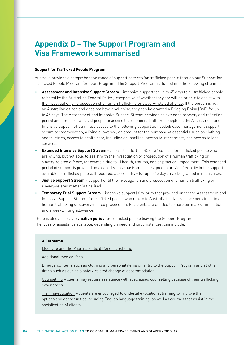## **Appendix D – The Support Program and Visa Framework summarised**

## **Support for Trafficked People Program**

Australia provides a comprehensive range of support services for trafficked people through our Support for Trafficked People Program (Support Program). The Support Program is divided into the following streams:

- **Assessment and Intensive Support Stream** intensive support for up to 45 days to all trafficked people referred by the Australian Federal Police, irrespective of whether they are willing or able to assist with the investigation or prosecution of a human trafficking or slavery-related offence. If the person is not an Australian citizen and does not have a valid visa, they can be granted a Bridging F visa (BVF) for up to 45 days. The Assessment and Intensive Support Stream provides an extended recovery and reflection period and time for trafficked people to assess their options. Trafficked people on the Assessment and Intensive Support Stream have access to the following support as needed: case management support; secure accommodation; a living allowance; an amount for the purchase of essentials such as clothing and toiletries; access to health care, including counselling; access to interpreters; and access to legal services.
- **Extended Intensive Support Stream** access to a further 45 days' support for trafficked people who are willing, but not able, to assist with the investigation or prosecution of a human trafficking or slavery-related offence, for example due to ill health, trauma, age or practical impediment. This extended period of support is provided on a case-by-case basis and is designed to provide flexibility in the support available to trafficked people. If required, a second BVF for up to 45 days may be granted in such cases.
- **Justice Support Stream** support until the investigation and prosecution of a human trafficking or slavery-related matter is finalised.
- **Temporary Trial Support Stream** intensive support (similar to that provided under the Assessment and Intensive Support Stream) for trafficked people who return to Australia to give evidence pertaining to a human trafficking or slavery-related prosecution. Recipients are entitled to short-term accommodation and a weekly living allowance.

There is also a 20-day **transition period** for trafficked people leaving the Support Program. The types of assistance available, depending on need and circumstances, can include:

## **All streams**

Medicare and the Pharmaceutical Benefits Scheme

Additional medical fees

Emergency items such as clothing and personal items on entry to the Support Program and at other times such as during a safety-related change of accommodation

Counselling – clients may require assistance with specialised counselling because of their trafficking experiences

Training/education – clients are encouraged to undertake vocational training to improve their options and opportunities including English language training, as well as courses that assist in the socialisation of clients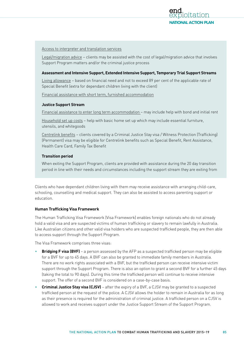

#### Access to interpreter and translation services

Legal/migration advice – clients may be assisted with the cost of legal/migration advice that involves Support Program matters and/or the criminal justice process

## **Assessment and Intensive Support, Extended Intensive Support, Temporary Trial Support Streams**

Living allowance – based on financial need and not to exceed 89 per cent of the applicable rate of Special Benefit (extra for dependant children living with the client)

Financial assistance with short term, furnished accommodation

## **Justice Support Stream**

Financial assistance to enter long term accommodation – may include help with bond and initial rent

Household set up costs – help with basic home set up which may include essential furniture, utensils, and whitegoods

Centrelink benefits – clients covered by a Criminal Justice Stay visa / Witness Protection (Trafficking) (Permanent) visa may be eligible for Centrelink benefits such as Special Benefit, Rent Assistance, Health Care Card, Family Tax Benefit

## **Transition period**

When exiting the Support Program, clients are provided with assistance during the 20 day transition period in line with their needs and circumstances including the support stream they are exiting from

Clients who have dependant children living with them may receive assistance with arranging child-care, schooling, counselling and medical support. They can also be assisted to access parenting support or education.

#### **Human Trafficking Visa Framework**

The Human Trafficking Visa Framework (Visa Framework) enables foreign nationals who do not already hold a valid visa and are suspected victims of human trafficking or slavery to remain lawfully in Australia. Like Australian citizens and other valid visa holders who are suspected trafficked people, they are then able to access support through the Support Program.

The Visa Framework comprises three visas:

- **Bridging F visa (BVF)** a person assessed by the AFP as a suspected trafficked person may be eligible for a BVF for up to 45 days. A BVF can also be granted to immediate family members in Australia. There are no work rights associated with a BVF, but the trafficked person can receive intensive victim support through the Support Program. There is also an option to grant a second BVF for a further 45 days (taking the total to 90 days). During this time the trafficked person will continue to receive intensive support. The offer of a second BVF is considered on a case-by-case basis.
- **Criminal Justice Stay visa (CJSV)** after the expiry of a BVF, a CJSV may be granted to a suspected trafficked person at the request of the police. A CJSV allows the holder to remain in Australia for as long as their presence is required for the administration of criminal justice. A trafficked person on a CJSV is allowed to work and receives support under the Justice Support Stream of the Support Program.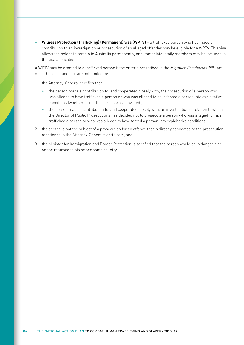• **Witness Protection (Trafficking) (Permanent) visa (WPTV)** – a trafficked person who has made a contribution to an investigation or prosecution of an alleged offender may be eligible for a WPTV. This visa allows the holder to remain in Australia permanently, and immediate family members may be included in the visa application.

A WPTV may be granted to a trafficked person if the criteria prescribed in the *Migration Regulations 1994* are met. These include, but are not limited to:

- 1. the Attorney-General certifies that:
	- the person made a contribution to, and cooperated closely with, the prosecution of a person who was alleged to have trafficked a person or who was alleged to have forced a person into exploitative conditions (whether or not the person was convicted), or
	- the person made a contribution to, and cooperated closely with, an investigation in relation to which the Director of Public Prosecutions has decided not to prosecute a person who was alleged to have trafficked a person or who was alleged to have forced a person into exploitative conditions
- 2. the person is not the subject of a prosecution for an offence that is directly connected to the prosecution mentioned in the Attorney-General's certificate, and
- 3. the Minister for Immigration and Border Protection is satisfied that the person would be in danger if he or she returned to his or her home country.